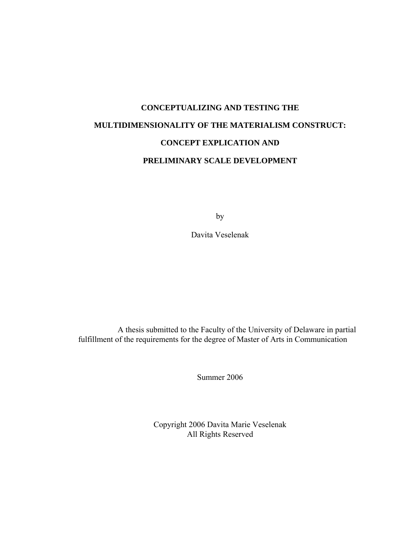# **CONCEPTUALIZING AND TESTING THE MULTIDIMENSIONALITY OF THE MATERIALISM CONSTRUCT: CONCEPT EXPLICATION AND PRELIMINARY SCALE DEVELOPMENT**

by

Davita Veselenak

A thesis submitted to the Faculty of the University of Delaware in partial fulfillment of the requirements for the degree of Master of Arts in Communication

Summer 2006

Copyright 2006 Davita Marie Veselenak All Rights Reserved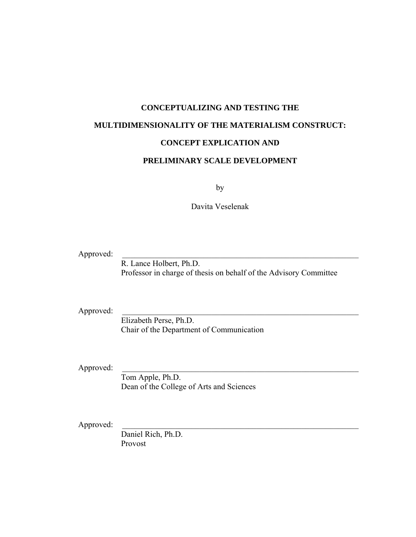# **CONCEPTUALIZING AND TESTING THE MULTIDIMENSIONALITY OF THE MATERIALISM CONSTRUCT: CONCEPT EXPLICATION AND**

### **PRELIMINARY SCALE DEVELOPMENT**

by

Davita Veselenak

Approved:

 R. Lance Holbert, Ph.D. Professor in charge of thesis on behalf of the Advisory Committee

Approved:

 Elizabeth Perse, Ph.D. Chair of the Department of Communication

Approved:

 Tom Apple, Ph.D. Dean of the College of Arts and Sciences

Approved:

 Daniel Rich, Ph.D. Provost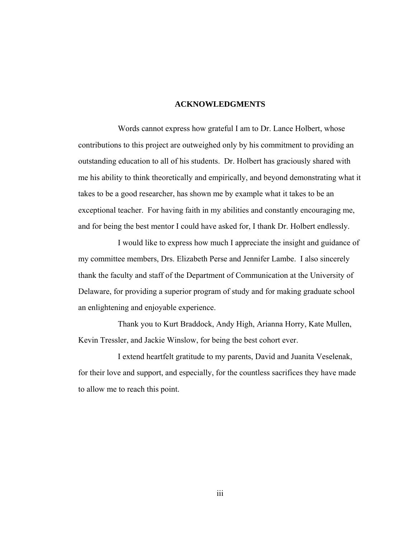#### **ACKNOWLEDGMENTS**

Words cannot express how grateful I am to Dr. Lance Holbert, whose contributions to this project are outweighed only by his commitment to providing an outstanding education to all of his students. Dr. Holbert has graciously shared with me his ability to think theoretically and empirically, and beyond demonstrating what it takes to be a good researcher, has shown me by example what it takes to be an exceptional teacher. For having faith in my abilities and constantly encouraging me, and for being the best mentor I could have asked for, I thank Dr. Holbert endlessly.

I would like to express how much I appreciate the insight and guidance of my committee members, Drs. Elizabeth Perse and Jennifer Lambe. I also sincerely thank the faculty and staff of the Department of Communication at the University of Delaware, for providing a superior program of study and for making graduate school an enlightening and enjoyable experience.

Thank you to Kurt Braddock, Andy High, Arianna Horry, Kate Mullen, Kevin Tressler, and Jackie Winslow, for being the best cohort ever.

I extend heartfelt gratitude to my parents, David and Juanita Veselenak, for their love and support, and especially, for the countless sacrifices they have made to allow me to reach this point.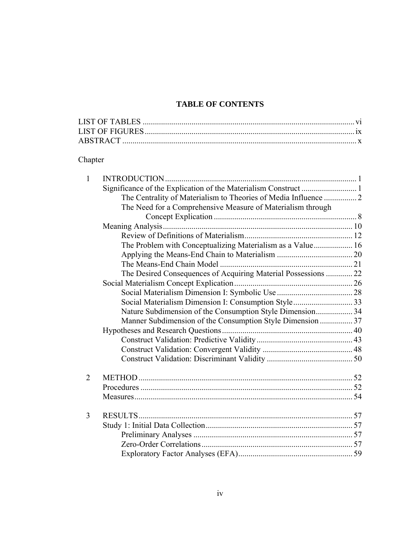## **TABLE OF CONTENTS**

## Chapter

| $\mathbf{1}$                                                   |  |
|----------------------------------------------------------------|--|
|                                                                |  |
|                                                                |  |
| The Need for a Comprehensive Measure of Materialism through    |  |
|                                                                |  |
|                                                                |  |
|                                                                |  |
| The Problem with Conceptualizing Materialism as a Value 16     |  |
|                                                                |  |
|                                                                |  |
| The Desired Consequences of Acquiring Material Possessions  22 |  |
|                                                                |  |
|                                                                |  |
|                                                                |  |
| Nature Subdimension of the Consumption Style Dimension 34      |  |
| Manner Subdimension of the Consumption Style Dimension  37     |  |
|                                                                |  |
|                                                                |  |
|                                                                |  |
|                                                                |  |
| $\overline{2}$                                                 |  |
|                                                                |  |
|                                                                |  |
| 3                                                              |  |
|                                                                |  |
|                                                                |  |
|                                                                |  |
|                                                                |  |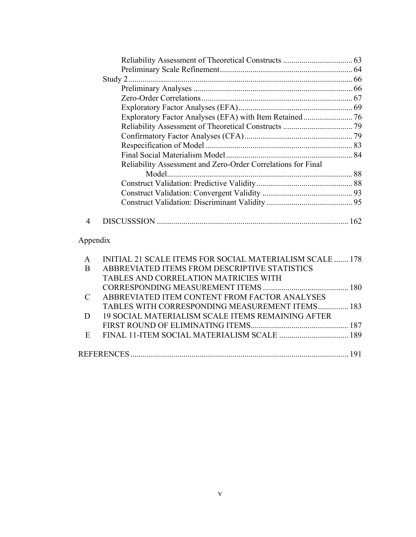|                | Reliability Assessment and Zero-Order Correlations for Final |  |
|----------------|--------------------------------------------------------------|--|
|                |                                                              |  |
|                |                                                              |  |
|                |                                                              |  |
|                |                                                              |  |
| $\overline{4}$ |                                                              |  |
| Appendix       |                                                              |  |
| A              | INITIAL 21 SCALE ITEMS FOR SOCIAL MATERIALISM SCALE  178     |  |
| B              | ABBREVIATED ITEMS FROM DESCRIPTIVE STATISTICS                |  |
|                | TABLES AND CORRELATION MATRICIES WITH                        |  |
|                |                                                              |  |
| $\mathcal{C}$  | ABBREVIATED ITEM CONTENT FROM FACTOR ANALYSES                |  |
|                | TABLES WITH CORRESPONDING MEASUREMENT ITEMS 183              |  |
| D              | 19 SOCIAL MATERIALISM SCALE ITEMS REMAINING AFTER            |  |
|                |                                                              |  |
| E              |                                                              |  |
|                |                                                              |  |
|                |                                                              |  |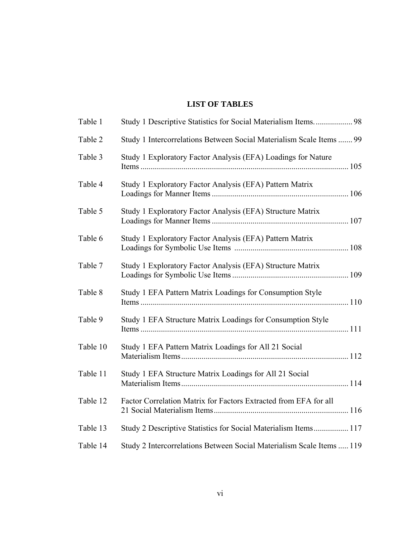## **LIST OF TABLES**

| Table 1  |                                                                       |  |
|----------|-----------------------------------------------------------------------|--|
| Table 2  | Study 1 Intercorrelations Between Social Materialism Scale Items  99  |  |
| Table 3  | Study 1 Exploratory Factor Analysis (EFA) Loadings for Nature         |  |
| Table 4  | Study 1 Exploratory Factor Analysis (EFA) Pattern Matrix              |  |
| Table 5  | Study 1 Exploratory Factor Analysis (EFA) Structure Matrix            |  |
| Table 6  | Study 1 Exploratory Factor Analysis (EFA) Pattern Matrix              |  |
| Table 7  | Study 1 Exploratory Factor Analysis (EFA) Structure Matrix            |  |
| Table 8  | Study 1 EFA Pattern Matrix Loadings for Consumption Style             |  |
| Table 9  | Study 1 EFA Structure Matrix Loadings for Consumption Style           |  |
| Table 10 | Study 1 EFA Pattern Matrix Loadings for All 21 Social                 |  |
| Table 11 | Study 1 EFA Structure Matrix Loadings for All 21 Social               |  |
| Table 12 | Factor Correlation Matrix for Factors Extracted from EFA for all      |  |
| Table 13 | Study 2 Descriptive Statistics for Social Materialism Items 117       |  |
| Table 14 | Study 2 Intercorrelations Between Social Materialism Scale Items  119 |  |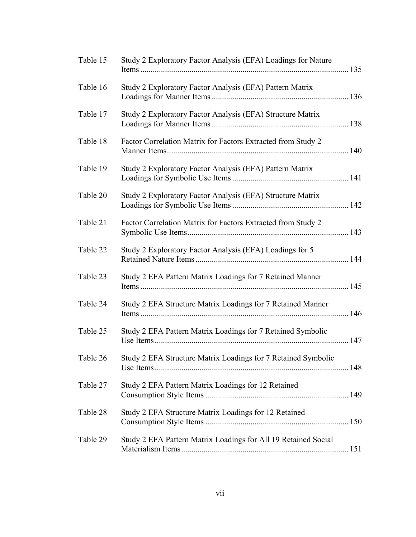| Table 15 | Study 2 Exploratory Factor Analysis (EFA) Loadings for Nature  |  |
|----------|----------------------------------------------------------------|--|
| Table 16 | Study 2 Exploratory Factor Analysis (EFA) Pattern Matrix       |  |
| Table 17 | Study 2 Exploratory Factor Analysis (EFA) Structure Matrix     |  |
| Table 18 | Factor Correlation Matrix for Factors Extracted from Study 2   |  |
| Table 19 | Study 2 Exploratory Factor Analysis (EFA) Pattern Matrix       |  |
| Table 20 | Study 2 Exploratory Factor Analysis (EFA) Structure Matrix     |  |
| Table 21 | Factor Correlation Matrix for Factors Extracted from Study 2   |  |
| Table 22 | Study 2 Exploratory Factor Analysis (EFA) Loadings for 5       |  |
| Table 23 | Study 2 EFA Pattern Matrix Loadings for 7 Retained Manner      |  |
| Table 24 | Study 2 EFA Structure Matrix Loadings for 7 Retained Manner    |  |
| Table 25 | Study 2 EFA Pattern Matrix Loadings for 7 Retained Symbolic    |  |
| Table 26 | Study 2 EFA Structure Matrix Loadings for 7 Retained Symbolic  |  |
| Table 27 | Study 2 EFA Pattern Matrix Loadings for 12 Retained            |  |
| Table 28 | Study 2 EFA Structure Matrix Loadings for 12 Retained          |  |
| Table 29 | Study 2 EFA Pattern Matrix Loadings for All 19 Retained Social |  |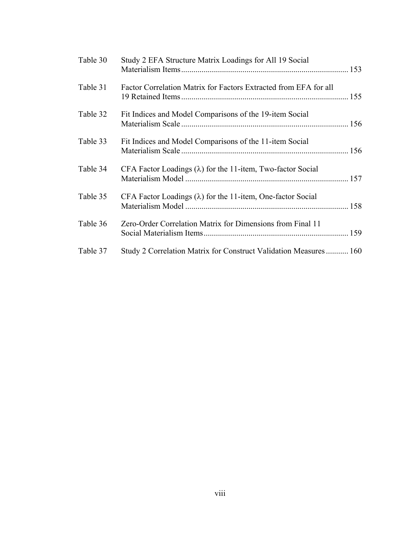| Table 30 | Study 2 EFA Structure Matrix Loadings for All 19 Social            |  |
|----------|--------------------------------------------------------------------|--|
| Table 31 | Factor Correlation Matrix for Factors Extracted from EFA for all   |  |
| Table 32 | Fit Indices and Model Comparisons of the 19-item Social            |  |
| Table 33 | Fit Indices and Model Comparisons of the 11-item Social            |  |
| Table 34 | CFA Factor Loadings $(\lambda)$ for the 11-item, Two-factor Social |  |
| Table 35 | CFA Factor Loadings $(\lambda)$ for the 11-item, One-factor Social |  |
| Table 36 | Zero-Order Correlation Matrix for Dimensions from Final 11         |  |
| Table 37 | Study 2 Correlation Matrix for Construct Validation Measures 160   |  |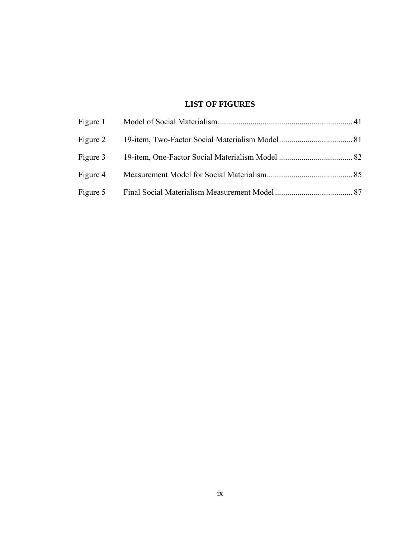## **LIST OF FIGURES**

| Figure 3 |  |
|----------|--|
| Figure 4 |  |
| Figure 5 |  |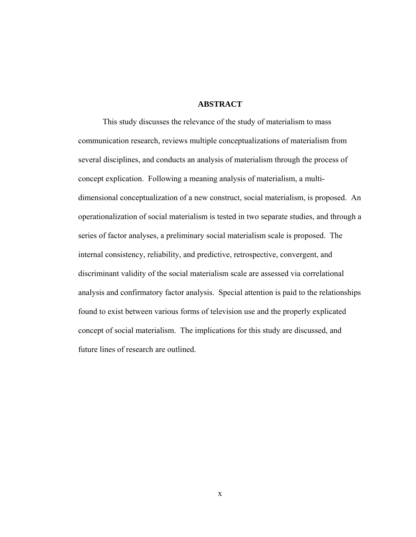#### **ABSTRACT**

This study discusses the relevance of the study of materialism to mass communication research, reviews multiple conceptualizations of materialism from several disciplines, and conducts an analysis of materialism through the process of concept explication. Following a meaning analysis of materialism, a multidimensional conceptualization of a new construct, social materialism, is proposed. An operationalization of social materialism is tested in two separate studies, and through a series of factor analyses, a preliminary social materialism scale is proposed. The internal consistency, reliability, and predictive, retrospective, convergent, and discriminant validity of the social materialism scale are assessed via correlational analysis and confirmatory factor analysis. Special attention is paid to the relationships found to exist between various forms of television use and the properly explicated concept of social materialism. The implications for this study are discussed, and future lines of research are outlined.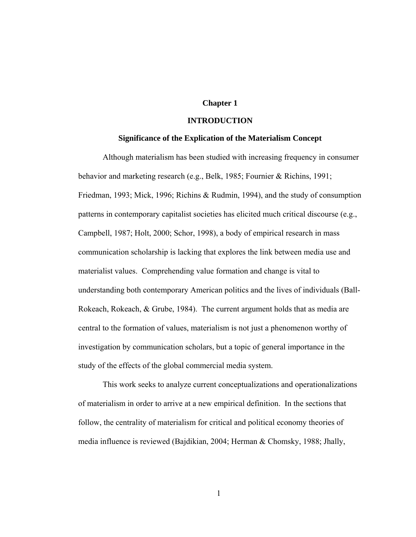### **Chapter 1**

#### **INTRODUCTION**

#### **Significance of the Explication of the Materialism Concept**

Although materialism has been studied with increasing frequency in consumer behavior and marketing research (e.g., Belk, 1985; Fournier & Richins, 1991; Friedman, 1993; Mick, 1996; Richins & Rudmin, 1994), and the study of consumption patterns in contemporary capitalist societies has elicited much critical discourse (e.g., Campbell, 1987; Holt, 2000; Schor, 1998), a body of empirical research in mass communication scholarship is lacking that explores the link between media use and materialist values. Comprehending value formation and change is vital to understanding both contemporary American politics and the lives of individuals (Ball-Rokeach, Rokeach, & Grube, 1984). The current argument holds that as media are central to the formation of values, materialism is not just a phenomenon worthy of investigation by communication scholars, but a topic of general importance in the study of the effects of the global commercial media system.

This work seeks to analyze current conceptualizations and operationalizations of materialism in order to arrive at a new empirical definition. In the sections that follow, the centrality of materialism for critical and political economy theories of media influence is reviewed (Bajdikian, 2004; Herman & Chomsky, 1988; Jhally,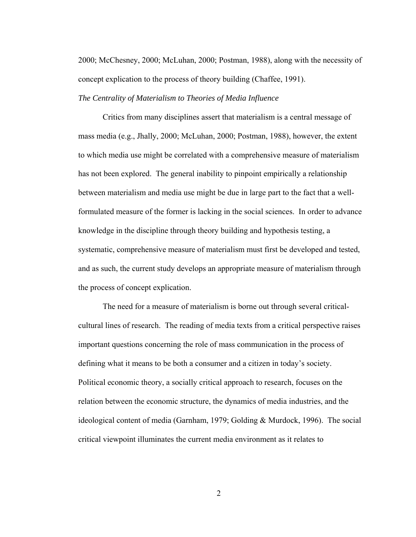2000; McChesney, 2000; McLuhan, 2000; Postman, 1988), along with the necessity of concept explication to the process of theory building (Chaffee, 1991).

#### *The Centrality of Materialism to Theories of Media Influence*

Critics from many disciplines assert that materialism is a central message of mass media (e.g., Jhally, 2000; McLuhan, 2000; Postman, 1988), however, the extent to which media use might be correlated with a comprehensive measure of materialism has not been explored. The general inability to pinpoint empirically a relationship between materialism and media use might be due in large part to the fact that a wellformulated measure of the former is lacking in the social sciences. In order to advance knowledge in the discipline through theory building and hypothesis testing, a systematic, comprehensive measure of materialism must first be developed and tested, and as such, the current study develops an appropriate measure of materialism through the process of concept explication.

The need for a measure of materialism is borne out through several criticalcultural lines of research. The reading of media texts from a critical perspective raises important questions concerning the role of mass communication in the process of defining what it means to be both a consumer and a citizen in today's society. Political economic theory, a socially critical approach to research, focuses on the relation between the economic structure, the dynamics of media industries, and the ideological content of media (Garnham, 1979; Golding & Murdock, 1996). The social critical viewpoint illuminates the current media environment as it relates to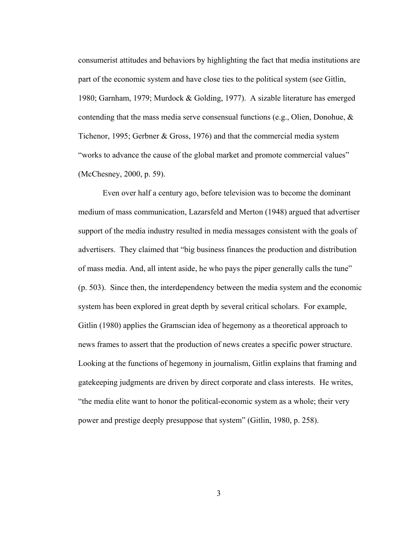consumerist attitudes and behaviors by highlighting the fact that media institutions are part of the economic system and have close ties to the political system (see Gitlin, 1980; Garnham, 1979; Murdock & Golding, 1977). A sizable literature has emerged contending that the mass media serve consensual functions (e.g., Olien, Donohue, & Tichenor, 1995; Gerbner & Gross, 1976) and that the commercial media system "works to advance the cause of the global market and promote commercial values" (McChesney, 2000, p. 59).

Even over half a century ago, before television was to become the dominant medium of mass communication, Lazarsfeld and Merton (1948) argued that advertiser support of the media industry resulted in media messages consistent with the goals of advertisers. They claimed that "big business finances the production and distribution of mass media. And, all intent aside, he who pays the piper generally calls the tune" (p. 503). Since then, the interdependency between the media system and the economic system has been explored in great depth by several critical scholars. For example, Gitlin (1980) applies the Gramscian idea of hegemony as a theoretical approach to news frames to assert that the production of news creates a specific power structure. Looking at the functions of hegemony in journalism, Gitlin explains that framing and gatekeeping judgments are driven by direct corporate and class interests. He writes, "the media elite want to honor the political-economic system as a whole; their very power and prestige deeply presuppose that system" (Gitlin, 1980, p. 258).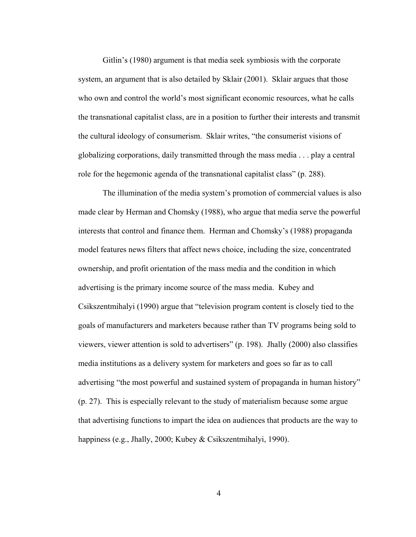Gitlin's (1980) argument is that media seek symbiosis with the corporate system, an argument that is also detailed by Sklair (2001). Sklair argues that those who own and control the world's most significant economic resources, what he calls the transnational capitalist class, are in a position to further their interests and transmit the cultural ideology of consumerism. Sklair writes, "the consumerist visions of globalizing corporations, daily transmitted through the mass media . . . play a central role for the hegemonic agenda of the transnational capitalist class" (p. 288).

The illumination of the media system's promotion of commercial values is also made clear by Herman and Chomsky (1988), who argue that media serve the powerful interests that control and finance them. Herman and Chomsky's (1988) propaganda model features news filters that affect news choice, including the size, concentrated ownership, and profit orientation of the mass media and the condition in which advertising is the primary income source of the mass media. Kubey and Csikszentmihalyi (1990) argue that "television program content is closely tied to the goals of manufacturers and marketers because rather than TV programs being sold to viewers, viewer attention is sold to advertisers" (p. 198). Jhally (2000) also classifies media institutions as a delivery system for marketers and goes so far as to call advertising "the most powerful and sustained system of propaganda in human history" (p. 27). This is especially relevant to the study of materialism because some argue that advertising functions to impart the idea on audiences that products are the way to happiness (e.g., Jhally, 2000; Kubey & Csikszentmihalyi, 1990).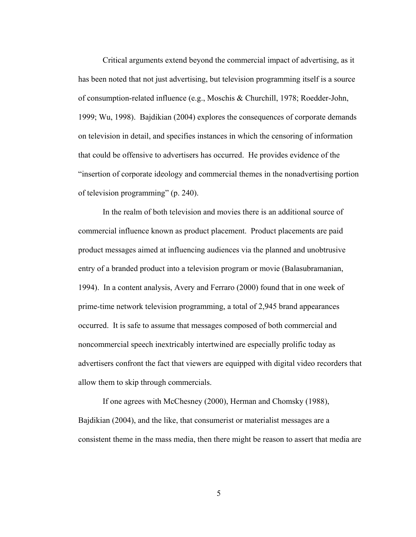Critical arguments extend beyond the commercial impact of advertising, as it has been noted that not just advertising, but television programming itself is a source of consumption-related influence (e.g., Moschis & Churchill, 1978; Roedder-John, 1999; Wu, 1998). Bajdikian (2004) explores the consequences of corporate demands on television in detail, and specifies instances in which the censoring of information that could be offensive to advertisers has occurred. He provides evidence of the "insertion of corporate ideology and commercial themes in the nonadvertising portion of television programming" (p. 240).

In the realm of both television and movies there is an additional source of commercial influence known as product placement. Product placements are paid product messages aimed at influencing audiences via the planned and unobtrusive entry of a branded product into a television program or movie (Balasubramanian, 1994). In a content analysis, Avery and Ferraro (2000) found that in one week of prime-time network television programming, a total of 2,945 brand appearances occurred. It is safe to assume that messages composed of both commercial and noncommercial speech inextricably intertwined are especially prolific today as advertisers confront the fact that viewers are equipped with digital video recorders that allow them to skip through commercials.

If one agrees with McChesney (2000), Herman and Chomsky (1988), Bajdikian (2004), and the like, that consumerist or materialist messages are a consistent theme in the mass media, then there might be reason to assert that media are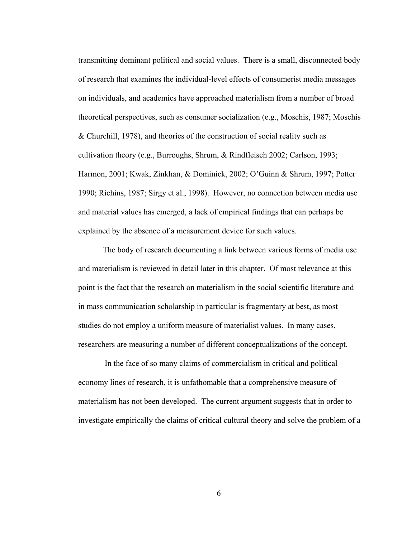transmitting dominant political and social values. There is a small, disconnected body of research that examines the individual-level effects of consumerist media messages on individuals, and academics have approached materialism from a number of broad theoretical perspectives, such as consumer socialization (e.g., Moschis, 1987; Moschis & Churchill, 1978), and theories of the construction of social reality such as cultivation theory (e.g., Burroughs, Shrum, & Rindfleisch 2002; Carlson, 1993; Harmon, 2001; Kwak, Zinkhan, & Dominick, 2002; O'Guinn & Shrum, 1997; Potter 1990; Richins, 1987; Sirgy et al., 1998). However, no connection between media use and material values has emerged, a lack of empirical findings that can perhaps be explained by the absence of a measurement device for such values.

The body of research documenting a link between various forms of media use and materialism is reviewed in detail later in this chapter. Of most relevance at this point is the fact that the research on materialism in the social scientific literature and in mass communication scholarship in particular is fragmentary at best, as most studies do not employ a uniform measure of materialist values. In many cases, researchers are measuring a number of different conceptualizations of the concept.

 In the face of so many claims of commercialism in critical and political economy lines of research, it is unfathomable that a comprehensive measure of materialism has not been developed. The current argument suggests that in order to investigate empirically the claims of critical cultural theory and solve the problem of a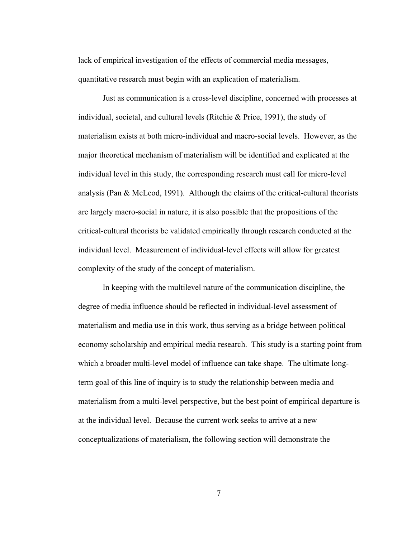lack of empirical investigation of the effects of commercial media messages, quantitative research must begin with an explication of materialism.

Just as communication is a cross-level discipline, concerned with processes at individual, societal, and cultural levels (Ritchie & Price, 1991), the study of materialism exists at both micro-individual and macro-social levels. However, as the major theoretical mechanism of materialism will be identified and explicated at the individual level in this study, the corresponding research must call for micro-level analysis (Pan & McLeod, 1991). Although the claims of the critical-cultural theorists are largely macro-social in nature, it is also possible that the propositions of the critical-cultural theorists be validated empirically through research conducted at the individual level. Measurement of individual-level effects will allow for greatest complexity of the study of the concept of materialism.

In keeping with the multilevel nature of the communication discipline, the degree of media influence should be reflected in individual-level assessment of materialism and media use in this work, thus serving as a bridge between political economy scholarship and empirical media research. This study is a starting point from which a broader multi-level model of influence can take shape. The ultimate longterm goal of this line of inquiry is to study the relationship between media and materialism from a multi-level perspective, but the best point of empirical departure is at the individual level. Because the current work seeks to arrive at a new conceptualizations of materialism, the following section will demonstrate the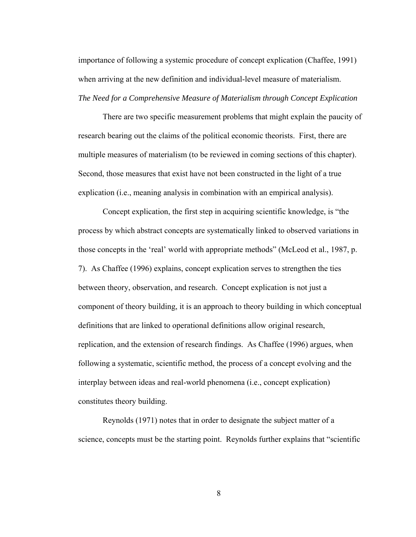importance of following a systemic procedure of concept explication (Chaffee, 1991) when arriving at the new definition and individual-level measure of materialism. *The Need for a Comprehensive Measure of Materialism through Concept Explication* 

There are two specific measurement problems that might explain the paucity of research bearing out the claims of the political economic theorists. First, there are multiple measures of materialism (to be reviewed in coming sections of this chapter). Second, those measures that exist have not been constructed in the light of a true explication (i.e., meaning analysis in combination with an empirical analysis).

Concept explication, the first step in acquiring scientific knowledge, is "the process by which abstract concepts are systematically linked to observed variations in those concepts in the 'real' world with appropriate methods" (McLeod et al., 1987, p. 7). As Chaffee (1996) explains, concept explication serves to strengthen the ties between theory, observation, and research. Concept explication is not just a component of theory building, it is an approach to theory building in which conceptual definitions that are linked to operational definitions allow original research, replication, and the extension of research findings. As Chaffee (1996) argues, when following a systematic, scientific method, the process of a concept evolving and the interplay between ideas and real-world phenomena (i.e., concept explication) constitutes theory building.

Reynolds (1971) notes that in order to designate the subject matter of a science, concepts must be the starting point. Reynolds further explains that "scientific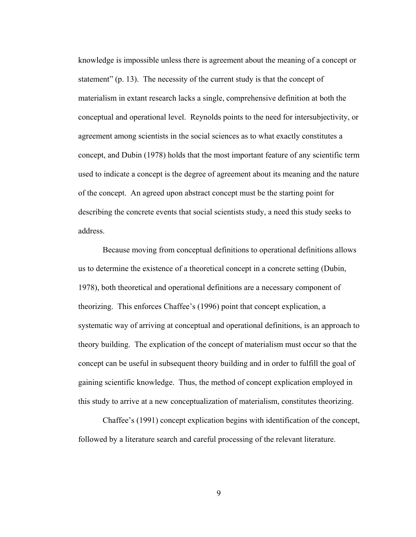knowledge is impossible unless there is agreement about the meaning of a concept or statement" (p. 13). The necessity of the current study is that the concept of materialism in extant research lacks a single, comprehensive definition at both the conceptual and operational level. Reynolds points to the need for intersubjectivity, or agreement among scientists in the social sciences as to what exactly constitutes a concept, and Dubin (1978) holds that the most important feature of any scientific term used to indicate a concept is the degree of agreement about its meaning and the nature of the concept. An agreed upon abstract concept must be the starting point for describing the concrete events that social scientists study, a need this study seeks to address.

Because moving from conceptual definitions to operational definitions allows us to determine the existence of a theoretical concept in a concrete setting (Dubin, 1978), both theoretical and operational definitions are a necessary component of theorizing. This enforces Chaffee's (1996) point that concept explication, a systematic way of arriving at conceptual and operational definitions, is an approach to theory building. The explication of the concept of materialism must occur so that the concept can be useful in subsequent theory building and in order to fulfill the goal of gaining scientific knowledge. Thus, the method of concept explication employed in this study to arrive at a new conceptualization of materialism, constitutes theorizing.

Chaffee's (1991) concept explication begins with identification of the concept, followed by a literature search and careful processing of the relevant literature.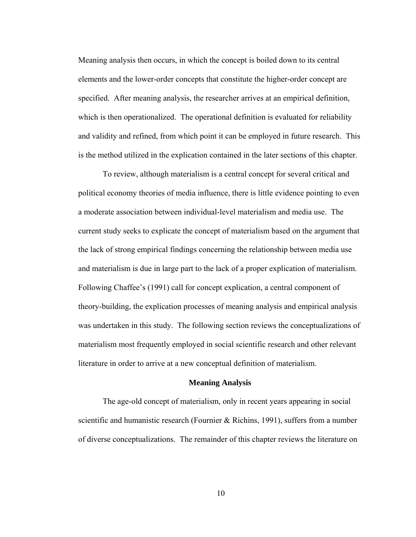Meaning analysis then occurs, in which the concept is boiled down to its central elements and the lower-order concepts that constitute the higher-order concept are specified. After meaning analysis, the researcher arrives at an empirical definition, which is then operationalized. The operational definition is evaluated for reliability and validity and refined, from which point it can be employed in future research. This is the method utilized in the explication contained in the later sections of this chapter.

To review, although materialism is a central concept for several critical and political economy theories of media influence, there is little evidence pointing to even a moderate association between individual-level materialism and media use. The current study seeks to explicate the concept of materialism based on the argument that the lack of strong empirical findings concerning the relationship between media use and materialism is due in large part to the lack of a proper explication of materialism. Following Chaffee's (1991) call for concept explication, a central component of theory-building, the explication processes of meaning analysis and empirical analysis was undertaken in this study. The following section reviews the conceptualizations of materialism most frequently employed in social scientific research and other relevant literature in order to arrive at a new conceptual definition of materialism.

#### **Meaning Analysis**

The age-old concept of materialism, only in recent years appearing in social scientific and humanistic research (Fournier & Richins, 1991), suffers from a number of diverse conceptualizations. The remainder of this chapter reviews the literature on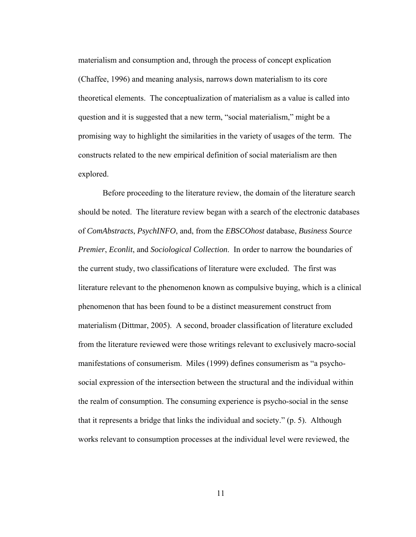materialism and consumption and, through the process of concept explication (Chaffee, 1996) and meaning analysis, narrows down materialism to its core theoretical elements. The conceptualization of materialism as a value is called into question and it is suggested that a new term, "social materialism," might be a promising way to highlight the similarities in the variety of usages of the term. The constructs related to the new empirical definition of social materialism are then explored.

Before proceeding to the literature review, the domain of the literature search should be noted. The literature review began with a search of the electronic databases of *ComAbstracts*, *PsychINFO*, and, from the *EBSCOhost* database, *Business Source Premier*, *Econlit*, and *Sociological Collection*. In order to narrow the boundaries of the current study, two classifications of literature were excluded. The first was literature relevant to the phenomenon known as compulsive buying, which is a clinical phenomenon that has been found to be a distinct measurement construct from materialism (Dittmar, 2005). A second, broader classification of literature excluded from the literature reviewed were those writings relevant to exclusively macro-social manifestations of consumerism. Miles (1999) defines consumerism as "a psychosocial expression of the intersection between the structural and the individual within the realm of consumption. The consuming experience is psycho-social in the sense that it represents a bridge that links the individual and society." (p. 5). Although works relevant to consumption processes at the individual level were reviewed, the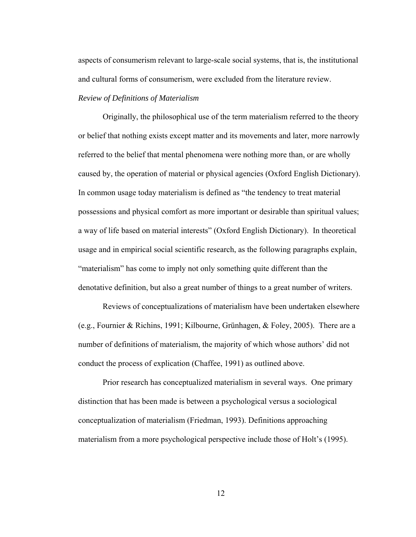aspects of consumerism relevant to large-scale social systems, that is, the institutional and cultural forms of consumerism, were excluded from the literature review.

#### *Review of Definitions of Materialism*

Originally, the philosophical use of the term materialism referred to the theory or belief that nothing exists except matter and its movements and later, more narrowly referred to the belief that mental phenomena were nothing more than, or are wholly caused by, the operation of material or physical agencies (Oxford English Dictionary). In common usage today materialism is defined as "the tendency to treat material possessions and physical comfort as more important or desirable than spiritual values; a way of life based on material interests" (Oxford English Dictionary). In theoretical usage and in empirical social scientific research, as the following paragraphs explain, "materialism" has come to imply not only something quite different than the denotative definition, but also a great number of things to a great number of writers.

 Reviews of conceptualizations of materialism have been undertaken elsewhere (e.g., Fournier & Richins, 1991; Kilbourne, Grünhagen, & Foley, 2005). There are a number of definitions of materialism, the majority of which whose authors' did not conduct the process of explication (Chaffee, 1991) as outlined above.

Prior research has conceptualized materialism in several ways. One primary distinction that has been made is between a psychological versus a sociological conceptualization of materialism (Friedman, 1993). Definitions approaching materialism from a more psychological perspective include those of Holt's (1995).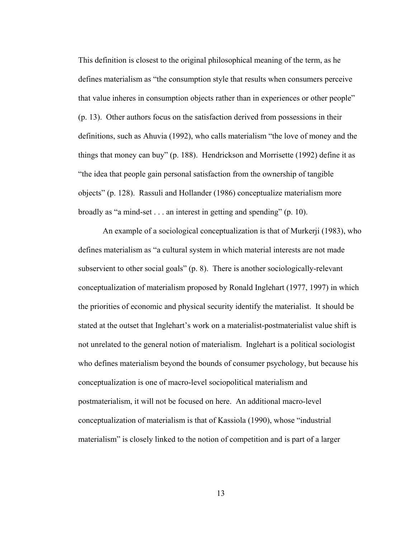This definition is closest to the original philosophical meaning of the term, as he defines materialism as "the consumption style that results when consumers perceive that value inheres in consumption objects rather than in experiences or other people" (p. 13). Other authors focus on the satisfaction derived from possessions in their definitions, such as Ahuvia (1992), who calls materialism "the love of money and the things that money can buy" (p. 188). Hendrickson and Morrisette (1992) define it as "the idea that people gain personal satisfaction from the ownership of tangible objects" (p. 128). Rassuli and Hollander (1986) conceptualize materialism more broadly as "a mind-set . . . an interest in getting and spending" (p. 10).

An example of a sociological conceptualization is that of Murkerji (1983), who defines materialism as "a cultural system in which material interests are not made subservient to other social goals" (p. 8). There is another sociologically-relevant conceptualization of materialism proposed by Ronald Inglehart (1977, 1997) in which the priorities of economic and physical security identify the materialist. It should be stated at the outset that Inglehart's work on a materialist-postmaterialist value shift is not unrelated to the general notion of materialism. Inglehart is a political sociologist who defines materialism beyond the bounds of consumer psychology, but because his conceptualization is one of macro-level sociopolitical materialism and postmaterialism, it will not be focused on here. An additional macro-level conceptualization of materialism is that of Kassiola (1990), whose "industrial materialism" is closely linked to the notion of competition and is part of a larger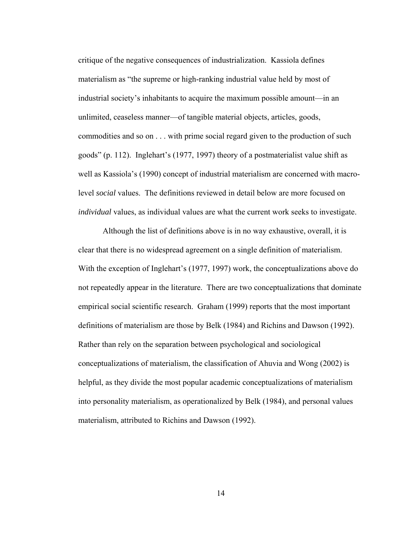critique of the negative consequences of industrialization. Kassiola defines materialism as "the supreme or high-ranking industrial value held by most of industrial society's inhabitants to acquire the maximum possible amount—in an unlimited, ceaseless manner—of tangible material objects, articles, goods, commodities and so on . . . with prime social regard given to the production of such goods" (p. 112). Inglehart's (1977, 1997) theory of a postmaterialist value shift as well as Kassiola's (1990) concept of industrial materialism are concerned with macrolevel *social* values. The definitions reviewed in detail below are more focused on *individual* values, as individual values are what the current work seeks to investigate.

Although the list of definitions above is in no way exhaustive, overall, it is clear that there is no widespread agreement on a single definition of materialism. With the exception of Inglehart's (1977, 1997) work, the conceptualizations above do not repeatedly appear in the literature. There are two conceptualizations that dominate empirical social scientific research. Graham (1999) reports that the most important definitions of materialism are those by Belk (1984) and Richins and Dawson (1992). Rather than rely on the separation between psychological and sociological conceptualizations of materialism, the classification of Ahuvia and Wong (2002) is helpful, as they divide the most popular academic conceptualizations of materialism into personality materialism, as operationalized by Belk (1984), and personal values materialism, attributed to Richins and Dawson (1992).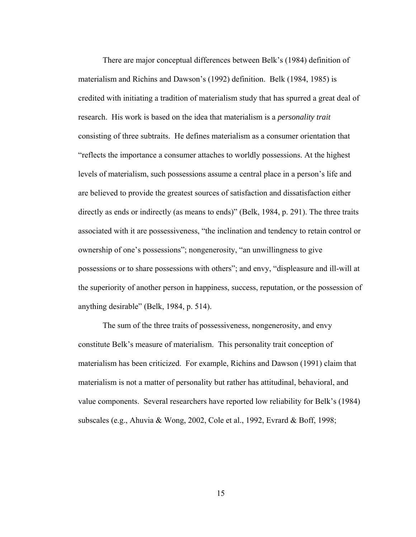There are major conceptual differences between Belk's (1984) definition of materialism and Richins and Dawson's (1992) definition. Belk (1984, 1985) is credited with initiating a tradition of materialism study that has spurred a great deal of research. His work is based on the idea that materialism is a *personality trait* consisting of three subtraits. He defines materialism as a consumer orientation that "reflects the importance a consumer attaches to worldly possessions. At the highest levels of materialism, such possessions assume a central place in a person's life and are believed to provide the greatest sources of satisfaction and dissatisfaction either directly as ends or indirectly (as means to ends)" (Belk, 1984, p. 291). The three traits associated with it are possessiveness, "the inclination and tendency to retain control or ownership of one's possessions"; nongenerosity, "an unwillingness to give possessions or to share possessions with others"; and envy, "displeasure and ill-will at the superiority of another person in happiness, success, reputation, or the possession of anything desirable" (Belk, 1984, p. 514).

The sum of the three traits of possessiveness, nongenerosity, and envy constitute Belk's measure of materialism. This personality trait conception of materialism has been criticized. For example, Richins and Dawson (1991) claim that materialism is not a matter of personality but rather has attitudinal, behavioral, and value components. Several researchers have reported low reliability for Belk's (1984) subscales (e.g., Ahuvia & Wong, 2002, Cole et al., 1992, Evrard & Boff, 1998;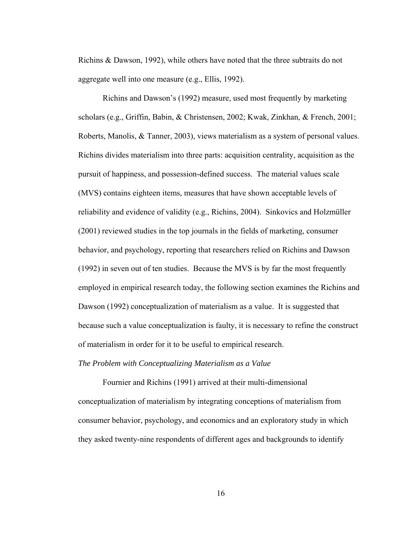Richins & Dawson, 1992), while others have noted that the three subtraits do not aggregate well into one measure (e.g., Ellis, 1992).

Richins and Dawson's (1992) measure, used most frequently by marketing scholars (e.g., Griffin, Babin, & Christensen, 2002; Kwak, Zinkhan, & French, 2001; Roberts, Manolis, & Tanner, 2003), views materialism as a system of personal values. Richins divides materialism into three parts: acquisition centrality, acquisition as the pursuit of happiness, and possession-defined success. The material values scale (MVS) contains eighteen items, measures that have shown acceptable levels of reliability and evidence of validity (e.g., Richins, 2004). Sinkovics and Holzmüller (2001) reviewed studies in the top journals in the fields of marketing, consumer behavior, and psychology, reporting that researchers relied on Richins and Dawson (1992) in seven out of ten studies. Because the MVS is by far the most frequently employed in empirical research today, the following section examines the Richins and Dawson (1992) conceptualization of materialism as a value. It is suggested that because such a value conceptualization is faulty, it is necessary to refine the construct of materialism in order for it to be useful to empirical research.

#### *The Problem with Conceptualizing Materialism as a Value*

Fournier and Richins (1991) arrived at their multi-dimensional conceptualization of materialism by integrating conceptions of materialism from consumer behavior, psychology, and economics and an exploratory study in which they asked twenty-nine respondents of different ages and backgrounds to identify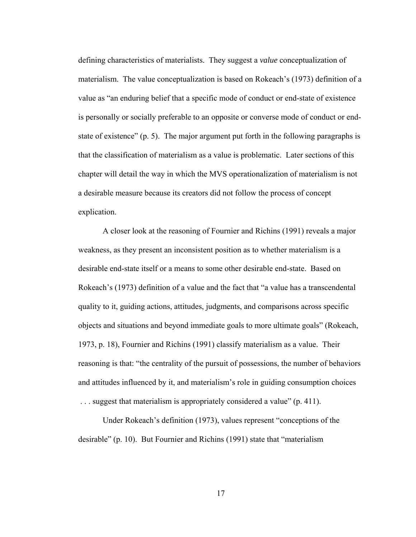defining characteristics of materialists. They suggest a *value* conceptualization of materialism. The value conceptualization is based on Rokeach's (1973) definition of a value as "an enduring belief that a specific mode of conduct or end-state of existence is personally or socially preferable to an opposite or converse mode of conduct or endstate of existence" (p. 5). The major argument put forth in the following paragraphs is that the classification of materialism as a value is problematic. Later sections of this chapter will detail the way in which the MVS operationalization of materialism is not a desirable measure because its creators did not follow the process of concept explication.

 A closer look at the reasoning of Fournier and Richins (1991) reveals a major weakness, as they present an inconsistent position as to whether materialism is a desirable end-state itself or a means to some other desirable end-state. Based on Rokeach's (1973) definition of a value and the fact that "a value has a transcendental quality to it, guiding actions, attitudes, judgments, and comparisons across specific objects and situations and beyond immediate goals to more ultimate goals" (Rokeach, 1973, p. 18), Fournier and Richins (1991) classify materialism as a value. Their reasoning is that: "the centrality of the pursuit of possessions, the number of behaviors and attitudes influenced by it, and materialism's role in guiding consumption choices ... suggest that materialism is appropriately considered a value" (p. 411).

Under Rokeach's definition (1973), values represent "conceptions of the desirable" (p. 10). But Fournier and Richins (1991) state that "materialism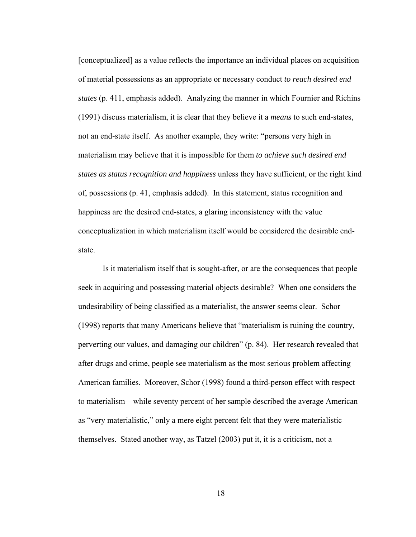[conceptualized] as a value reflects the importance an individual places on acquisition of material possessions as an appropriate or necessary conduct *to reach desired end states* (p. 411, emphasis added). Analyzing the manner in which Fournier and Richins (1991) discuss materialism, it is clear that they believe it a *means* to such end-states, not an end-state itself. As another example, they write: "persons very high in materialism may believe that it is impossible for them *to achieve such desired end states as status recognition and happiness* unless they have sufficient, or the right kind of, possessions (p. 41, emphasis added). In this statement, status recognition and happiness are the desired end-states, a glaring inconsistency with the value conceptualization in which materialism itself would be considered the desirable endstate.

Is it materialism itself that is sought-after, or are the consequences that people seek in acquiring and possessing material objects desirable? When one considers the undesirability of being classified as a materialist, the answer seems clear. Schor (1998) reports that many Americans believe that "materialism is ruining the country, perverting our values, and damaging our children" (p. 84). Her research revealed that after drugs and crime, people see materialism as the most serious problem affecting American families. Moreover, Schor (1998) found a third-person effect with respect to materialism—while seventy percent of her sample described the average American as "very materialistic," only a mere eight percent felt that they were materialistic themselves. Stated another way, as Tatzel (2003) put it, it is a criticism, not a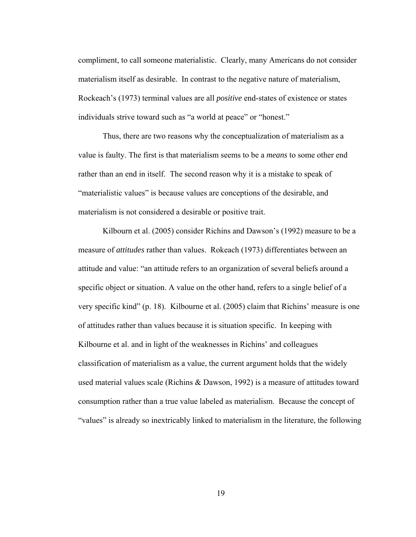compliment, to call someone materialistic. Clearly, many Americans do not consider materialism itself as desirable. In contrast to the negative nature of materialism, Rockeach's (1973) terminal values are all *positive* end-states of existence or states individuals strive toward such as "a world at peace" or "honest."

Thus, there are two reasons why the conceptualization of materialism as a value is faulty. The first is that materialism seems to be a *means* to some other end rather than an end in itself. The second reason why it is a mistake to speak of "materialistic values" is because values are conceptions of the desirable, and materialism is not considered a desirable or positive trait.

Kilbourn et al. (2005) consider Richins and Dawson's (1992) measure to be a measure of *attitudes* rather than values. Rokeach (1973) differentiates between an attitude and value: "an attitude refers to an organization of several beliefs around a specific object or situation. A value on the other hand, refers to a single belief of a very specific kind" (p. 18). Kilbourne et al. (2005) claim that Richins' measure is one of attitudes rather than values because it is situation specific. In keeping with Kilbourne et al. and in light of the weaknesses in Richins' and colleagues classification of materialism as a value, the current argument holds that the widely used material values scale (Richins & Dawson, 1992) is a measure of attitudes toward consumption rather than a true value labeled as materialism. Because the concept of "values" is already so inextricably linked to materialism in the literature, the following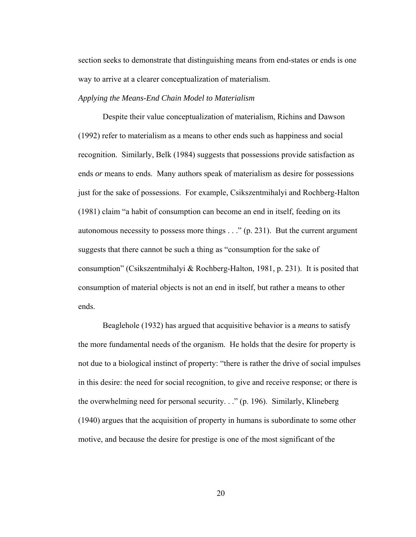section seeks to demonstrate that distinguishing means from end-states or ends is one way to arrive at a clearer conceptualization of materialism.

#### *Applying the Means-End Chain Model to Materialism*

Despite their value conceptualization of materialism, Richins and Dawson (1992) refer to materialism as a means to other ends such as happiness and social recognition. Similarly, Belk (1984) suggests that possessions provide satisfaction as ends *or* means to ends. Many authors speak of materialism as desire for possessions just for the sake of possessions. For example, Csikszentmihalyi and Rochberg-Halton (1981) claim "a habit of consumption can become an end in itself, feeding on its autonomous necessity to possess more things . . ." (p. 231). But the current argument suggests that there cannot be such a thing as "consumption for the sake of consumption" (Csikszentmihalyi & Rochberg-Halton, 1981, p. 231). It is posited that consumption of material objects is not an end in itself, but rather a means to other ends.

Beaglehole (1932) has argued that acquisitive behavior is a *means* to satisfy the more fundamental needs of the organism. He holds that the desire for property is not due to a biological instinct of property: "there is rather the drive of social impulses in this desire: the need for social recognition, to give and receive response; or there is the overwhelming need for personal security. . ." (p. 196). Similarly, Klineberg (1940) argues that the acquisition of property in humans is subordinate to some other motive, and because the desire for prestige is one of the most significant of the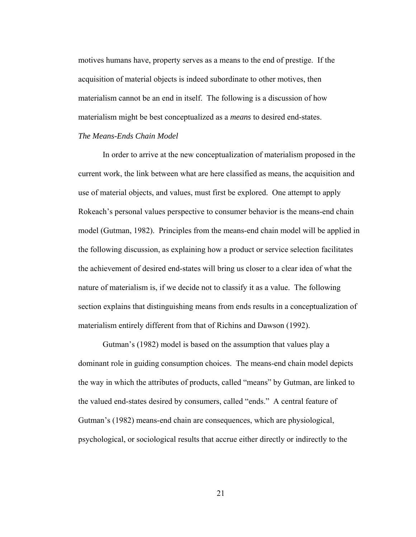motives humans have, property serves as a means to the end of prestige. If the acquisition of material objects is indeed subordinate to other motives, then materialism cannot be an end in itself. The following is a discussion of how materialism might be best conceptualized as a *means* to desired end-states. *The Means-Ends Chain Model* 

 In order to arrive at the new conceptualization of materialism proposed in the current work, the link between what are here classified as means, the acquisition and use of material objects, and values, must first be explored. One attempt to apply Rokeach's personal values perspective to consumer behavior is the means-end chain model (Gutman, 1982). Principles from the means-end chain model will be applied in the following discussion, as explaining how a product or service selection facilitates the achievement of desired end-states will bring us closer to a clear idea of what the nature of materialism is, if we decide not to classify it as a value. The following section explains that distinguishing means from ends results in a conceptualization of materialism entirely different from that of Richins and Dawson (1992).

Gutman's (1982) model is based on the assumption that values play a dominant role in guiding consumption choices. The means-end chain model depicts the way in which the attributes of products, called "means" by Gutman, are linked to the valued end-states desired by consumers, called "ends." A central feature of Gutman's (1982) means-end chain are consequences, which are physiological, psychological, or sociological results that accrue either directly or indirectly to the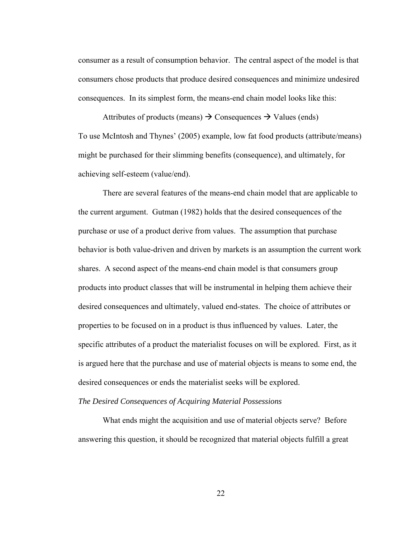consumer as a result of consumption behavior. The central aspect of the model is that consumers chose products that produce desired consequences and minimize undesired consequences. In its simplest form, the means-end chain model looks like this:

Attributes of products (means)  $\rightarrow$  Consequences  $\rightarrow$  Values (ends) To use McIntosh and Thynes' (2005) example, low fat food products (attribute/means) might be purchased for their slimming benefits (consequence), and ultimately, for achieving self-esteem (value/end).

There are several features of the means-end chain model that are applicable to the current argument. Gutman (1982) holds that the desired consequences of the purchase or use of a product derive from values. The assumption that purchase behavior is both value-driven and driven by markets is an assumption the current work shares. A second aspect of the means-end chain model is that consumers group products into product classes that will be instrumental in helping them achieve their desired consequences and ultimately, valued end-states. The choice of attributes or properties to be focused on in a product is thus influenced by values. Later, the specific attributes of a product the materialist focuses on will be explored. First, as it is argued here that the purchase and use of material objects is means to some end, the desired consequences or ends the materialist seeks will be explored.

#### *The Desired Consequences of Acquiring Material Possessions*

 What ends might the acquisition and use of material objects serve? Before answering this question, it should be recognized that material objects fulfill a great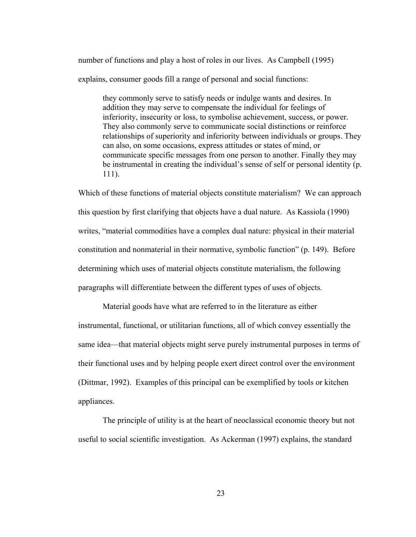number of functions and play a host of roles in our lives. As Campbell (1995) explains, consumer goods fill a range of personal and social functions:

they commonly serve to satisfy needs or indulge wants and desires. In addition they may serve to compensate the individual for feelings of inferiority, insecurity or loss, to symbolise achievement, success, or power. They also commonly serve to communicate social distinctions or reinforce relationships of superiority and inferiority between individuals or groups. They can also, on some occasions, express attitudes or states of mind, or communicate specific messages from one person to another. Finally they may be instrumental in creating the individual's sense of self or personal identity (p. 111).

Which of these functions of material objects constitute materialism? We can approach this question by first clarifying that objects have a dual nature. As Kassiola (1990) writes, "material commodities have a complex dual nature: physical in their material constitution and nonmaterial in their normative, symbolic function" (p. 149). Before determining which uses of material objects constitute materialism, the following paragraphs will differentiate between the different types of uses of objects.

Material goods have what are referred to in the literature as either instrumental, functional, or utilitarian functions, all of which convey essentially the same idea—that material objects might serve purely instrumental purposes in terms of their functional uses and by helping people exert direct control over the environment (Dittmar, 1992). Examples of this principal can be exemplified by tools or kitchen appliances.

The principle of utility is at the heart of neoclassical economic theory but not useful to social scientific investigation. As Ackerman (1997) explains, the standard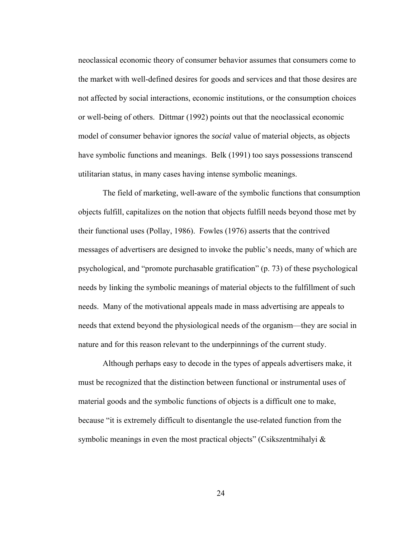neoclassical economic theory of consumer behavior assumes that consumers come to the market with well-defined desires for goods and services and that those desires are not affected by social interactions, economic institutions, or the consumption choices or well-being of others. Dittmar (1992) points out that the neoclassical economic model of consumer behavior ignores the *social* value of material objects, as objects have symbolic functions and meanings. Belk (1991) too says possessions transcend utilitarian status, in many cases having intense symbolic meanings.

The field of marketing, well-aware of the symbolic functions that consumption objects fulfill, capitalizes on the notion that objects fulfill needs beyond those met by their functional uses (Pollay, 1986). Fowles (1976) asserts that the contrived messages of advertisers are designed to invoke the public's needs, many of which are psychological, and "promote purchasable gratification" (p. 73) of these psychological needs by linking the symbolic meanings of material objects to the fulfillment of such needs. Many of the motivational appeals made in mass advertising are appeals to needs that extend beyond the physiological needs of the organism—they are social in nature and for this reason relevant to the underpinnings of the current study.

Although perhaps easy to decode in the types of appeals advertisers make, it must be recognized that the distinction between functional or instrumental uses of material goods and the symbolic functions of objects is a difficult one to make, because "it is extremely difficult to disentangle the use-related function from the symbolic meanings in even the most practical objects" (Csikszentmihalyi  $\&$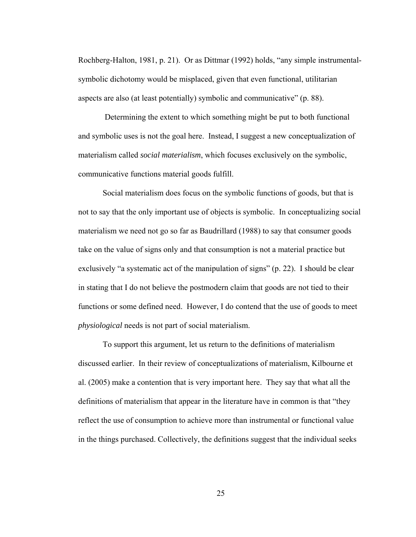Rochberg-Halton, 1981, p. 21). Or as Dittmar (1992) holds, "any simple instrumentalsymbolic dichotomy would be misplaced, given that even functional, utilitarian aspects are also (at least potentially) symbolic and communicative" (p. 88).

 Determining the extent to which something might be put to both functional and symbolic uses is not the goal here. Instead, I suggest a new conceptualization of materialism called *social materialism*, which focuses exclusively on the symbolic, communicative functions material goods fulfill.

Social materialism does focus on the symbolic functions of goods, but that is not to say that the only important use of objects is symbolic. In conceptualizing social materialism we need not go so far as Baudrillard (1988) to say that consumer goods take on the value of signs only and that consumption is not a material practice but exclusively "a systematic act of the manipulation of signs" (p. 22). I should be clear in stating that I do not believe the postmodern claim that goods are not tied to their functions or some defined need. However, I do contend that the use of goods to meet *physiological* needs is not part of social materialism.

To support this argument, let us return to the definitions of materialism discussed earlier. In their review of conceptualizations of materialism, Kilbourne et al. (2005) make a contention that is very important here. They say that what all the definitions of materialism that appear in the literature have in common is that "they reflect the use of consumption to achieve more than instrumental or functional value in the things purchased. Collectively, the definitions suggest that the individual seeks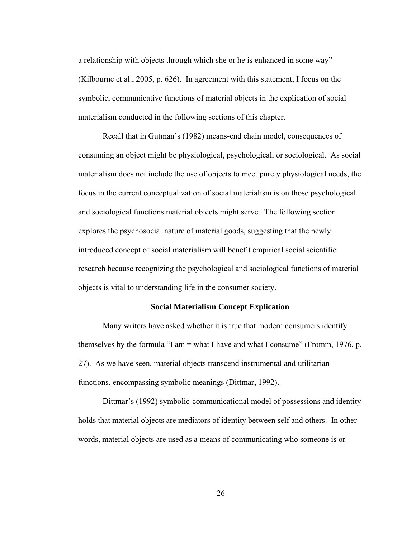a relationship with objects through which she or he is enhanced in some way" (Kilbourne et al., 2005, p. 626). In agreement with this statement, I focus on the symbolic, communicative functions of material objects in the explication of social materialism conducted in the following sections of this chapter.

Recall that in Gutman's (1982) means-end chain model, consequences of consuming an object might be physiological, psychological, or sociological. As social materialism does not include the use of objects to meet purely physiological needs, the focus in the current conceptualization of social materialism is on those psychological and sociological functions material objects might serve. The following section explores the psychosocial nature of material goods, suggesting that the newly introduced concept of social materialism will benefit empirical social scientific research because recognizing the psychological and sociological functions of material objects is vital to understanding life in the consumer society.

#### **Social Materialism Concept Explication**

Many writers have asked whether it is true that modern consumers identify themselves by the formula "I am  $=$  what I have and what I consume" (Fromm, 1976, p. 27). As we have seen, material objects transcend instrumental and utilitarian functions, encompassing symbolic meanings (Dittmar, 1992).

Dittmar's (1992) symbolic-communicational model of possessions and identity holds that material objects are mediators of identity between self and others. In other words, material objects are used as a means of communicating who someone is or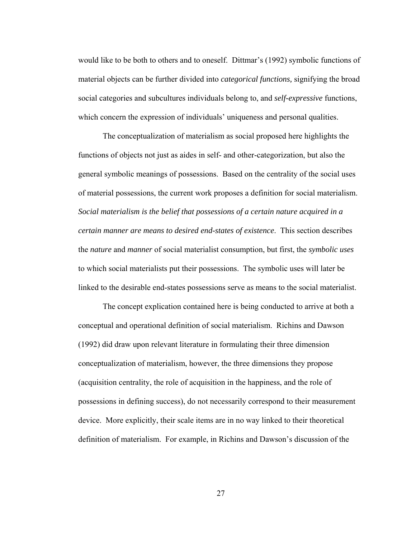would like to be both to others and to oneself. Dittmar's (1992) symbolic functions of material objects can be further divided into *categorical functions,* signifying the broad social categories and subcultures individuals belong to, and *self-expressive* functions, which concern the expression of individuals' uniqueness and personal qualities.

The conceptualization of materialism as social proposed here highlights the functions of objects not just as aides in self- and other-categorization, but also the general symbolic meanings of possessions. Based on the centrality of the social uses of material possessions, the current work proposes a definition for social materialism. *Social materialism is the belief that possessions of a certain nature acquired in a certain manner are means to desired end-states of existence*. This section describes the *nature* and *manner* of social materialist consumption, but first, the *symbolic uses* to which social materialists put their possessions. The symbolic uses will later be linked to the desirable end-states possessions serve as means to the social materialist.

The concept explication contained here is being conducted to arrive at both a conceptual and operational definition of social materialism. Richins and Dawson (1992) did draw upon relevant literature in formulating their three dimension conceptualization of materialism, however, the three dimensions they propose (acquisition centrality, the role of acquisition in the happiness, and the role of possessions in defining success), do not necessarily correspond to their measurement device. More explicitly, their scale items are in no way linked to their theoretical definition of materialism. For example, in Richins and Dawson's discussion of the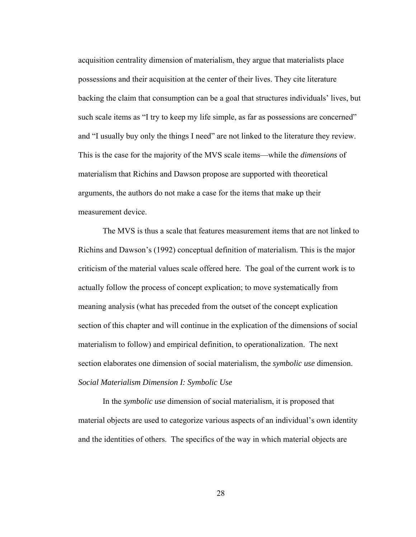acquisition centrality dimension of materialism, they argue that materialists place possessions and their acquisition at the center of their lives. They cite literature backing the claim that consumption can be a goal that structures individuals' lives, but such scale items as "I try to keep my life simple, as far as possessions are concerned" and "I usually buy only the things I need" are not linked to the literature they review. This is the case for the majority of the MVS scale items—while the *dimensions* of materialism that Richins and Dawson propose are supported with theoretical arguments, the authors do not make a case for the items that make up their measurement device.

The MVS is thus a scale that features measurement items that are not linked to Richins and Dawson's (1992) conceptual definition of materialism. This is the major criticism of the material values scale offered here. The goal of the current work is to actually follow the process of concept explication; to move systematically from meaning analysis (what has preceded from the outset of the concept explication section of this chapter and will continue in the explication of the dimensions of social materialism to follow) and empirical definition, to operationalization. The next section elaborates one dimension of social materialism, the *symbolic use* dimension. *Social Materialism Dimension I: Symbolic Use* 

In the *symbolic use* dimension of social materialism, it is proposed that material objects are used to categorize various aspects of an individual's own identity and the identities of others. The specifics of the way in which material objects are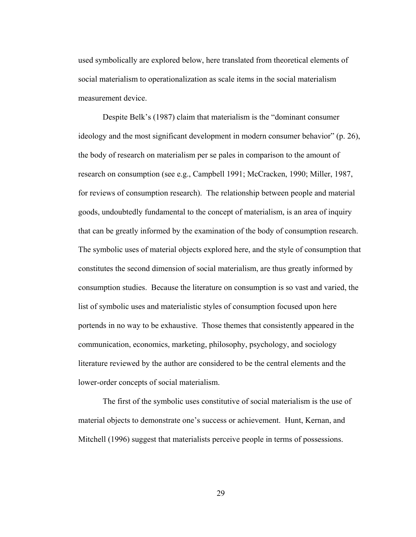used symbolically are explored below, here translated from theoretical elements of social materialism to operationalization as scale items in the social materialism measurement device.

Despite Belk's (1987) claim that materialism is the "dominant consumer ideology and the most significant development in modern consumer behavior" (p. 26), the body of research on materialism per se pales in comparison to the amount of research on consumption (see e.g., Campbell 1991; McCracken, 1990; Miller, 1987, for reviews of consumption research). The relationship between people and material goods, undoubtedly fundamental to the concept of materialism, is an area of inquiry that can be greatly informed by the examination of the body of consumption research. The symbolic uses of material objects explored here, and the style of consumption that constitutes the second dimension of social materialism, are thus greatly informed by consumption studies. Because the literature on consumption is so vast and varied, the list of symbolic uses and materialistic styles of consumption focused upon here portends in no way to be exhaustive. Those themes that consistently appeared in the communication, economics, marketing, philosophy, psychology, and sociology literature reviewed by the author are considered to be the central elements and the lower-order concepts of social materialism.

The first of the symbolic uses constitutive of social materialism is the use of material objects to demonstrate one's success or achievement. Hunt, Kernan, and Mitchell (1996) suggest that materialists perceive people in terms of possessions.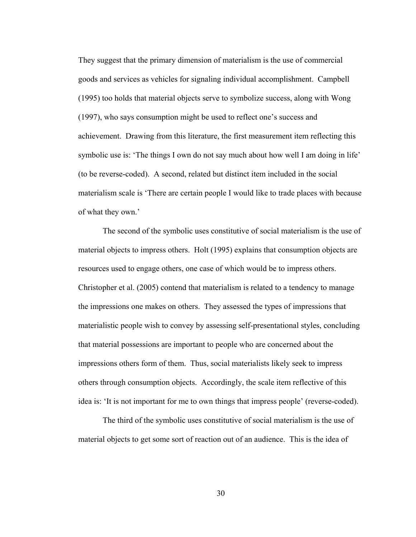They suggest that the primary dimension of materialism is the use of commercial goods and services as vehicles for signaling individual accomplishment. Campbell (1995) too holds that material objects serve to symbolize success, along with Wong (1997), who says consumption might be used to reflect one's success and achievement. Drawing from this literature, the first measurement item reflecting this symbolic use is: 'The things I own do not say much about how well I am doing in life' (to be reverse-coded). A second, related but distinct item included in the social materialism scale is 'There are certain people I would like to trade places with because of what they own.'

The second of the symbolic uses constitutive of social materialism is the use of material objects to impress others. Holt (1995) explains that consumption objects are resources used to engage others, one case of which would be to impress others. Christopher et al. (2005) contend that materialism is related to a tendency to manage the impressions one makes on others. They assessed the types of impressions that materialistic people wish to convey by assessing self-presentational styles, concluding that material possessions are important to people who are concerned about the impressions others form of them. Thus, social materialists likely seek to impress others through consumption objects. Accordingly, the scale item reflective of this idea is: 'It is not important for me to own things that impress people' (reverse-coded).

The third of the symbolic uses constitutive of social materialism is the use of material objects to get some sort of reaction out of an audience. This is the idea of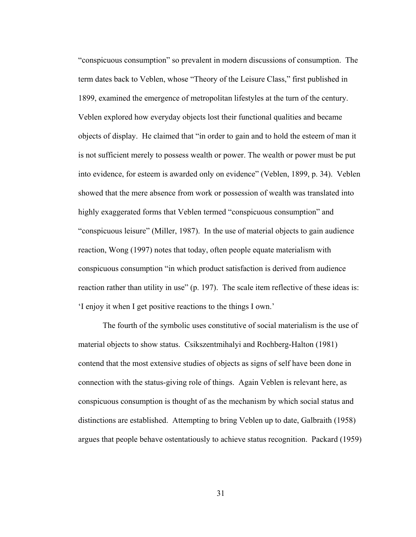"conspicuous consumption" so prevalent in modern discussions of consumption. The term dates back to Veblen, whose "Theory of the Leisure Class," first published in 1899, examined the emergence of metropolitan lifestyles at the turn of the century. Veblen explored how everyday objects lost their functional qualities and became objects of display. He claimed that "in order to gain and to hold the esteem of man it is not sufficient merely to possess wealth or power. The wealth or power must be put into evidence, for esteem is awarded only on evidence" (Veblen, 1899, p. 34). Veblen showed that the mere absence from work or possession of wealth was translated into highly exaggerated forms that Veblen termed "conspicuous consumption" and "conspicuous leisure" (Miller, 1987). In the use of material objects to gain audience reaction, Wong (1997) notes that today, often people equate materialism with conspicuous consumption "in which product satisfaction is derived from audience reaction rather than utility in use" (p. 197). The scale item reflective of these ideas is: 'I enjoy it when I get positive reactions to the things I own.'

The fourth of the symbolic uses constitutive of social materialism is the use of material objects to show status. Csikszentmihalyi and Rochberg-Halton (1981) contend that the most extensive studies of objects as signs of self have been done in connection with the status-giving role of things. Again Veblen is relevant here, as conspicuous consumption is thought of as the mechanism by which social status and distinctions are established. Attempting to bring Veblen up to date, Galbraith (1958) argues that people behave ostentatiously to achieve status recognition. Packard (1959)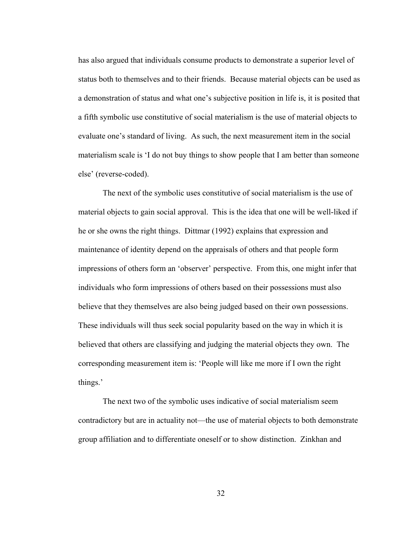has also argued that individuals consume products to demonstrate a superior level of status both to themselves and to their friends. Because material objects can be used as a demonstration of status and what one's subjective position in life is, it is posited that a fifth symbolic use constitutive of social materialism is the use of material objects to evaluate one's standard of living. As such, the next measurement item in the social materialism scale is 'I do not buy things to show people that I am better than someone else' (reverse-coded).

The next of the symbolic uses constitutive of social materialism is the use of material objects to gain social approval. This is the idea that one will be well-liked if he or she owns the right things. Dittmar (1992) explains that expression and maintenance of identity depend on the appraisals of others and that people form impressions of others form an 'observer' perspective. From this, one might infer that individuals who form impressions of others based on their possessions must also believe that they themselves are also being judged based on their own possessions. These individuals will thus seek social popularity based on the way in which it is believed that others are classifying and judging the material objects they own. The corresponding measurement item is: 'People will like me more if I own the right things.'

The next two of the symbolic uses indicative of social materialism seem contradictory but are in actuality not—the use of material objects to both demonstrate group affiliation and to differentiate oneself or to show distinction. Zinkhan and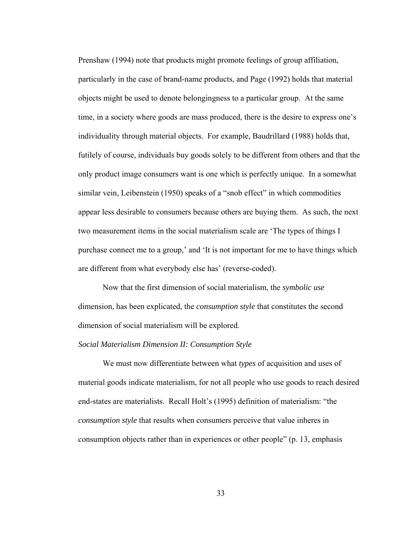Prenshaw (1994) note that products might promote feelings of group affiliation, particularly in the case of brand-name products, and Page (1992) holds that material objects might be used to denote belongingness to a particular group. At the same time, in a society where goods are mass produced, there is the desire to express one's individuality through material objects. For example, Baudrillard (1988) holds that, futilely of course, individuals buy goods solely to be different from others and that the only product image consumers want is one which is perfectly unique. In a somewhat similar vein, Leibenstein (1950) speaks of a "snob effect" in which commodities appear less desirable to consumers because others are buying them. As such, the next two measurement items in the social materialism scale are 'The types of things I purchase connect me to a group,' and 'It is not important for me to have things which are different from what everybody else has' (reverse-coded).

Now that the first dimension of social materialism, the *symbolic use*  dimension, has been explicated, the *consumption style* that constitutes the second dimension of social materialism will be explored.

## *Social Materialism Dimension II: Consumption Style*

We must now differentiate between what *types* of acquisition and uses of material goods indicate materialism, for not all people who use goods to reach desired end-states are materialists. Recall Holt's (1995) definition of materialism: "the *consumption style* that results when consumers perceive that value inheres in consumption objects rather than in experiences or other people" (p. 13, emphasis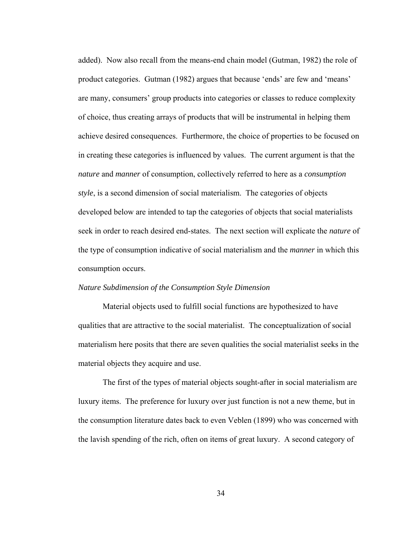added). Now also recall from the means-end chain model (Gutman, 1982) the role of product categories. Gutman (1982) argues that because 'ends' are few and 'means' are many, consumers' group products into categories or classes to reduce complexity of choice, thus creating arrays of products that will be instrumental in helping them achieve desired consequences. Furthermore, the choice of properties to be focused on in creating these categories is influenced by values. The current argument is that the *nature* and *manner* of consumption, collectively referred to here as a *consumption style*, is a second dimension of social materialism. The categories of objects developed below are intended to tap the categories of objects that social materialists seek in order to reach desired end-states. The next section will explicate the *nature* of the type of consumption indicative of social materialism and the *manner* in which this consumption occurs.

## *Nature Subdimension of the Consumption Style Dimension*

Material objects used to fulfill social functions are hypothesized to have qualities that are attractive to the social materialist. The conceptualization of social materialism here posits that there are seven qualities the social materialist seeks in the material objects they acquire and use.

The first of the types of material objects sought-after in social materialism are luxury items. The preference for luxury over just function is not a new theme, but in the consumption literature dates back to even Veblen (1899) who was concerned with the lavish spending of the rich, often on items of great luxury. A second category of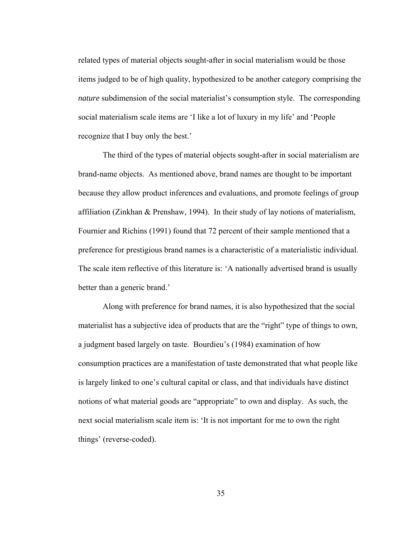related types of material objects sought-after in social materialism would be those items judged to be of high quality, hypothesized to be another category comprising the *nature* subdimension of the social materialist's consumption style. The corresponding social materialism scale items are 'I like a lot of luxury in my life' and 'People recognize that I buy only the best.'

The third of the types of material objects sought-after in social materialism are brand-name objects. As mentioned above, brand names are thought to be important because they allow product inferences and evaluations, and promote feelings of group affiliation (Zinkhan & Prenshaw, 1994). In their study of lay notions of materialism, Fournier and Richins (1991) found that 72 percent of their sample mentioned that a preference for prestigious brand names is a characteristic of a materialistic individual. The scale item reflective of this literature is: 'A nationally advertised brand is usually better than a generic brand.'

Along with preference for brand names, it is also hypothesized that the social materialist has a subjective idea of products that are the "right" type of things to own, a judgment based largely on taste. Bourdieu's (1984) examination of how consumption practices are a manifestation of taste demonstrated that what people like is largely linked to one's cultural capital or class, and that individuals have distinct notions of what material goods are "appropriate" to own and display. As such, the next social materialism scale item is: 'It is not important for me to own the right things' (reverse-coded).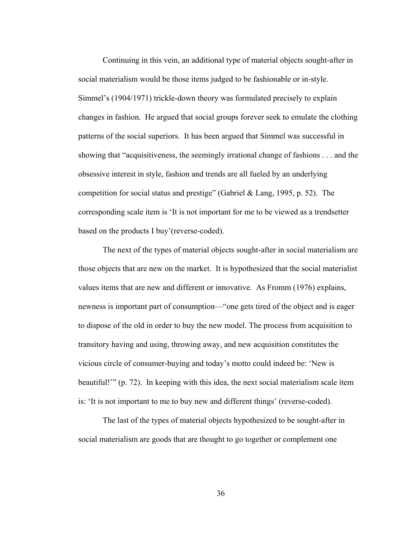Continuing in this vein, an additional type of material objects sought-after in social materialism would be those items judged to be fashionable or in-style. Simmel's (1904/1971) trickle-down theory was formulated precisely to explain changes in fashion. He argued that social groups forever seek to emulate the clothing patterns of the social superiors. It has been argued that Simmel was successful in showing that "acquisitiveness, the seemingly irrational change of fashions . . . and the obsessive interest in style, fashion and trends are all fueled by an underlying competition for social status and prestige" (Gabriel & Lang, 1995, p. 52). The corresponding scale item is 'It is not important for me to be viewed as a trendsetter based on the products I buy'(reverse-coded).

The next of the types of material objects sought-after in social materialism are those objects that are new on the market. It is hypothesized that the social materialist values items that are new and different or innovative. As Fromm (1976) explains, newness is important part of consumption—"one gets tired of the object and is eager to dispose of the old in order to buy the new model. The process from acquisition to transitory having and using, throwing away, and new acquisition constitutes the vicious circle of consumer-buying and today's motto could indeed be: 'New is beautiful!'" (p. 72). In keeping with this idea, the next social materialism scale item is: 'It is not important to me to buy new and different things' (reverse-coded).

The last of the types of material objects hypothesized to be sought-after in social materialism are goods that are thought to go together or complement one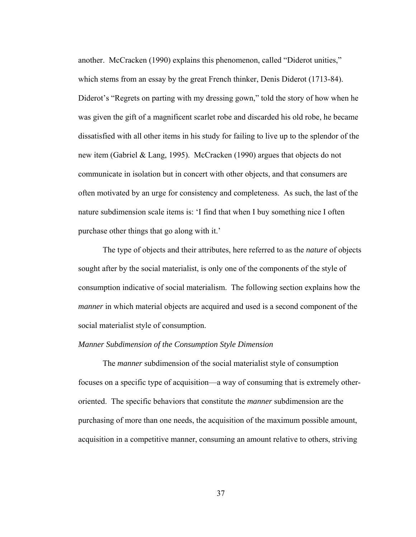another.McCracken (1990) explains this phenomenon, called "Diderot unities," which stems from an essay by the great French thinker, Denis Diderot (1713-84). Diderot's "Regrets on parting with my dressing gown," told the story of how when he was given the gift of a magnificent scarlet robe and discarded his old robe, he became dissatisfied with all other items in his study for failing to live up to the splendor of the new item (Gabriel & Lang, 1995). McCracken (1990) argues that objects do not communicate in isolation but in concert with other objects, and that consumers are often motivated by an urge for consistency and completeness. As such, the last of the nature subdimension scale items is: 'I find that when I buy something nice I often purchase other things that go along with it.'

The type of objects and their attributes, here referred to as the *nature* of objects sought after by the social materialist, is only one of the components of the style of consumption indicative of social materialism. The following section explains how the *manner* in which material objects are acquired and used is a second component of the social materialist style of consumption.

## *Manner Subdimension of the Consumption Style Dimension*

The *manner* subdimension of the social materialist style of consumption focuses on a specific type of acquisition—a way of consuming that is extremely otheroriented. The specific behaviors that constitute the *manner* subdimension are the purchasing of more than one needs, the acquisition of the maximum possible amount, acquisition in a competitive manner, consuming an amount relative to others, striving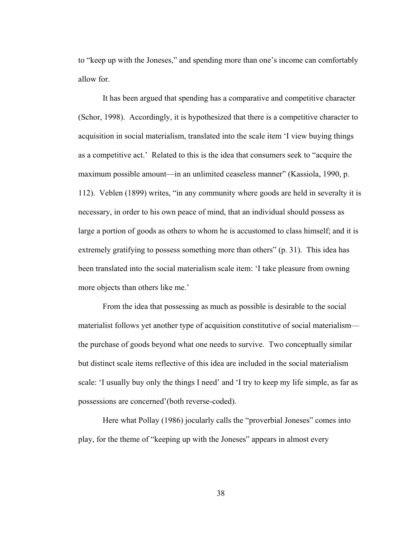to "keep up with the Joneses," and spending more than one's income can comfortably allow for.

It has been argued that spending has a comparative and competitive character (Schor, 1998). Accordingly, it is hypothesized that there is a competitive character to acquisition in social materialism, translated into the scale item 'I view buying things as a competitive act.' Related to this is the idea that consumers seek to "acquire the maximum possible amount—in an unlimited ceaseless manner" (Kassiola, 1990, p. 112). Veblen (1899) writes, "in any community where goods are held in severalty it is necessary, in order to his own peace of mind, that an individual should possess as large a portion of goods as others to whom he is accustomed to class himself; and it is extremely gratifying to possess something more than others" (p. 31). This idea has been translated into the social materialism scale item: 'I take pleasure from owning more objects than others like me.'

From the idea that possessing as much as possible is desirable to the social materialist follows yet another type of acquisition constitutive of social materialism the purchase of goods beyond what one needs to survive. Two conceptually similar but distinct scale items reflective of this idea are included in the social materialism scale: 'I usually buy only the things I need' and 'I try to keep my life simple, as far as possessions are concerned'(both reverse-coded).

Here what Pollay (1986) jocularly calls the "proverbial Joneses" comes into play, for the theme of "keeping up with the Joneses" appears in almost every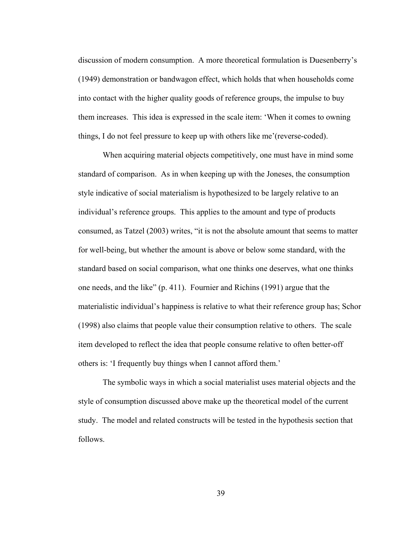discussion of modern consumption. A more theoretical formulation is Duesenberry's (1949) demonstration or bandwagon effect, which holds that when households come into contact with the higher quality goods of reference groups, the impulse to buy them increases. This idea is expressed in the scale item: 'When it comes to owning things, I do not feel pressure to keep up with others like me'(reverse-coded).

When acquiring material objects competitively, one must have in mind some standard of comparison. As in when keeping up with the Joneses, the consumption style indicative of social materialism is hypothesized to be largely relative to an individual's reference groups. This applies to the amount and type of products consumed, as Tatzel (2003) writes, "it is not the absolute amount that seems to matter for well-being, but whether the amount is above or below some standard, with the standard based on social comparison, what one thinks one deserves, what one thinks one needs, and the like" (p. 411). Fournier and Richins (1991) argue that the materialistic individual's happiness is relative to what their reference group has; Schor (1998) also claims that people value their consumption relative to others. The scale item developed to reflect the idea that people consume relative to often better-off others is: 'I frequently buy things when I cannot afford them.'

The symbolic ways in which a social materialist uses material objects and the style of consumption discussed above make up the theoretical model of the current study. The model and related constructs will be tested in the hypothesis section that follows.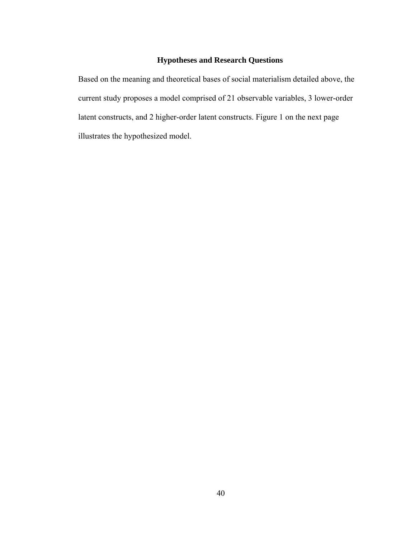# **Hypotheses and Research Questions**

Based on the meaning and theoretical bases of social materialism detailed above, the current study proposes a model comprised of 21 observable variables, 3 lower-order latent constructs, and 2 higher-order latent constructs. Figure 1 on the next page illustrates the hypothesized model.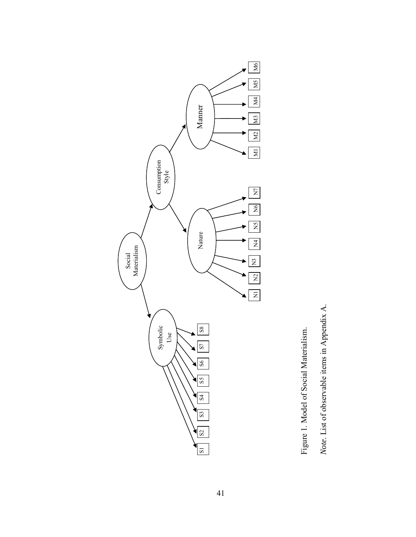

Figure 1. Model of Social Materialism. *Note*. List of observable items in Appendix A.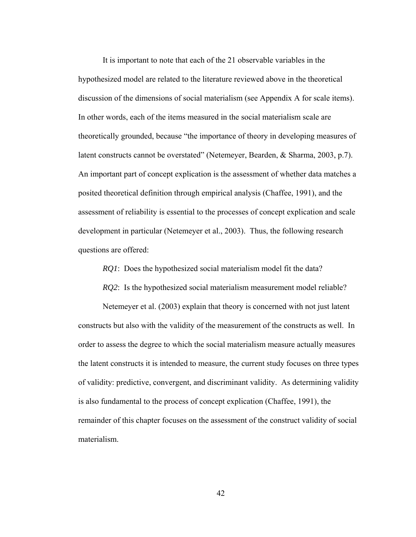It is important to note that each of the 21 observable variables in the hypothesized model are related to the literature reviewed above in the theoretical discussion of the dimensions of social materialism (see Appendix A for scale items). In other words, each of the items measured in the social materialism scale are theoretically grounded, because "the importance of theory in developing measures of latent constructs cannot be overstated" (Netemeyer, Bearden, & Sharma, 2003, p.7). An important part of concept explication is the assessment of whether data matches a posited theoretical definition through empirical analysis (Chaffee, 1991), and the assessment of reliability is essential to the processes of concept explication and scale development in particular (Netemeyer et al., 2003). Thus, the following research questions are offered:

*RQ1*: Does the hypothesized social materialism model fit the data?

*RQ2*: Is the hypothesized social materialism measurement model reliable?

Netemeyer et al. (2003) explain that theory is concerned with not just latent constructs but also with the validity of the measurement of the constructs as well. In order to assess the degree to which the social materialism measure actually measures the latent constructs it is intended to measure, the current study focuses on three types of validity: predictive, convergent, and discriminant validity. As determining validity is also fundamental to the process of concept explication (Chaffee, 1991), the remainder of this chapter focuses on the assessment of the construct validity of social materialism.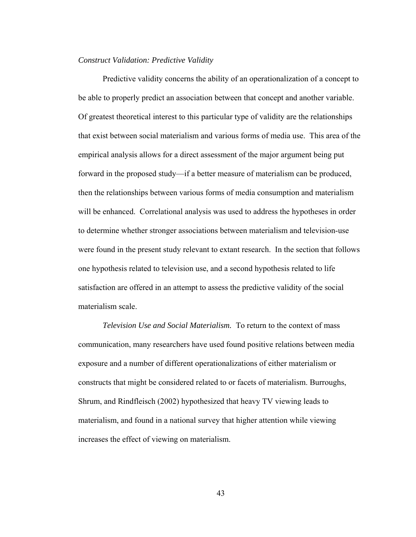## *Construct Validation: Predictive Validity*

Predictive validity concerns the ability of an operationalization of a concept to be able to properly predict an association between that concept and another variable. Of greatest theoretical interest to this particular type of validity are the relationships that exist between social materialism and various forms of media use. This area of the empirical analysis allows for a direct assessment of the major argument being put forward in the proposed study—if a better measure of materialism can be produced, then the relationships between various forms of media consumption and materialism will be enhanced. Correlational analysis was used to address the hypotheses in order to determine whether stronger associations between materialism and television-use were found in the present study relevant to extant research. In the section that follows one hypothesis related to television use, and a second hypothesis related to life satisfaction are offered in an attempt to assess the predictive validity of the social materialism scale.

*Television Use and Social Materialism.* To return to the context of mass communication, many researchers have used found positive relations between media exposure and a number of different operationalizations of either materialism or constructs that might be considered related to or facets of materialism. Burroughs, Shrum, and Rindfleisch (2002) hypothesized that heavy TV viewing leads to materialism, and found in a national survey that higher attention while viewing increases the effect of viewing on materialism.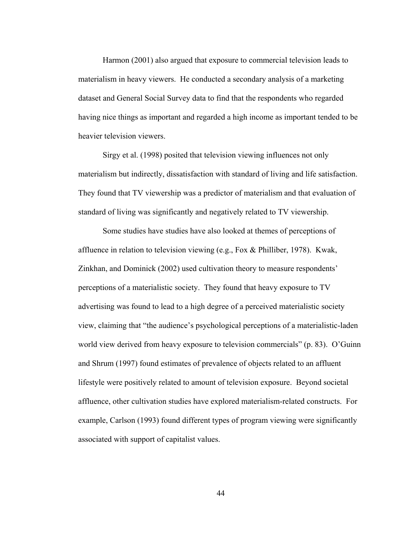Harmon (2001) also argued that exposure to commercial television leads to materialism in heavy viewers. He conducted a secondary analysis of a marketing dataset and General Social Survey data to find that the respondents who regarded having nice things as important and regarded a high income as important tended to be heavier television viewers.

Sirgy et al. (1998) posited that television viewing influences not only materialism but indirectly, dissatisfaction with standard of living and life satisfaction. They found that TV viewership was a predictor of materialism and that evaluation of standard of living was significantly and negatively related to TV viewership.

Some studies have studies have also looked at themes of perceptions of affluence in relation to television viewing (e.g., Fox & Philliber, 1978). Kwak, Zinkhan, and Dominick (2002) used cultivation theory to measure respondents' perceptions of a materialistic society. They found that heavy exposure to TV advertising was found to lead to a high degree of a perceived materialistic society view, claiming that "the audience's psychological perceptions of a materialistic-laden world view derived from heavy exposure to television commercials" (p. 83). O'Guinn and Shrum (1997) found estimates of prevalence of objects related to an affluent lifestyle were positively related to amount of television exposure. Beyond societal affluence, other cultivation studies have explored materialism-related constructs. For example, Carlson (1993) found different types of program viewing were significantly associated with support of capitalist values.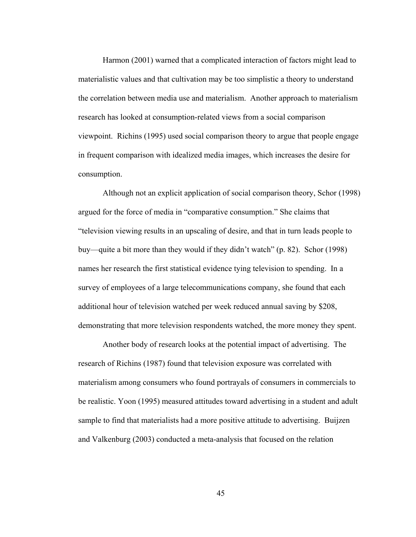Harmon (2001) warned that a complicated interaction of factors might lead to materialistic values and that cultivation may be too simplistic a theory to understand the correlation between media use and materialism. Another approach to materialism research has looked at consumption-related views from a social comparison viewpoint. Richins (1995) used social comparison theory to argue that people engage in frequent comparison with idealized media images, which increases the desire for consumption.

Although not an explicit application of social comparison theory, Schor (1998) argued for the force of media in "comparative consumption." She claims that "television viewing results in an upscaling of desire, and that in turn leads people to buy—quite a bit more than they would if they didn't watch" (p. 82). Schor (1998) names her research the first statistical evidence tying television to spending. In a survey of employees of a large telecommunications company, she found that each additional hour of television watched per week reduced annual saving by \$208, demonstrating that more television respondents watched, the more money they spent.

Another body of research looks at the potential impact of advertising. The research of Richins (1987) found that television exposure was correlated with materialism among consumers who found portrayals of consumers in commercials to be realistic. Yoon (1995) measured attitudes toward advertising in a student and adult sample to find that materialists had a more positive attitude to advertising. Buijzen and Valkenburg (2003) conducted a meta-analysis that focused on the relation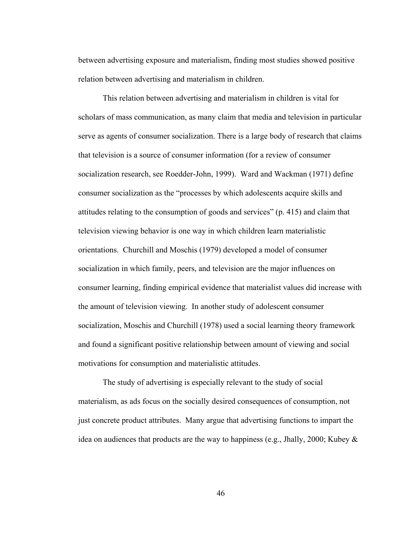between advertising exposure and materialism, finding most studies showed positive relation between advertising and materialism in children.

This relation between advertising and materialism in children is vital for scholars of mass communication, as many claim that media and television in particular serve as agents of consumer socialization. There is a large body of research that claims that television is a source of consumer information (for a review of consumer socialization research, see Roedder-John, 1999). Ward and Wackman (1971) define consumer socialization as the "processes by which adolescents acquire skills and attitudes relating to the consumption of goods and services" (p. 415) and claim that television viewing behavior is one way in which children learn materialistic orientations. Churchill and Moschis (1979) developed a model of consumer socialization in which family, peers, and television are the major influences on consumer learning, finding empirical evidence that materialist values did increase with the amount of television viewing. In another study of adolescent consumer socialization, Moschis and Churchill (1978) used a social learning theory framework and found a significant positive relationship between amount of viewing and social motivations for consumption and materialistic attitudes.

The study of advertising is especially relevant to the study of social materialism, as ads focus on the socially desired consequences of consumption, not just concrete product attributes. Many argue that advertising functions to impart the idea on audiences that products are the way to happiness (e.g., Jhally, 2000; Kubey &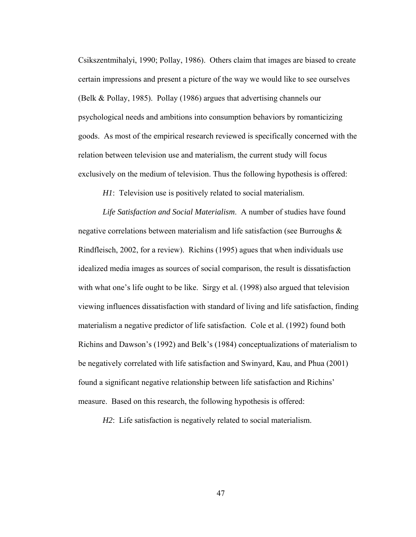Csikszentmihalyi, 1990; Pollay, 1986). Others claim that images are biased to create certain impressions and present a picture of the way we would like to see ourselves (Belk & Pollay, 1985). Pollay (1986) argues that advertising channels our psychological needs and ambitions into consumption behaviors by romanticizing goods. As most of the empirical research reviewed is specifically concerned with the relation between television use and materialism, the current study will focus exclusively on the medium of television. Thus the following hypothesis is offered:

*H1*: Television use is positively related to social materialism.

*Life Satisfaction and Social Materialism*.A number of studies have found negative correlations between materialism and life satisfaction (see Burroughs & Rindfleisch, 2002, for a review). Richins (1995) agues that when individuals use idealized media images as sources of social comparison, the result is dissatisfaction with what one's life ought to be like. Sirgy et al. (1998) also argued that television viewing influences dissatisfaction with standard of living and life satisfaction, finding materialism a negative predictor of life satisfaction. Cole et al. (1992) found both Richins and Dawson's (1992) and Belk's (1984) conceptualizations of materialism to be negatively correlated with life satisfaction and Swinyard, Kau, and Phua (2001) found a significant negative relationship between life satisfaction and Richins' measure. Based on this research, the following hypothesis is offered:

*H2*: Life satisfaction is negatively related to social materialism.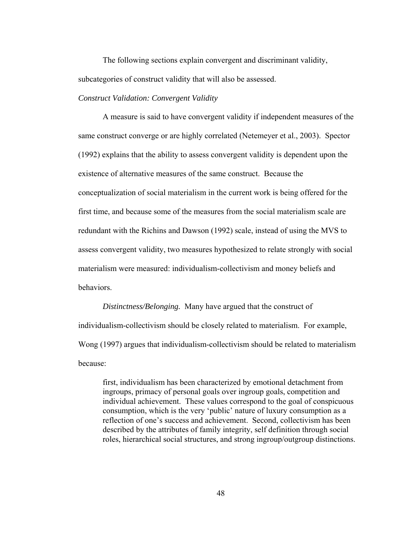The following sections explain convergent and discriminant validity, subcategories of construct validity that will also be assessed.

## *Construct Validation: Convergent Validity*

 A measure is said to have convergent validity if independent measures of the same construct converge or are highly correlated (Netemeyer et al., 2003). Spector (1992) explains that the ability to assess convergent validity is dependent upon the existence of alternative measures of the same construct. Because the conceptualization of social materialism in the current work is being offered for the first time, and because some of the measures from the social materialism scale are redundant with the Richins and Dawson (1992) scale, instead of using the MVS to assess convergent validity, two measures hypothesized to relate strongly with social materialism were measured: individualism-collectivism and money beliefs and behaviors.

*Distinctness/Belonging.* Many have argued that the construct of individualism-collectivism should be closely related to materialism. For example, Wong (1997) argues that individualism-collectivism should be related to materialism because:

first, individualism has been characterized by emotional detachment from ingroups, primacy of personal goals over ingroup goals, competition and individual achievement. These values correspond to the goal of conspicuous consumption, which is the very 'public' nature of luxury consumption as a reflection of one's success and achievement. Second, collectivism has been described by the attributes of family integrity, self definition through social roles, hierarchical social structures, and strong ingroup/outgroup distinctions.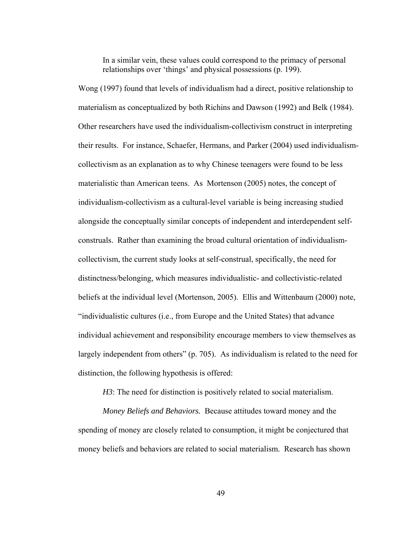In a similar vein, these values could correspond to the primacy of personal relationships over 'things' and physical possessions (p. 199).

Wong (1997) found that levels of individualism had a direct, positive relationship to materialism as conceptualized by both Richins and Dawson (1992) and Belk (1984). Other researchers have used the individualism-collectivism construct in interpreting their results. For instance, Schaefer, Hermans, and Parker (2004) used individualismcollectivism as an explanation as to why Chinese teenagers were found to be less materialistic than American teens. As Mortenson (2005) notes, the concept of individualism-collectivism as a cultural-level variable is being increasing studied alongside the conceptually similar concepts of independent and interdependent selfconstruals. Rather than examining the broad cultural orientation of individualismcollectivism, the current study looks at self-construal, specifically, the need for distinctness/belonging, which measures individualistic- and collectivistic-related beliefs at the individual level (Mortenson, 2005). Ellis and Wittenbaum (2000) note, "individualistic cultures (i.e., from Europe and the United States) that advance individual achievement and responsibility encourage members to view themselves as largely independent from others" (p. 705). As individualism is related to the need for distinction, the following hypothesis is offered:

*H3*: The need for distinction is positively related to social materialism.

*Money Beliefs and Behaviors.* Because attitudes toward money and the spending of money are closely related to consumption, it might be conjectured that money beliefs and behaviors are related to social materialism. Research has shown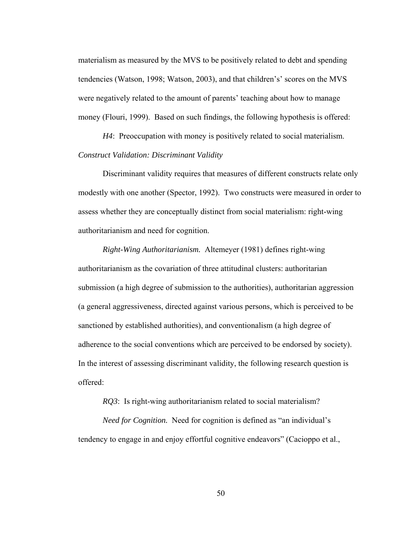materialism as measured by the MVS to be positively related to debt and spending tendencies (Watson, 1998; Watson, 2003), and that children's' scores on the MVS were negatively related to the amount of parents' teaching about how to manage money (Flouri, 1999). Based on such findings, the following hypothesis is offered:

*H4*: Preoccupation with money is positively related to social materialism. *Construct Validation: Discriminant Validity* 

Discriminant validity requires that measures of different constructs relate only modestly with one another (Spector, 1992). Two constructs were measured in order to assess whether they are conceptually distinct from social materialism: right-wing authoritarianism and need for cognition.

*Right-Wing Authoritarianism.* Altemeyer (1981) defines right-wing authoritarianism as the covariation of three attitudinal clusters: authoritarian submission (a high degree of submission to the authorities), authoritarian aggression (a general aggressiveness, directed against various persons, which is perceived to be sanctioned by established authorities), and conventionalism (a high degree of adherence to the social conventions which are perceived to be endorsed by society). In the interest of assessing discriminant validity, the following research question is offered:

*RQ3*: Is right-wing authoritarianism related to social materialism?

*Need for Cognition.* Need for cognition is defined as "an individual's tendency to engage in and enjoy effortful cognitive endeavors" (Cacioppo et al.,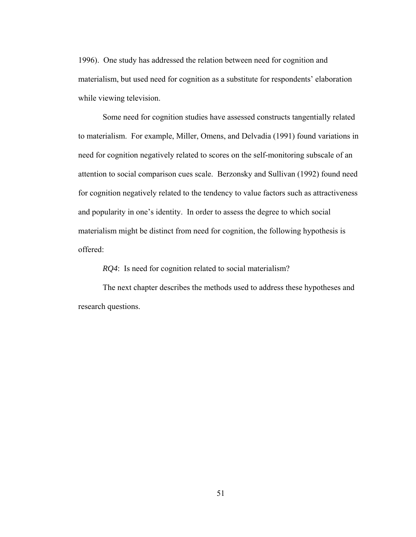1996). One study has addressed the relation between need for cognition and materialism, but used need for cognition as a substitute for respondents' elaboration while viewing television.

Some need for cognition studies have assessed constructs tangentially related to materialism. For example, Miller, Omens, and Delvadia (1991) found variations in need for cognition negatively related to scores on the self-monitoring subscale of an attention to social comparison cues scale. Berzonsky and Sullivan (1992) found need for cognition negatively related to the tendency to value factors such as attractiveness and popularity in one's identity. In order to assess the degree to which social materialism might be distinct from need for cognition, the following hypothesis is offered:

 *RQ4*: Is need for cognition related to social materialism?

The next chapter describes the methods used to address these hypotheses and research questions.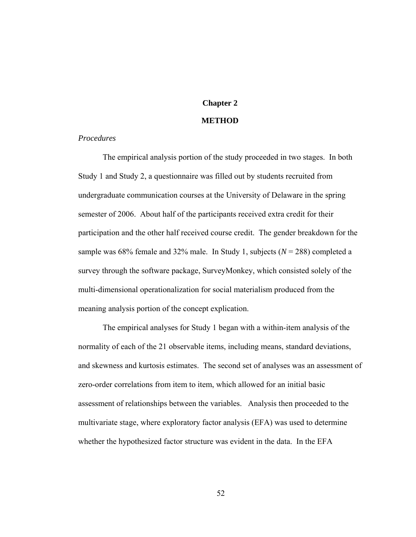# **Chapter 2**

## **METHOD**

## *Procedures*

The empirical analysis portion of the study proceeded in two stages. In both Study 1 and Study 2, a questionnaire was filled out by students recruited from undergraduate communication courses at the University of Delaware in the spring semester of 2006. About half of the participants received extra credit for their participation and the other half received course credit. The gender breakdown for the sample was  $68\%$  female and  $32\%$  male. In Study 1, subjects ( $N = 288$ ) completed a survey through the software package, SurveyMonkey, which consisted solely of the multi-dimensional operationalization for social materialism produced from the meaning analysis portion of the concept explication.

 The empirical analyses for Study 1 began with a within-item analysis of the normality of each of the 21 observable items, including means, standard deviations, and skewness and kurtosis estimates. The second set of analyses was an assessment of zero-order correlations from item to item, which allowed for an initial basic assessment of relationships between the variables. Analysis then proceeded to the multivariate stage, where exploratory factor analysis (EFA) was used to determine whether the hypothesized factor structure was evident in the data. In the EFA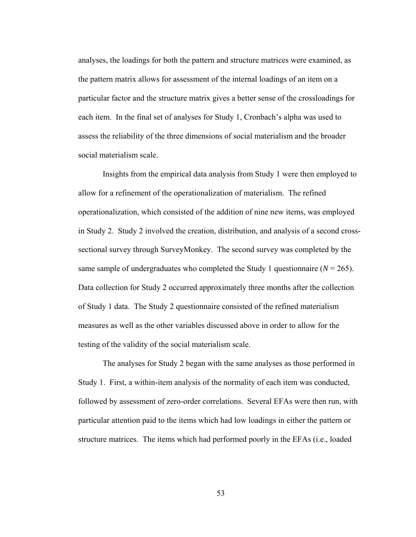analyses, the loadings for both the pattern and structure matrices were examined, as the pattern matrix allows for assessment of the internal loadings of an item on a particular factor and the structure matrix gives a better sense of the crossloadings for each item. In the final set of analyses for Study 1, Cronbach's alpha was used to assess the reliability of the three dimensions of social materialism and the broader social materialism scale.

Insights from the empirical data analysis from Study 1 were then employed to allow for a refinement of the operationalization of materialism. The refined operationalization, which consisted of the addition of nine new items, was employed in Study 2. Study 2 involved the creation, distribution, and analysis of a second crosssectional survey through SurveyMonkey. The second survey was completed by the same sample of undergraduates who completed the Study 1 questionnaire  $(N = 265)$ . Data collection for Study 2 occurred approximately three months after the collection of Study 1 data. The Study 2 questionnaire consisted of the refined materialism measures as well as the other variables discussed above in order to allow for the testing of the validity of the social materialism scale.

The analyses for Study 2 began with the same analyses as those performed in Study 1. First, a within-item analysis of the normality of each item was conducted, followed by assessment of zero-order correlations. Several EFAs were then run, with particular attention paid to the items which had low loadings in either the pattern or structure matrices. The items which had performed poorly in the EFAs (i.e., loaded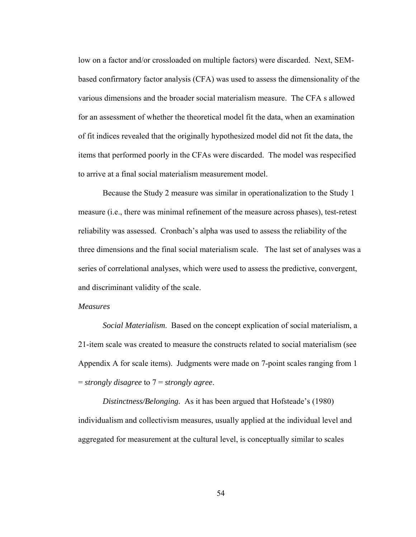low on a factor and/or crossloaded on multiple factors) were discarded. Next, SEMbased confirmatory factor analysis (CFA) was used to assess the dimensionality of the various dimensions and the broader social materialism measure. The CFA s allowed for an assessment of whether the theoretical model fit the data, when an examination of fit indices revealed that the originally hypothesized model did not fit the data, the items that performed poorly in the CFAs were discarded. The model was respecified to arrive at a final social materialism measurement model.

Because the Study 2 measure was similar in operationalization to the Study 1 measure (i.e., there was minimal refinement of the measure across phases), test-retest reliability was assessed. Cronbach's alpha was used to assess the reliability of the three dimensions and the final social materialism scale. The last set of analyses was a series of correlational analyses, which were used to assess the predictive, convergent, and discriminant validity of the scale.

#### *Measures*

*Social Materialism*.Based on the concept explication of social materialism, a 21-item scale was created to measure the constructs related to social materialism (see Appendix A for scale items). Judgments were made on 7-point scales ranging from 1 = *strongly disagree* to 7 = *strongly agree*.

*Distinctness/Belonging.* As it has been argued that Hofsteade's (1980) individualism and collectivism measures, usually applied at the individual level and aggregated for measurement at the cultural level, is conceptually similar to scales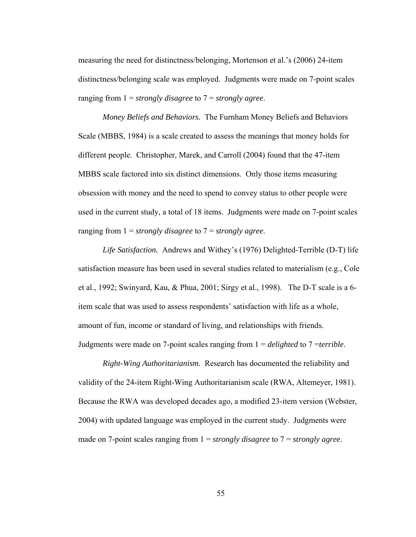measuring the need for distinctness/belonging, Mortenson et al.'s (2006) 24-item distinctness/belonging scale was employed. Judgments were made on 7-point scales ranging from 1 = *strongly disagree* to 7 = *strongly agree*.

*Money Beliefs and Behaviors.* The Furnham Money Beliefs and Behaviors Scale (MBBS, 1984) is a scale created to assess the meanings that money holds for different people. Christopher, Marek, and Carroll (2004) found that the 47-item MBBS scale factored into six distinct dimensions. Only those items measuring obsession with money and the need to spend to convey status to other people were used in the current study, a total of 18 items. Judgments were made on 7-point scales ranging from 1 = *strongly disagree* to 7 = *strongly agree*.

*Life Satisfaction.* Andrews and Withey's (1976) Delighted-Terrible (D-T) life satisfaction measure has been used in several studies related to materialism (e.g., Cole et al., 1992; Swinyard, Kau, & Phua, 2001; Sirgy et al., 1998). The D-T scale is a 6 item scale that was used to assess respondents' satisfaction with life as a whole, amount of fun, income or standard of living, and relationships with friends. Judgments were made on 7-point scales ranging from 1 = *delighted* to 7 =*terrible*.

*Right-Wing Authoritarianism.* Research has documented the reliability and validity of the 24-item Right-Wing Authoritarianism scale (RWA, Altemeyer, 1981). Because the RWA was developed decades ago, a modified 23-item version (Webster, 2004) with updated language was employed in the current study. Judgments were made on 7-point scales ranging from 1 = *strongly disagree* to 7 = *strongly agree*.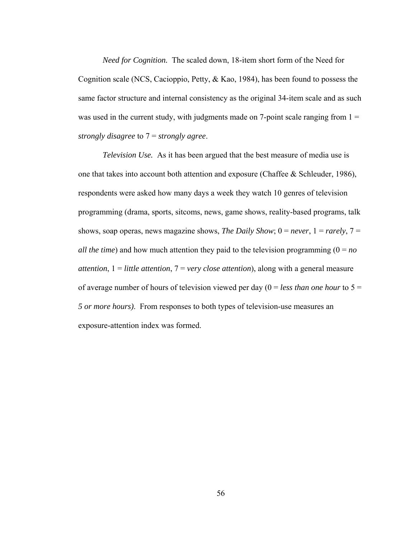*Need for Cognition.* The scaled down, 18-item short form of the Need for Cognition scale (NCS, Cacioppio, Petty, & Kao, 1984), has been found to possess the same factor structure and internal consistency as the original 34-item scale and as such was used in the current study, with judgments made on 7-point scale ranging from  $1 =$ *strongly disagree* to 7 = *strongly agree*.

*Television Use.* As it has been argued that the best measure of media use is one that takes into account both attention and exposure (Chaffee & Schleuder, 1986), respondents were asked how many days a week they watch 10 genres of television programming (drama, sports, sitcoms, news, game shows, reality-based programs, talk shows, soap operas, news magazine shows, *The Daily Show*;  $0 = never$ ,  $1 = rarely$ ,  $7 =$ *all the time*) and how much attention they paid to the television programming  $(0 = no$ *attention*, 1 = *little attention*, 7 = *very close attention*), along with a general measure of average number of hours of television viewed per day (0 = *less than one hour* to 5 = *5 or more hours)*. From responses to both types of television-use measures an exposure-attention index was formed.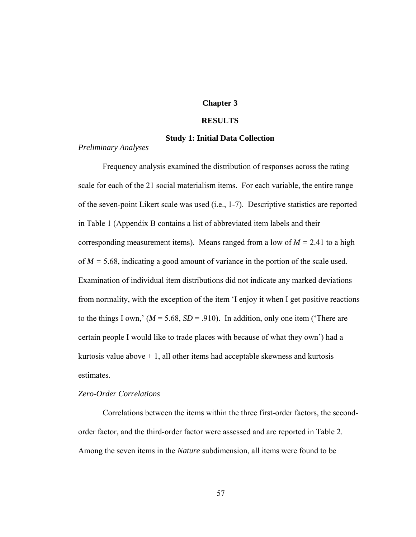## **Chapter 3**

#### **RESULTS**

## **Study 1: Initial Data Collection**

#### *Preliminary Analyses*

Frequency analysis examined the distribution of responses across the rating scale for each of the 21 social materialism items. For each variable, the entire range of the seven-point Likert scale was used (i.e., 1-7). Descriptive statistics are reported in Table 1 (Appendix B contains a list of abbreviated item labels and their corresponding measurement items). Means ranged from a low of  $M = 2.41$  to a high of *M =* 5.68, indicating a good amount of variance in the portion of the scale used. Examination of individual item distributions did not indicate any marked deviations from normality, with the exception of the item 'I enjoy it when I get positive reactions to the things I own,'  $(M = 5.68, SD = .910)$ . In addition, only one item ('There are certain people I would like to trade places with because of what they own') had a kurtosis value above  $+ 1$ , all other items had acceptable skewness and kurtosis estimates.

#### *Zero-Order Correlations*

Correlations between the items within the three first-order factors, the secondorder factor, and the third-order factor were assessed and are reported in Table 2. Among the seven items in the *Nature* subdimension, all items were found to be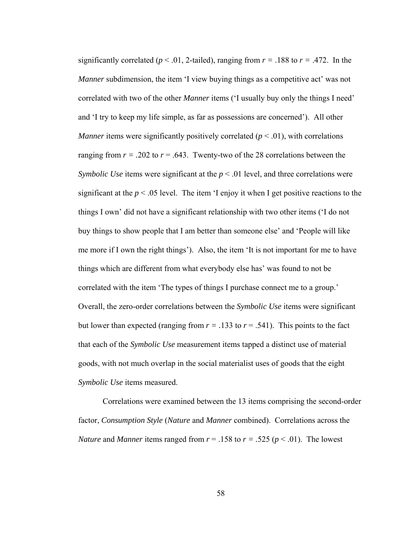significantly correlated ( $p < .01$ , 2-tailed), ranging from  $r = .188$  to  $r = .472$ . In the *Manner* subdimension, the item 'I view buying things as a competitive act' was not correlated with two of the other *Manner* items ('I usually buy only the things I need' and 'I try to keep my life simple, as far as possessions are concerned'). All other *Manner* items were significantly positively correlated ( $p < .01$ ), with correlations ranging from  $r = .202$  to  $r = .643$ . Twenty-two of the 28 correlations between the *Symbolic Use* items were significant at the  $p < .01$  level, and three correlations were significant at the  $p < .05$  level. The item 'I enjoy it when I get positive reactions to the things I own' did not have a significant relationship with two other items ('I do not buy things to show people that I am better than someone else' and 'People will like me more if I own the right things'). Also, the item 'It is not important for me to have things which are different from what everybody else has' was found to not be correlated with the item 'The types of things I purchase connect me to a group.' Overall, the zero-order correlations between the *Symbolic Use* items were significant but lower than expected (ranging from  $r = .133$  to  $r = .541$ ). This points to the fact that each of the *Symbolic Use* measurement items tapped a distinct use of material goods, with not much overlap in the social materialist uses of goods that the eight *Symbolic Use* items measured.

 Correlations were examined between the 13 items comprising the second-order factor, *Consumption Style* (*Nature* and *Manner* combined). Correlations across the *Nature* and *Manner* items ranged from  $r = .158$  to  $r = .525$  ( $p < .01$ ). The lowest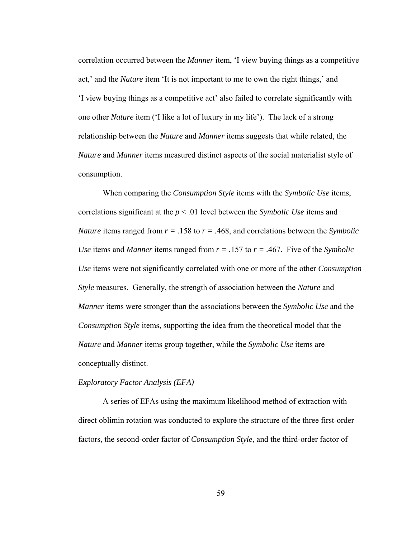correlation occurred between the *Manner* item, 'I view buying things as a competitive act,' and the *Nature* item 'It is not important to me to own the right things,' and 'I view buying things as a competitive act' also failed to correlate significantly with one other *Nature* item ('I like a lot of luxury in my life'). The lack of a strong relationship between the *Nature* and *Manner* items suggests that while related, the *Nature* and *Manner* items measured distinct aspects of the social materialist style of consumption.

 When comparing the *Consumption Style* items with the *Symbolic Use* items, correlations significant at the *p* < .01 level between the *Symbolic Use* items and *Nature* items ranged from *r = .*158 to *r = .*468, and correlations between the *Symbolic Use* items and *Manner* items ranged from  $r = .157$  to  $r = .467$ . Five of the *Symbolic Use* items were not significantly correlated with one or more of the other *Consumption Style* measures. Generally, the strength of association between the *Nature* and *Manner* items were stronger than the associations between the *Symbolic Use* and the *Consumption Style* items, supporting the idea from the theoretical model that the *Nature* and *Manner* items group together, while the *Symbolic Use* items are conceptually distinct.

#### *Exploratory Factor Analysis (EFA)*

A series of EFAs using the maximum likelihood method of extraction with direct oblimin rotation was conducted to explore the structure of the three first-order factors, the second-order factor of *Consumption Style*, and the third-order factor of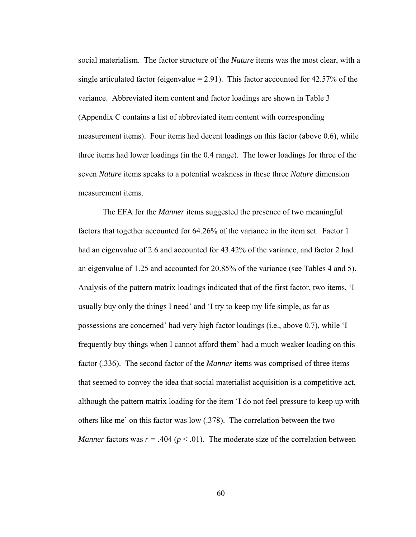social materialism. The factor structure of the *Nature* items was the most clear, with a single articulated factor (eigenvalue  $= 2.91$ ). This factor accounted for 42.57% of the variance. Abbreviated item content and factor loadings are shown in Table 3 (Appendix C contains a list of abbreviated item content with corresponding measurement items). Four items had decent loadings on this factor (above 0.6), while three items had lower loadings (in the 0.4 range). The lower loadings for three of the seven *Nature* items speaks to a potential weakness in these three *Nature* dimension measurement items.

The EFA for the *Manner* items suggested the presence of two meaningful factors that together accounted for 64.26% of the variance in the item set. Factor 1 had an eigenvalue of 2.6 and accounted for 43.42% of the variance, and factor 2 had an eigenvalue of 1.25 and accounted for 20.85% of the variance (see Tables 4 and 5). Analysis of the pattern matrix loadings indicated that of the first factor, two items, 'I usually buy only the things I need' and 'I try to keep my life simple, as far as possessions are concerned' had very high factor loadings (i.e., above 0.7), while 'I frequently buy things when I cannot afford them' had a much weaker loading on this factor (.336). The second factor of the *Manner* items was comprised of three items that seemed to convey the idea that social materialist acquisition is a competitive act, although the pattern matrix loading for the item 'I do not feel pressure to keep up with others like me' on this factor was low (.378). The correlation between the two *Manner* factors was  $r = .404$  ( $p < .01$ ). The moderate size of the correlation between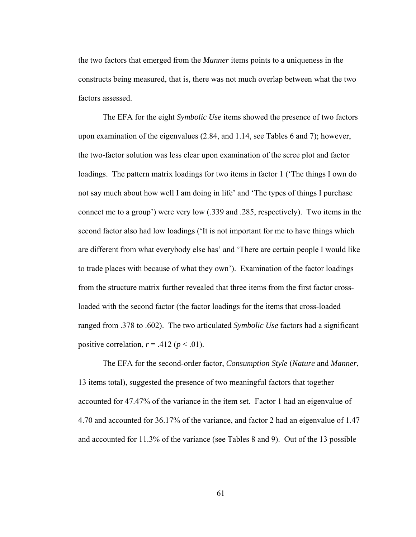the two factors that emerged from the *Manner* items points to a uniqueness in the constructs being measured, that is, there was not much overlap between what the two factors assessed.

The EFA for the eight *Symbolic Use* items showed the presence of two factors upon examination of the eigenvalues (2.84, and 1.14, see Tables 6 and 7); however, the two-factor solution was less clear upon examination of the scree plot and factor loadings. The pattern matrix loadings for two items in factor 1 ('The things I own do not say much about how well I am doing in life' and 'The types of things I purchase connect me to a group') were very low (.339 and .285, respectively). Two items in the second factor also had low loadings ('It is not important for me to have things which are different from what everybody else has' and 'There are certain people I would like to trade places with because of what they own'). Examination of the factor loadings from the structure matrix further revealed that three items from the first factor crossloaded with the second factor (the factor loadings for the items that cross-loaded ranged from .378 to .602). The two articulated *Symbolic Use* factors had a significant positive correlation,  $r = .412$  ( $p < .01$ ).

The EFA for the second-order factor, *Consumption Style* (*Nature* and *Manner*, 13 items total), suggested the presence of two meaningful factors that together accounted for 47.47% of the variance in the item set. Factor 1 had an eigenvalue of 4.70 and accounted for 36.17% of the variance, and factor 2 had an eigenvalue of 1.47 and accounted for 11.3% of the variance (see Tables 8 and 9). Out of the 13 possible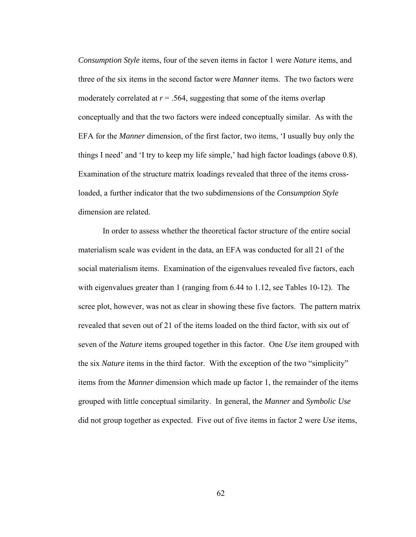*Consumption Style* items, four of the seven items in factor 1 were *Nature* items, and three of the six items in the second factor were *Manner* items. The two factors were moderately correlated at  $r = .564$ , suggesting that some of the items overlap conceptually and that the two factors were indeed conceptually similar. As with the EFA for the *Manner* dimension, of the first factor, two items, 'I usually buy only the things I need' and 'I try to keep my life simple,' had high factor loadings (above 0.8). Examination of the structure matrix loadings revealed that three of the items crossloaded, a further indicator that the two subdimensions of the *Consumption Style* dimension are related.

 In order to assess whether the theoretical factor structure of the entire social materialism scale was evident in the data, an EFA was conducted for all 21 of the social materialism items. Examination of the eigenvalues revealed five factors, each with eigenvalues greater than 1 (ranging from 6.44 to 1.12, see Tables 10-12). The scree plot, however, was not as clear in showing these five factors. The pattern matrix revealed that seven out of 21 of the items loaded on the third factor, with six out of seven of the *Nature* items grouped together in this factor. One *Use* item grouped with the six *Nature* items in the third factor. With the exception of the two "simplicity" items from the *Manner* dimension which made up factor 1, the remainder of the items grouped with little conceptual similarity. In general, the *Manner* and *Symbolic Use* did not group together as expected. Five out of five items in factor 2 were *Use* items,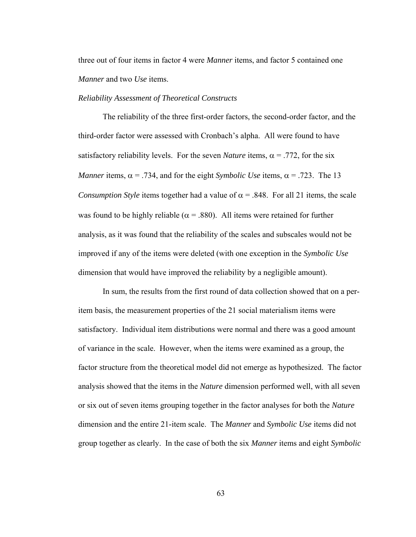three out of four items in factor 4 were *Manner* items, and factor 5 contained one *Manner* and two *Use* items.

## *Reliability Assessment of Theoretical Constructs*

 The reliability of the three first-order factors, the second-order factor, and the third-order factor were assessed with Cronbach's alpha. All were found to have satisfactory reliability levels. For the seven *Nature* items,  $\alpha$  = .772, for the six *Manner* items,  $\alpha$  = .734, and for the eight *Symbolic Use* items,  $\alpha$  = .723. The 13 *Consumption Style* items together had a value of  $\alpha$  = .848. For all 21 items, the scale was found to be highly reliable ( $\alpha$  = .880). All items were retained for further analysis, as it was found that the reliability of the scales and subscales would not be improved if any of the items were deleted (with one exception in the *Symbolic Use* dimension that would have improved the reliability by a negligible amount).

 In sum, the results from the first round of data collection showed that on a peritem basis, the measurement properties of the 21 social materialism items were satisfactory. Individual item distributions were normal and there was a good amount of variance in the scale. However, when the items were examined as a group, the factor structure from the theoretical model did not emerge as hypothesized. The factor analysis showed that the items in the *Nature* dimension performed well, with all seven or six out of seven items grouping together in the factor analyses for both the *Nature* dimension and the entire 21-item scale. The *Manner* and *Symbolic Use* items did not group together as clearly. In the case of both the six *Manner* items and eight *Symbolic*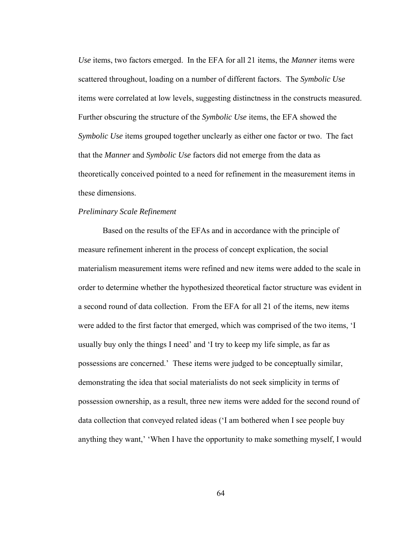*Use* items, two factors emerged. In the EFA for all 21 items, the *Manner* items were scattered throughout, loading on a number of different factors. The *Symbolic Use* items were correlated at low levels, suggesting distinctness in the constructs measured. Further obscuring the structure of the *Symbolic Use* items, the EFA showed the *Symbolic Use* items grouped together unclearly as either one factor or two. The fact that the *Manner* and *Symbolic Use* factors did not emerge from the data as theoretically conceived pointed to a need for refinement in the measurement items in these dimensions.

# *Preliminary Scale Refinement*

 Based on the results of the EFAs and in accordance with the principle of measure refinement inherent in the process of concept explication, the social materialism measurement items were refined and new items were added to the scale in order to determine whether the hypothesized theoretical factor structure was evident in a second round of data collection. From the EFA for all 21 of the items, new items were added to the first factor that emerged, which was comprised of the two items, 'I usually buy only the things I need' and 'I try to keep my life simple, as far as possessions are concerned.' These items were judged to be conceptually similar, demonstrating the idea that social materialists do not seek simplicity in terms of possession ownership, as a result, three new items were added for the second round of data collection that conveyed related ideas ('I am bothered when I see people buy anything they want,' 'When I have the opportunity to make something myself, I would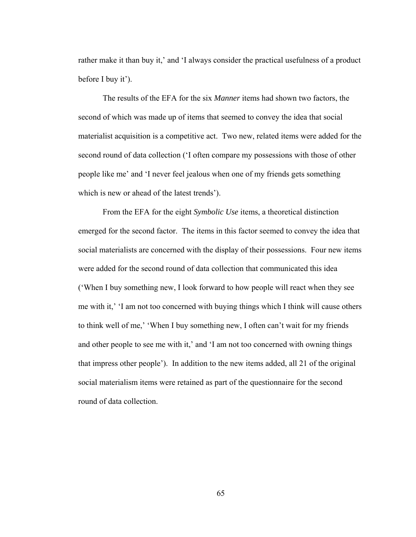rather make it than buy it,' and 'I always consider the practical usefulness of a product before I buy it').

The results of the EFA for the six *Manner* items had shown two factors, the second of which was made up of items that seemed to convey the idea that social materialist acquisition is a competitive act. Two new, related items were added for the second round of data collection ('I often compare my possessions with those of other people like me' and 'I never feel jealous when one of my friends gets something which is new or ahead of the latest trends').

From the EFA for the eight *Symbolic Use* items, a theoretical distinction emerged for the second factor. The items in this factor seemed to convey the idea that social materialists are concerned with the display of their possessions. Four new items were added for the second round of data collection that communicated this idea ('When I buy something new, I look forward to how people will react when they see me with it,' 'I am not too concerned with buying things which I think will cause others to think well of me,' 'When I buy something new, I often can't wait for my friends and other people to see me with it,' and 'I am not too concerned with owning things that impress other people'). In addition to the new items added, all 21 of the original social materialism items were retained as part of the questionnaire for the second round of data collection.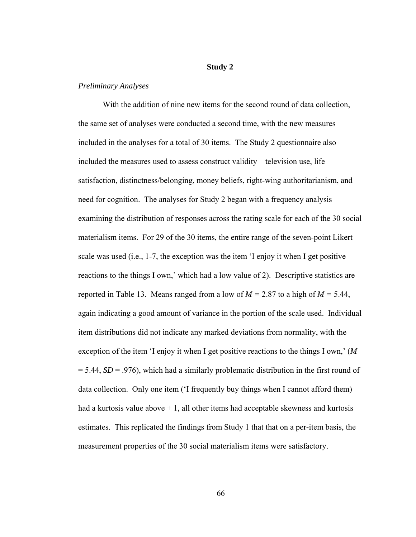# **Study 2**

# *Preliminary Analyses*

 With the addition of nine new items for the second round of data collection, the same set of analyses were conducted a second time, with the new measures included in the analyses for a total of 30 items. The Study 2 questionnaire also included the measures used to assess construct validity—television use, life satisfaction, distinctness/belonging, money beliefs, right-wing authoritarianism, and need for cognition. The analyses for Study 2 began with a frequency analysis examining the distribution of responses across the rating scale for each of the 30 social materialism items. For 29 of the 30 items, the entire range of the seven-point Likert scale was used (i.e., 1-7, the exception was the item 'I enjoy it when I get positive reactions to the things I own,' which had a low value of 2). Descriptive statistics are reported in Table 13. Means ranged from a low of *M =* 2.87 to a high of *M =* 5.44, again indicating a good amount of variance in the portion of the scale used. Individual item distributions did not indicate any marked deviations from normality, with the exception of the item 'I enjoy it when I get positive reactions to the things I own,' (*M*   $= 5.44$ , *SD* = .976), which had a similarly problematic distribution in the first round of data collection. Only one item ('I frequently buy things when I cannot afford them) had a kurtosis value above  $+1$ , all other items had acceptable skewness and kurtosis estimates. This replicated the findings from Study 1 that that on a per-item basis, the measurement properties of the 30 social materialism items were satisfactory.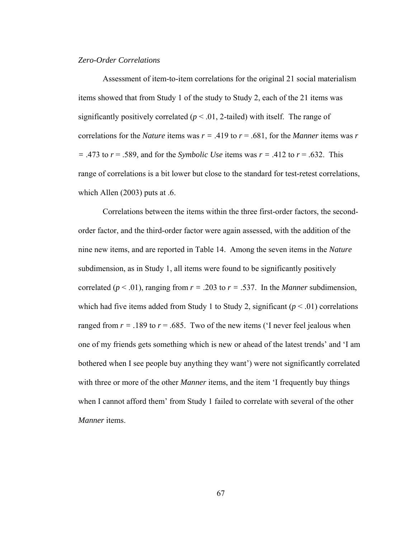# *Zero-Order Correlations*

Assessment of item-to-item correlations for the original 21 social materialism items showed that from Study 1 of the study to Study 2, each of the 21 items was significantly positively correlated  $(p < .01, 2$ -tailed) with itself. The range of correlations for the *Nature* items was  $r = .419$  to  $r = .681$ , for the *Manner* items was r *=* .473 to *r* = .589, and for the *Symbolic Use* items was *r =* .412 to *r* = .632. This range of correlations is a bit lower but close to the standard for test-retest correlations, which Allen (2003) puts at  $.6$ .

Correlations between the items within the three first-order factors, the secondorder factor, and the third-order factor were again assessed, with the addition of the nine new items, and are reported in Table 14. Among the seven items in the *Nature* subdimension, as in Study 1, all items were found to be significantly positively correlated ( $p < .01$ ), ranging from  $r = .203$  to  $r = .537$ . In the *Manner* subdimension, which had five items added from Study 1 to Study 2, significant ( $p < .01$ ) correlations ranged from  $r = .189$  to  $r = .685$ . Two of the new items ('I never feel jealous when one of my friends gets something which is new or ahead of the latest trends' and 'I am bothered when I see people buy anything they want') were not significantly correlated with three or more of the other *Manner* items, and the item 'I frequently buy things when I cannot afford them' from Study 1 failed to correlate with several of the other *Manner* items.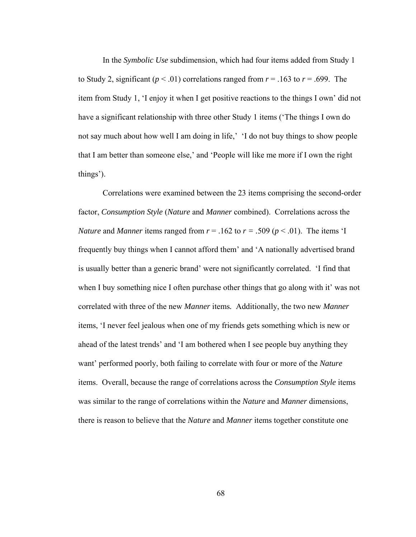In the *Symbolic Use* subdimension, which had four items added from Study 1 to Study 2, significant ( $p < .01$ ) correlations ranged from  $r = .163$  to  $r = .699$ . The item from Study 1, 'I enjoy it when I get positive reactions to the things I own' did not have a significant relationship with three other Study 1 items ('The things I own do not say much about how well I am doing in life,' 'I do not buy things to show people that I am better than someone else,' and 'People will like me more if I own the right things').

 Correlations were examined between the 23 items comprising the second-order factor, *Consumption Style* (*Nature* and *Manner* combined). Correlations across the *Nature* and *Manner* items ranged from  $r = .162$  to  $r = .509$  ( $p < .01$ ). The items 'I frequently buy things when I cannot afford them' and 'A nationally advertised brand is usually better than a generic brand' were not significantly correlated. 'I find that when I buy something nice I often purchase other things that go along with it' was not correlated with three of the new *Manner* items*.* Additionally, the two new *Manner*  items, 'I never feel jealous when one of my friends gets something which is new or ahead of the latest trends' and 'I am bothered when I see people buy anything they want' performed poorly, both failing to correlate with four or more of the *Nature* items. Overall, because the range of correlations across the *Consumption Style* items was similar to the range of correlations within the *Nature* and *Manner* dimensions, there is reason to believe that the *Nature* and *Manner* items together constitute one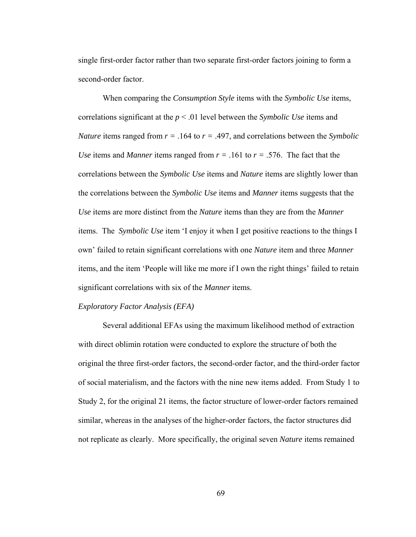single first-order factor rather than two separate first-order factors joining to form a second-order factor.

 When comparing the *Consumption Style* items with the *Symbolic Use* items, correlations significant at the *p* < .01 level between the *Symbolic Use* items and *Nature* items ranged from *r =* .164 to *r =* .497, and correlations between the *Symbolic Use* items and *Manner* items ranged from  $r = .161$  to  $r = .576$ . The fact that the correlations between the *Symbolic Use* items and *Nature* items are slightly lower than the correlations between the *Symbolic Use* items and *Manner* items suggests that the *Use* items are more distinct from the *Nature* items than they are from the *Manner* items. The *Symbolic Use* item 'I enjoy it when I get positive reactions to the things I own' failed to retain significant correlations with one *Nature* item and three *Manner*  items, and the item 'People will like me more if I own the right things' failed to retain significant correlations with six of the *Manner* items.

## *Exploratory Factor Analysis (EFA)*

Several additional EFAs using the maximum likelihood method of extraction with direct oblimin rotation were conducted to explore the structure of both the original the three first-order factors, the second-order factor, and the third-order factor of social materialism, and the factors with the nine new items added. From Study 1 to Study 2, for the original 21 items, the factor structure of lower-order factors remained similar, whereas in the analyses of the higher-order factors, the factor structures did not replicate as clearly. More specifically, the original seven *Nature* items remained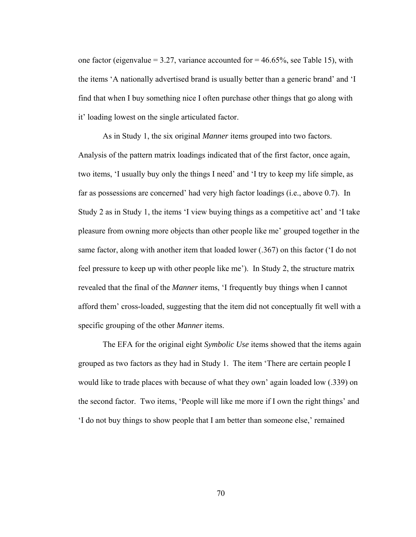one factor (eigenvalue  $= 3.27$ , variance accounted for  $= 46.65\%$ , see Table 15), with the items 'A nationally advertised brand is usually better than a generic brand' and 'I find that when I buy something nice I often purchase other things that go along with it' loading lowest on the single articulated factor.

As in Study 1, the six original *Manner* items grouped into two factors. Analysis of the pattern matrix loadings indicated that of the first factor, once again, two items, 'I usually buy only the things I need' and 'I try to keep my life simple, as far as possessions are concerned' had very high factor loadings (i.e., above 0.7). In Study 2 as in Study 1, the items 'I view buying things as a competitive act' and 'I take pleasure from owning more objects than other people like me' grouped together in the same factor, along with another item that loaded lower (.367) on this factor ('I do not feel pressure to keep up with other people like me'). In Study 2, the structure matrix revealed that the final of the *Manner* items, 'I frequently buy things when I cannot afford them' cross-loaded, suggesting that the item did not conceptually fit well with a specific grouping of the other *Manner* items.

The EFA for the original eight *Symbolic Use* items showed that the items again grouped as two factors as they had in Study 1. The item 'There are certain people I would like to trade places with because of what they own' again loaded low (.339) on the second factor. Two items, 'People will like me more if I own the right things' and 'I do not buy things to show people that I am better than someone else,' remained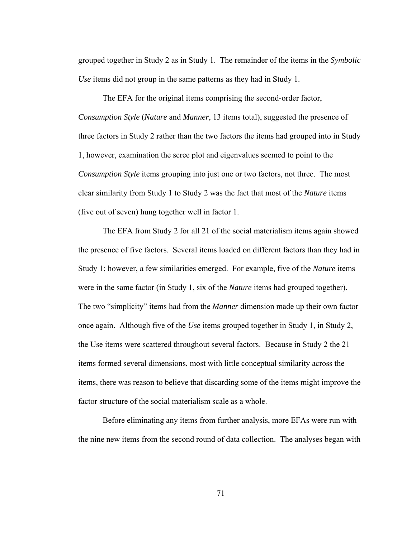grouped together in Study 2 as in Study 1. The remainder of the items in the *Symbolic Use* items did not group in the same patterns as they had in Study 1.

The EFA for the original items comprising the second-order factor, *Consumption Style* (*Nature* and *Manner*, 13 items total), suggested the presence of three factors in Study 2 rather than the two factors the items had grouped into in Study 1, however, examination the scree plot and eigenvalues seemed to point to the *Consumption Style* items grouping into just one or two factors, not three. The most clear similarity from Study 1 to Study 2 was the fact that most of the *Nature* items (five out of seven) hung together well in factor 1.

The EFA from Study 2 for all 21 of the social materialism items again showed the presence of five factors. Several items loaded on different factors than they had in Study 1; however, a few similarities emerged. For example, five of the *Nature* items were in the same factor (in Study 1, six of the *Nature* items had grouped together). The two "simplicity" items had from the *Manner* dimension made up their own factor once again. Although five of the *Use* items grouped together in Study 1, in Study 2, the Use items were scattered throughout several factors. Because in Study 2 the 21 items formed several dimensions, most with little conceptual similarity across the items, there was reason to believe that discarding some of the items might improve the factor structure of the social materialism scale as a whole.

Before eliminating any items from further analysis, more EFAs were run with the nine new items from the second round of data collection. The analyses began with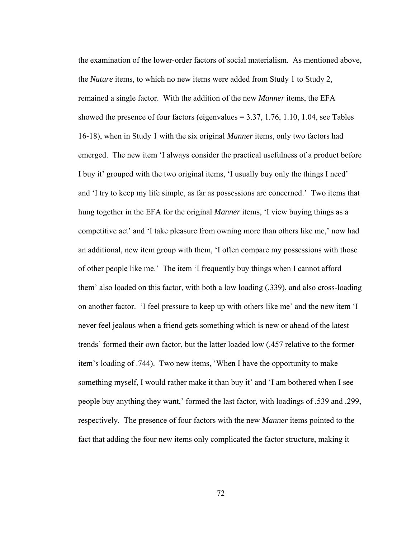the examination of the lower-order factors of social materialism. As mentioned above, the *Nature* items, to which no new items were added from Study 1 to Study 2, remained a single factor. With the addition of the new *Manner* items, the EFA showed the presence of four factors (eigenvalues  $= 3.37, 1.76, 1.10, 1.04$ , see Tables 16-18), when in Study 1 with the six original *Manner* items, only two factors had emerged. The new item 'I always consider the practical usefulness of a product before I buy it' grouped with the two original items, 'I usually buy only the things I need' and 'I try to keep my life simple, as far as possessions are concerned.' Two items that hung together in the EFA for the original *Manner* items, 'I view buying things as a competitive act' and 'I take pleasure from owning more than others like me,' now had an additional, new item group with them, 'I often compare my possessions with those of other people like me.' The item 'I frequently buy things when I cannot afford them' also loaded on this factor, with both a low loading (.339), and also cross-loading on another factor. 'I feel pressure to keep up with others like me' and the new item 'I never feel jealous when a friend gets something which is new or ahead of the latest trends' formed their own factor, but the latter loaded low (.457 relative to the former item's loading of .744). Two new items, 'When I have the opportunity to make something myself, I would rather make it than buy it' and 'I am bothered when I see people buy anything they want,' formed the last factor, with loadings of .539 and .299, respectively. The presence of four factors with the new *Manner* items pointed to the fact that adding the four new items only complicated the factor structure, making it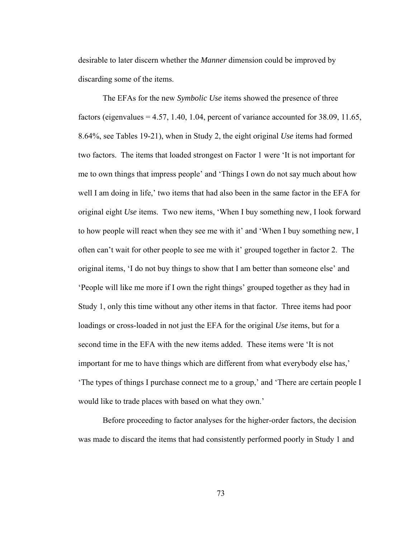desirable to later discern whether the *Manner* dimension could be improved by discarding some of the items.

The EFAs for the new *Symbolic Use* items showed the presence of three factors (eigenvalues  $= 4.57, 1.40, 1.04$ , percent of variance accounted for 38.09, 11.65, 8.64%, see Tables 19-21), when in Study 2, the eight original *Use* items had formed two factors. The items that loaded strongest on Factor 1 were 'It is not important for me to own things that impress people' and 'Things I own do not say much about how well I am doing in life,' two items that had also been in the same factor in the EFA for original eight *Use* items. Two new items, 'When I buy something new, I look forward to how people will react when they see me with it' and 'When I buy something new, I often can't wait for other people to see me with it' grouped together in factor 2. The original items, 'I do not buy things to show that I am better than someone else' and 'People will like me more if I own the right things' grouped together as they had in Study 1, only this time without any other items in that factor. Three items had poor loadings or cross-loaded in not just the EFA for the original *Use* items, but for a second time in the EFA with the new items added. These items were 'It is not important for me to have things which are different from what everybody else has,' 'The types of things I purchase connect me to a group,' and 'There are certain people I would like to trade places with based on what they own.'

Before proceeding to factor analyses for the higher-order factors, the decision was made to discard the items that had consistently performed poorly in Study 1 and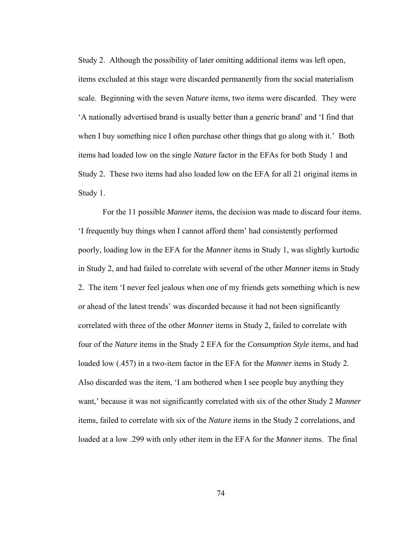Study 2. Although the possibility of later omitting additional items was left open, items excluded at this stage were discarded permanently from the social materialism scale. Beginning with the seven *Nature* items, two items were discarded. They were 'A nationally advertised brand is usually better than a generic brand' and 'I find that when I buy something nice I often purchase other things that go along with it.' Both items had loaded low on the single *Nature* factor in the EFAs for both Study 1 and Study 2. These two items had also loaded low on the EFA for all 21 original items in Study 1.

For the 11 possible *Manner* items, the decision was made to discard four items. 'I frequently buy things when I cannot afford them' had consistently performed poorly, loading low in the EFA for the *Manner* items in Study 1, was slightly kurtodic in Study 2, and had failed to correlate with several of the other *Manner* items in Study 2. The item 'I never feel jealous when one of my friends gets something which is new or ahead of the latest trends' was discarded because it had not been significantly correlated with three of the other *Manner* items in Study 2, failed to correlate with four of the *Nature* items in the Study 2 EFA for the *Consumption Style* items, and had loaded low (.457) in a two-item factor in the EFA for the *Manner* items in Study 2. Also discarded was the item, 'I am bothered when I see people buy anything they want,' because it was not significantly correlated with six of the other Study 2 *Manner* items, failed to correlate with six of the *Nature* items in the Study 2 correlations, and loaded at a low .299 with only other item in the EFA for the *Manner* items. The final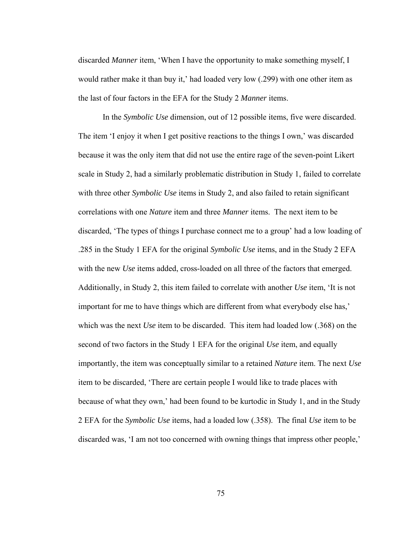discarded *Manner* item, 'When I have the opportunity to make something myself, I would rather make it than buy it,' had loaded very low (.299) with one other item as the last of four factors in the EFA for the Study 2 *Manner* items.

In the *Symbolic Use* dimension, out of 12 possible items, five were discarded. The item 'I enjoy it when I get positive reactions to the things I own,' was discarded because it was the only item that did not use the entire rage of the seven-point Likert scale in Study 2, had a similarly problematic distribution in Study 1, failed to correlate with three other *Symbolic Use* items in Study 2, and also failed to retain significant correlations with one *Nature* item and three *Manner* items. The next item to be discarded, 'The types of things I purchase connect me to a group' had a low loading of .285 in the Study 1 EFA for the original *Symbolic Use* items, and in the Study 2 EFA with the new *Use* items added, cross-loaded on all three of the factors that emerged. Additionally, in Study 2, this item failed to correlate with another *Use* item, 'It is not important for me to have things which are different from what everybody else has,' which was the next *Use* item to be discarded. This item had loaded low (.368) on the second of two factors in the Study 1 EFA for the original *Use* item, and equally importantly, the item was conceptually similar to a retained *Nature* item. The next *Use*  item to be discarded, 'There are certain people I would like to trade places with because of what they own,' had been found to be kurtodic in Study 1, and in the Study 2 EFA for the *Symbolic Use* items, had a loaded low (.358). The final *Use* item to be discarded was, 'I am not too concerned with owning things that impress other people,'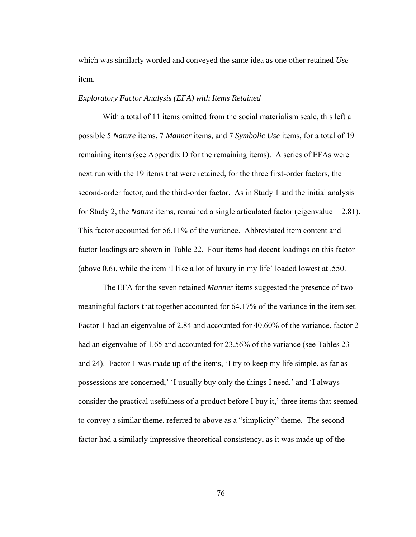which was similarly worded and conveyed the same idea as one other retained *Use* item.

# *Exploratory Factor Analysis (EFA) with Items Retained*

With a total of 11 items omitted from the social materialism scale, this left a possible 5 *Nature* items, 7 *Manner* items, and 7 *Symbolic Use* items, for a total of 19 remaining items (see Appendix D for the remaining items).A series of EFAs were next run with the 19 items that were retained, for the three first-order factors, the second-order factor, and the third-order factor. As in Study 1 and the initial analysis for Study 2, the *Nature* items, remained a single articulated factor (eigenvalue = 2.81). This factor accounted for 56.11% of the variance. Abbreviated item content and factor loadings are shown in Table 22. Four items had decent loadings on this factor (above 0.6), while the item 'I like a lot of luxury in my life' loaded lowest at .550.

The EFA for the seven retained *Manner* items suggested the presence of two meaningful factors that together accounted for 64.17% of the variance in the item set. Factor 1 had an eigenvalue of 2.84 and accounted for 40.60% of the variance, factor 2 had an eigenvalue of 1.65 and accounted for 23.56% of the variance (see Tables 23 and 24). Factor 1 was made up of the items, 'I try to keep my life simple, as far as possessions are concerned,' 'I usually buy only the things I need,' and 'I always consider the practical usefulness of a product before I buy it,' three items that seemed to convey a similar theme, referred to above as a "simplicity" theme. The second factor had a similarly impressive theoretical consistency, as it was made up of the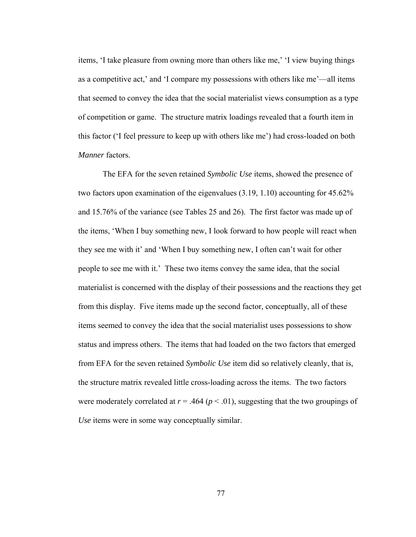items, 'I take pleasure from owning more than others like me,' 'I view buying things as a competitive act,' and 'I compare my possessions with others like me'—all items that seemed to convey the idea that the social materialist views consumption as a type of competition or game. The structure matrix loadings revealed that a fourth item in this factor ('I feel pressure to keep up with others like me') had cross-loaded on both *Manner* factors.

The EFA for the seven retained *Symbolic Use* items, showed the presence of two factors upon examination of the eigenvalues (3.19, 1.10) accounting for 45.62% and 15.76% of the variance (see Tables 25 and 26). The first factor was made up of the items, 'When I buy something new, I look forward to how people will react when they see me with it' and 'When I buy something new, I often can't wait for other people to see me with it.' These two items convey the same idea, that the social materialist is concerned with the display of their possessions and the reactions they get from this display. Five items made up the second factor, conceptually, all of these items seemed to convey the idea that the social materialist uses possessions to show status and impress others. The items that had loaded on the two factors that emerged from EFA for the seven retained *Symbolic Use* item did so relatively cleanly, that is, the structure matrix revealed little cross-loading across the items. The two factors were moderately correlated at  $r = .464$  ( $p < .01$ ), suggesting that the two groupings of *Use* items were in some way conceptually similar.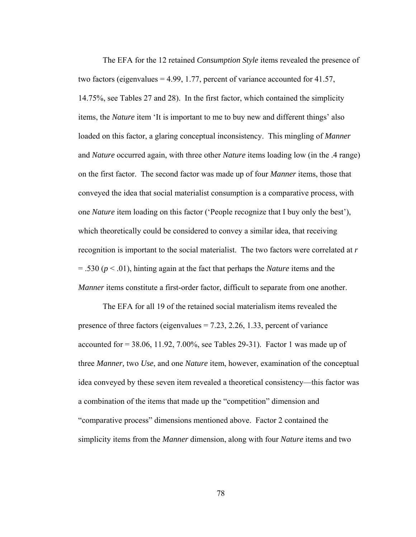The EFA for the 12 retained *Consumption Style* items revealed the presence of two factors (eigenvalues = 4.99, 1.77, percent of variance accounted for 41.57, 14.75%, see Tables 27 and 28). In the first factor, which contained the simplicity items, the *Nature* item 'It is important to me to buy new and different things' also loaded on this factor, a glaring conceptual inconsistency. This mingling of *Manner*  and *Nature* occurred again, with three other *Nature* items loading low (in the .4 range) on the first factor. The second factor was made up of four *Manner* items, those that conveyed the idea that social materialist consumption is a comparative process, with one *Nature* item loading on this factor ('People recognize that I buy only the best'), which theoretically could be considered to convey a similar idea, that receiving recognition is important to the social materialist. The two factors were correlated at *r*  $= .530$  ( $p < .01$ ), hinting again at the fact that perhaps the *Nature* items and the *Manner* items constitute a first-order factor, difficult to separate from one another.

The EFA for all 19 of the retained social materialism items revealed the presence of three factors (eigenvalues  $= 7.23, 2.26, 1.33$ , percent of variance accounted for  $= 38.06$ , 11.92, 7.00%, see Tables 29-31). Factor 1 was made up of three *Manner,* two *Use*, and one *Nature* item, however, examination of the conceptual idea conveyed by these seven item revealed a theoretical consistency—this factor was a combination of the items that made up the "competition" dimension and "comparative process" dimensions mentioned above. Factor 2 contained the simplicity items from the *Manner* dimension, along with four *Nature* items and two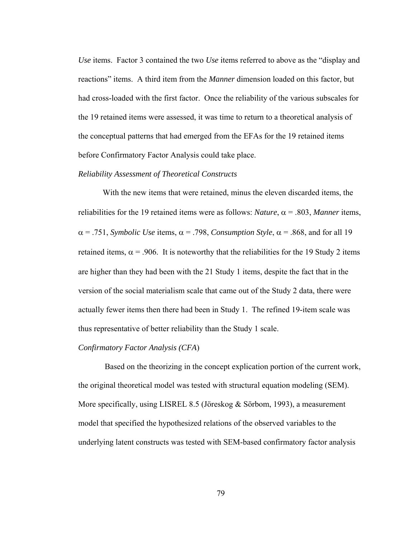*Use* items. Factor 3 contained the two *Use* items referred to above as the "display and reactions" items. A third item from the *Manner* dimension loaded on this factor, but had cross-loaded with the first factor. Once the reliability of the various subscales for the 19 retained items were assessed, it was time to return to a theoretical analysis of the conceptual patterns that had emerged from the EFAs for the 19 retained items before Confirmatory Factor Analysis could take place.

#### *Reliability Assessment of Theoretical Constructs*

 With the new items that were retained, minus the eleven discarded items, the reliabilities for the 19 retained items were as follows: *Nature*,  $\alpha$  = .803, *Manner* items,  $\alpha$  = .751, *Symbolic Use* items,  $\alpha$  = .798, *Consumption Style*,  $\alpha$  = .868, and for all 19 retained items,  $\alpha$  = .906. It is noteworthy that the reliabilities for the 19 Study 2 items are higher than they had been with the 21 Study 1 items, despite the fact that in the version of the social materialism scale that came out of the Study 2 data, there were actually fewer items then there had been in Study 1. The refined 19-item scale was thus representative of better reliability than the Study 1 scale.

# *Confirmatory Factor Analysis (CFA*)

Based on the theorizing in the concept explication portion of the current work, the original theoretical model was tested with structural equation modeling (SEM). More specifically, using LISREL 8.5 (Jöreskog & Sörbom, 1993), a measurement model that specified the hypothesized relations of the observed variables to the underlying latent constructs was tested with SEM-based confirmatory factor analysis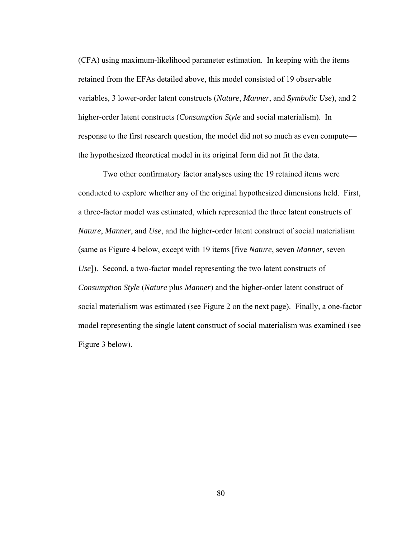(CFA) using maximum-likelihood parameter estimation. In keeping with the items retained from the EFAs detailed above, this model consisted of 19 observable variables, 3 lower-order latent constructs (*Nature*, *Manner*, and *Symbolic Use*), and 2 higher-order latent constructs (*Consumption Style* and social materialism). In response to the first research question, the model did not so much as even compute the hypothesized theoretical model in its original form did not fit the data.

Two other confirmatory factor analyses using the 19 retained items were conducted to explore whether any of the original hypothesized dimensions held. First, a three-factor model was estimated, which represented the three latent constructs of *Nature*, *Manner*, and *Use*, and the higher-order latent construct of social materialism (same as Figure 4 below, except with 19 items [five *Nature*, seven *Manner*, seven *Use*]). Second, a two-factor model representing the two latent constructs of *Consumption Style* (*Nature* plus *Manner*) and the higher-order latent construct of social materialism was estimated (see Figure 2 on the next page). Finally, a one-factor model representing the single latent construct of social materialism was examined (see Figure 3 below).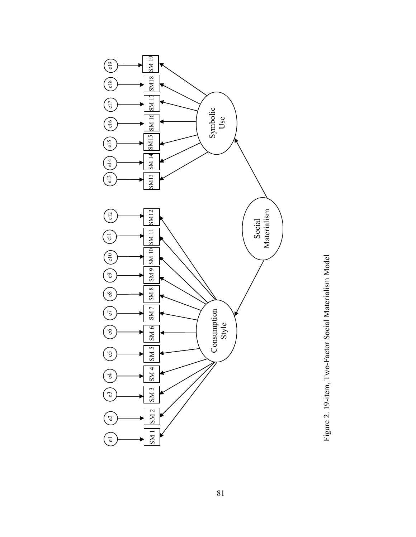

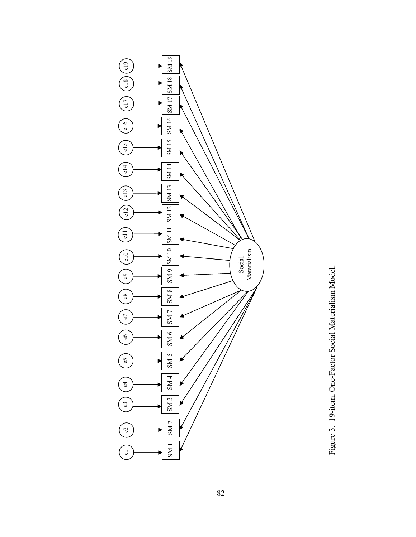

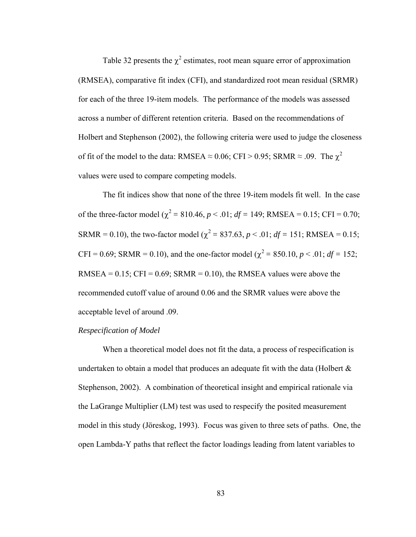Table 32 presents the  $\chi^2$  estimates, root mean square error of approximation (RMSEA), comparative fit index (CFI), and standardized root mean residual (SRMR) for each of the three 19-item models. The performance of the models was assessed across a number of different retention criteria. Based on the recommendations of Holbert and Stephenson (2002), the following criteria were used to judge the closeness of fit of the model to the data: RMSEA  $\approx$  0.06; CFI > 0.95; SRMR  $\approx$  .09. The  $\chi^2$ values were used to compare competing models.

The fit indices show that none of the three 19-item models fit well. In the case of the three-factor model ( $\chi^2 = 810.46$ ,  $p < .01$ ;  $df = 149$ ; RMSEA = 0.15; CFI = 0.70; SRMR = 0.10), the two-factor model ( $\chi^2$  = 837.63, *p* < .01; *df* = 151; RMSEA = 0.15;  $CFI = 0.69$ ;  $SRMR = 0.10$ ), and the one-factor model ( $\chi^2 = 850.10$ ,  $p < .01$ ; *df* = 152; RMSEA =  $0.15$ ; CFI =  $0.69$ ; SRMR =  $0.10$ ), the RMSEA values were above the recommended cutoff value of around 0.06 and the SRMR values were above the acceptable level of around .09.

## *Respecification of Model*

When a theoretical model does not fit the data, a process of respecification is undertaken to obtain a model that produces an adequate fit with the data (Holbert  $\&$ Stephenson, 2002). A combination of theoretical insight and empirical rationale via the LaGrange Multiplier (LM) test was used to respecify the posited measurement model in this study (Jöreskog, 1993). Focus was given to three sets of paths. One, the open Lambda-Y paths that reflect the factor loadings leading from latent variables to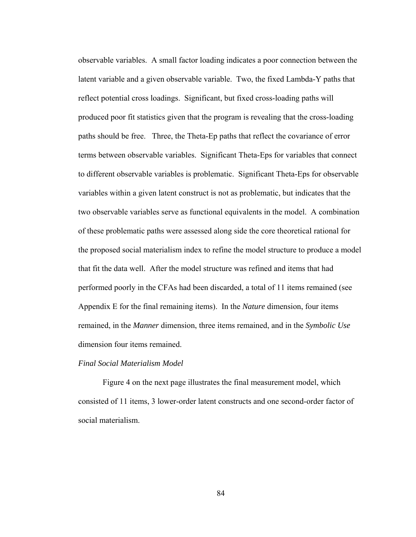observable variables. A small factor loading indicates a poor connection between the latent variable and a given observable variable. Two, the fixed Lambda-Y paths that reflect potential cross loadings. Significant, but fixed cross-loading paths will produced poor fit statistics given that the program is revealing that the cross-loading paths should be free. Three, the Theta-Ep paths that reflect the covariance of error terms between observable variables. Significant Theta-Eps for variables that connect to different observable variables is problematic. Significant Theta-Eps for observable variables within a given latent construct is not as problematic, but indicates that the two observable variables serve as functional equivalents in the model. A combination of these problematic paths were assessed along side the core theoretical rational for the proposed social materialism index to refine the model structure to produce a model that fit the data well. After the model structure was refined and items that had performed poorly in the CFAs had been discarded, a total of 11 items remained (see Appendix E for the final remaining items). In the *Nature* dimension, four items remained, in the *Manner* dimension, three items remained, and in the *Symbolic Use* dimension four items remained.

## *Final Social Materialism Model*

Figure 4 on the next page illustrates the final measurement model, which consisted of 11 items, 3 lower-order latent constructs and one second-order factor of social materialism.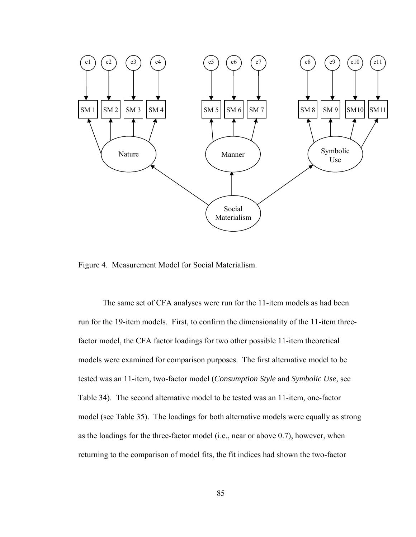

Figure 4. Measurement Model for Social Materialism.

The same set of CFA analyses were run for the 11-item models as had been run for the 19-item models. First, to confirm the dimensionality of the 11-item threefactor model, the CFA factor loadings for two other possible 11-item theoretical models were examined for comparison purposes. The first alternative model to be tested was an 11-item, two-factor model (*Consumption Style* and *Symbolic Use*, see Table 34).The second alternative model to be tested was an 11-item, one-factor model (see Table 35). The loadings for both alternative models were equally as strong as the loadings for the three-factor model (i.e., near or above 0.7), however, when returning to the comparison of model fits, the fit indices had shown the two-factor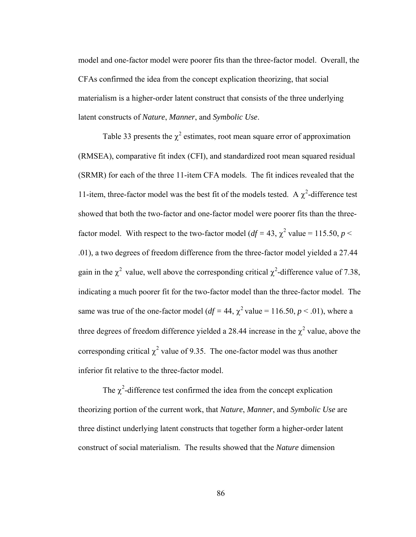model and one-factor model were poorer fits than the three-factor model.Overall, the CFAs confirmed the idea from the concept explication theorizing, that social materialism is a higher-order latent construct that consists of the three underlying latent constructs of *Nature*, *Manner*, and *Symbolic Use*.

Table 33 presents the  $\chi^2$  estimates, root mean square error of approximation (RMSEA), comparative fit index (CFI), and standardized root mean squared residual (SRMR) for each of the three 11-item CFA models. The fit indices revealed that the 11-item, three-factor model was the best fit of the models tested. A  $\chi^2$ -difference test showed that both the two-factor and one-factor model were poorer fits than the threefactor model. With respect to the two-factor model ( $df = 43$ ,  $\chi^2$  value = 115.50,  $p <$ .01), a two degrees of freedom difference from the three-factor model yielded a 27.44 gain in the  $\chi^2$  value, well above the corresponding critical  $\chi^2$ -difference value of 7.38, indicating a much poorer fit for the two-factor model than the three-factor model. The same was true of the one-factor model ( $df = 44$ ,  $\chi^2$  value = 116.50,  $p < .01$ ), where a three degrees of freedom difference yielded a 28.44 increase in the  $\chi^2$  value, above the corresponding critical  $\chi^2$  value of 9.35. The one-factor model was thus another inferior fit relative to the three-factor model.

The  $\chi^2$ -difference test confirmed the idea from the concept explication theorizing portion of the current work, that *Nature*, *Manner*, and *Symbolic Use* are three distinct underlying latent constructs that together form a higher-order latent construct of social materialism. The results showed that the *Nature* dimension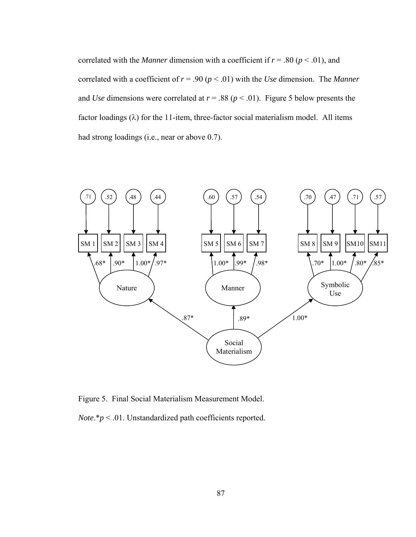correlated with the *Manner* dimension with a coefficient if  $r = .80$  ( $p < .01$ ), and correlated with a coefficient of  $r = .90 (p < .01)$  with the *Use* dimension. The *Manner* and *Use* dimensions were correlated at  $r = .88$  ( $p < .01$ ). Figure 5 below presents the factor loadings  $(\lambda)$  for the 11-item, three-factor social materialism model. All items had strong loadings (i.e., near or above 0.7).



Figure 5. Final Social Materialism Measurement Model.

*Note*.\**p* < .01. Unstandardized path coefficients reported.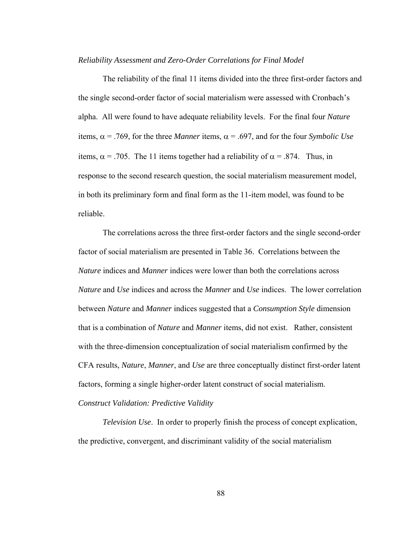#### *Reliability Assessment and Zero-Order Correlations for Final Model*

The reliability of the final 11 items divided into the three first-order factors and the single second-order factor of social materialism were assessed with Cronbach's alpha. All were found to have adequate reliability levels. For the final four *Nature* items,  $\alpha$  = .769, for the three *Manner* items,  $\alpha$  = .697, and for the four *Symbolic Use* items,  $\alpha$  = .705. The 11 items together had a reliability of  $\alpha$  = .874. Thus, in response to the second research question, the social materialism measurement model, in both its preliminary form and final form as the 11-item model, was found to be reliable.

The correlations across the three first-order factors and the single second-order factor of social materialism are presented in Table 36. Correlations between the *Nature* indices and *Manner* indices were lower than both the correlations across *Nature* and *Use* indices and across the *Manner* and *Use* indices. The lower correlation between *Nature* and *Manner* indices suggested that a *Consumption Style* dimension that is a combination of *Nature* and *Manner* items, did not exist. Rather, consistent with the three-dimension conceptualization of social materialism confirmed by the CFA results, *Nature*, *Manner*, and *Use* are three conceptually distinct first-order latent factors, forming a single higher-order latent construct of social materialism. *Construct Validation: Predictive Validity* 

*Television Use*.In order to properly finish the process of concept explication, the predictive, convergent, and discriminant validity of the social materialism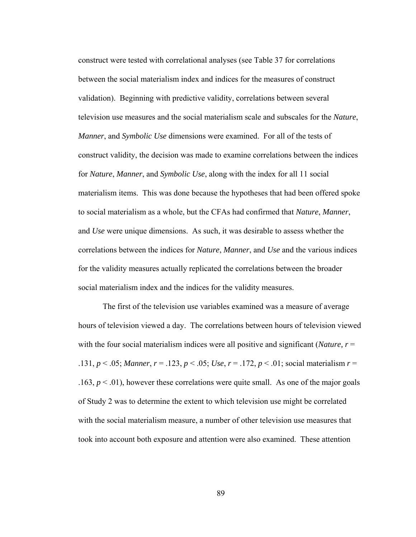construct were tested with correlational analyses (see Table 37 for correlations between the social materialism index and indices for the measures of construct validation). Beginning with predictive validity, correlations between several television use measures and the social materialism scale and subscales for the *Nature*, *Manner*, and *Symbolic Use* dimensions were examined. For all of the tests of construct validity, the decision was made to examine correlations between the indices for *Nature*, *Manner*, and *Symbolic Use*, along with the index for all 11 social materialism items. This was done because the hypotheses that had been offered spoke to social materialism as a whole, but the CFAs had confirmed that *Nature*, *Manner*, and *Use* were unique dimensions. As such, it was desirable to assess whether the correlations between the indices for *Nature*, *Manner*, and *Use* and the various indices for the validity measures actually replicated the correlations between the broader social materialism index and the indices for the validity measures.

 The first of the television use variables examined was a measure of average hours of television viewed a day. The correlations between hours of television viewed with the four social materialism indices were all positive and significant (*Nature, r* = .131, *p* < .05; *Manner*, *r* = .123, *p* < .05; *Use*, *r* = .172, *p* < .01; social materialism *r* = .163,  $p < 0.01$ ), however these correlations were quite small. As one of the major goals of Study 2 was to determine the extent to which television use might be correlated with the social materialism measure, a number of other television use measures that took into account both exposure and attention were also examined. These attention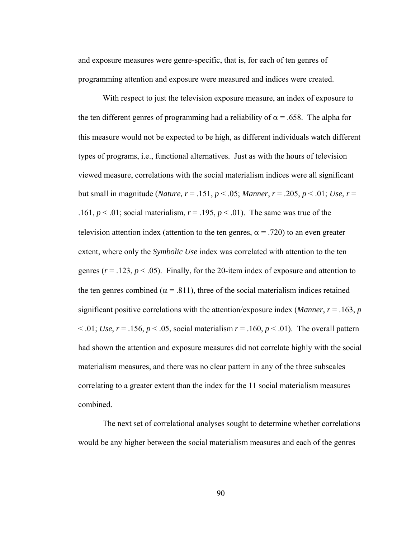and exposure measures were genre-specific, that is, for each of ten genres of programming attention and exposure were measured and indices were created.

With respect to just the television exposure measure, an index of exposure to the ten different genres of programming had a reliability of  $\alpha$  = .658. The alpha for this measure would not be expected to be high, as different individuals watch different types of programs, i.e., functional alternatives. Just as with the hours of television viewed measure, correlations with the social materialism indices were all significant but small in magnitude (*Nature, r* = .151,  $p$  < .05; *Manner*,  $r = .205$ ,  $p$  < .01; *Use*,  $r =$ .161,  $p < 0.01$ ; social materialism,  $r = 0.195$ ,  $p < 0.01$ ). The same was true of the television attention index (attention to the ten genres,  $\alpha$  = .720) to an even greater extent, where only the *Symbolic Use* index was correlated with attention to the ten genres ( $r = .123$ ,  $p < .05$ ). Finally, for the 20-item index of exposure and attention to the ten genres combined ( $\alpha$  = .811), three of the social materialism indices retained significant positive correlations with the attention/exposure index (*Manner*,  $r = .163$ ,  $p$  $\leq$  .01; *Use*,  $r = .156$ ,  $p \leq .05$ , social materialism  $r = .160$ ,  $p \leq .01$ ). The overall pattern had shown the attention and exposure measures did not correlate highly with the social materialism measures, and there was no clear pattern in any of the three subscales correlating to a greater extent than the index for the 11 social materialism measures combined.

The next set of correlational analyses sought to determine whether correlations would be any higher between the social materialism measures and each of the genres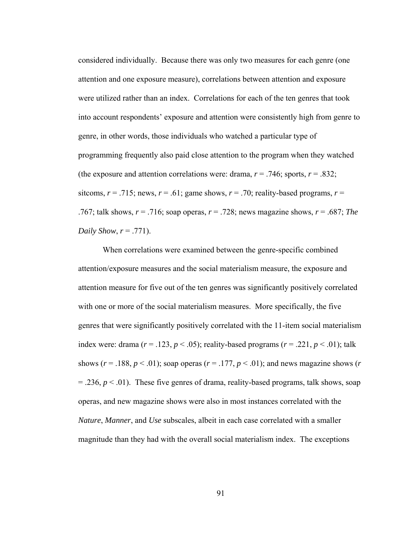considered individually. Because there was only two measures for each genre (one attention and one exposure measure), correlations between attention and exposure were utilized rather than an index. Correlations for each of the ten genres that took into account respondents' exposure and attention were consistently high from genre to genre, in other words, those individuals who watched a particular type of programming frequently also paid close attention to the program when they watched (the exposure and attention correlations were: drama,  $r = .746$ ; sports,  $r = .832$ ; sitcoms,  $r = .715$ ; news,  $r = .61$ ; game shows,  $r = .70$ ; reality-based programs,  $r =$ .767; talk shows, *r* = .716; soap operas, *r* = .728; news magazine shows, *r* = .687; *The Daily Show, r* = .771).

When correlations were examined between the genre-specific combined attention/exposure measures and the social materialism measure, the exposure and attention measure for five out of the ten genres was significantly positively correlated with one or more of the social materialism measures. More specifically, the five genres that were significantly positively correlated with the 11-item social materialism index were: drama ( $r = .123$ ,  $p < .05$ ); reality-based programs ( $r = .221$ ,  $p < .01$ ); talk shows ( $r = .188$ ,  $p < .01$ ); soap operas ( $r = .177$ ,  $p < .01$ ); and news magazine shows ( $r = .188$  $=$  .236,  $p < 0.01$ ). These five genres of drama, reality-based programs, talk shows, soap operas, and new magazine shows were also in most instances correlated with the *Nature*, *Manner*, and *Use* subscales, albeit in each case correlated with a smaller magnitude than they had with the overall social materialism index. The exceptions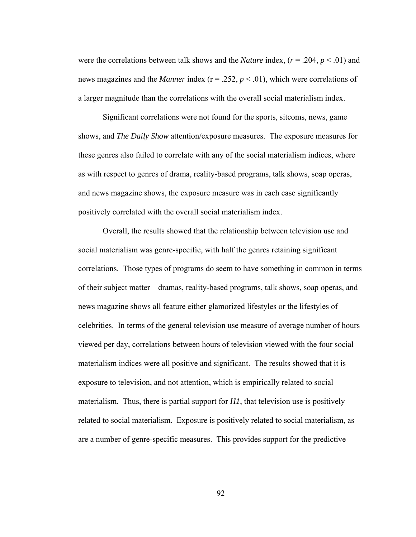were the correlations between talk shows and the *Nature* index,  $(r = .204, p < .01)$  and news magazines and the *Manner* index ( $r = 0.252$ ,  $p < 0.01$ ), which were correlations of a larger magnitude than the correlations with the overall social materialism index.

Significant correlations were not found for the sports, sitcoms, news, game shows, and *The Daily Show* attention/exposure measures. The exposure measures for these genres also failed to correlate with any of the social materialism indices, where as with respect to genres of drama, reality-based programs, talk shows, soap operas, and news magazine shows, the exposure measure was in each case significantly positively correlated with the overall social materialism index.

 Overall, the results showed that the relationship between television use and social materialism was genre-specific, with half the genres retaining significant correlations. Those types of programs do seem to have something in common in terms of their subject matter—dramas, reality-based programs, talk shows, soap operas, and news magazine shows all feature either glamorized lifestyles or the lifestyles of celebrities. In terms of the general television use measure of average number of hours viewed per day, correlations between hours of television viewed with the four social materialism indices were all positive and significant. The results showed that it is exposure to television, and not attention, which is empirically related to social materialism. Thus, there is partial support for *H1*, that television use is positively related to social materialism. Exposure is positively related to social materialism, as are a number of genre-specific measures. This provides support for the predictive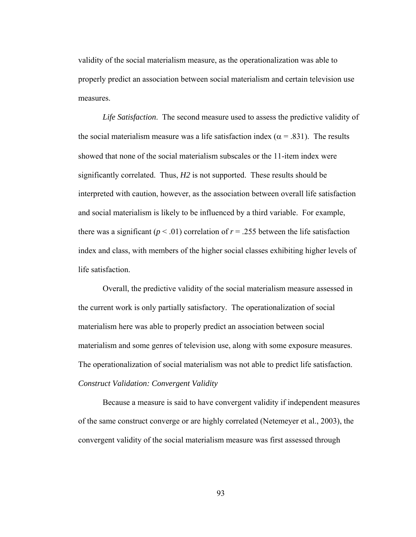validity of the social materialism measure, as the operationalization was able to properly predict an association between social materialism and certain television use measures.

*Life Satisfaction*.The second measure used to assess the predictive validity of the social materialism measure was a life satisfaction index ( $\alpha$  = .831). The results showed that none of the social materialism subscales or the 11-item index were significantly correlated. Thus, *H2* is not supported. These results should be interpreted with caution, however, as the association between overall life satisfaction and social materialism is likely to be influenced by a third variable. For example, there was a significant ( $p < .01$ ) correlation of  $r = .255$  between the life satisfaction index and class, with members of the higher social classes exhibiting higher levels of life satisfaction.

Overall, the predictive validity of the social materialism measure assessed in the current work is only partially satisfactory. The operationalization of social materialism here was able to properly predict an association between social materialism and some genres of television use, along with some exposure measures. The operationalization of social materialism was not able to predict life satisfaction. *Construct Validation: Convergent Validity* 

Because a measure is said to have convergent validity if independent measures of the same construct converge or are highly correlated (Netemeyer et al., 2003), the convergent validity of the social materialism measure was first assessed through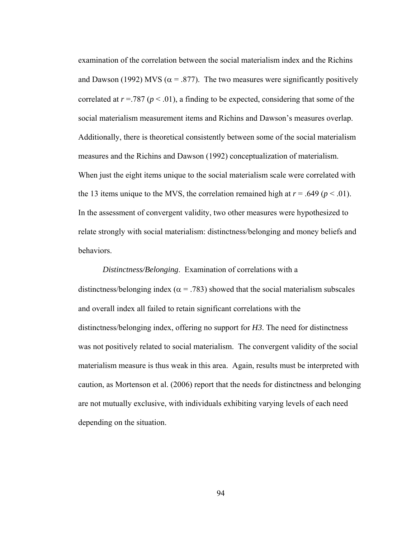examination of the correlation between the social materialism index and the Richins and Dawson (1992) MVS ( $\alpha$  = .877). The two measures were significantly positively correlated at  $r = .787$  ( $p < .01$ ), a finding to be expected, considering that some of the social materialism measurement items and Richins and Dawson's measures overlap. Additionally, there is theoretical consistently between some of the social materialism measures and the Richins and Dawson (1992) conceptualization of materialism. When just the eight items unique to the social materialism scale were correlated with the 13 items unique to the MVS, the correlation remained high at  $r = .649$  ( $p < .01$ ). In the assessment of convergent validity, two other measures were hypothesized to relate strongly with social materialism: distinctness/belonging and money beliefs and behaviors.

*Distinctness/Belonging*. Examination of correlations with a distinctness/belonging index ( $\alpha$  = .783) showed that the social materialism subscales and overall index all failed to retain significant correlations with the distinctness/belonging index, offering no support for *H3*. The need for distinctness was not positively related to social materialism. The convergent validity of the social materialism measure is thus weak in this area. Again, results must be interpreted with caution, as Mortenson et al. (2006) report that the needs for distinctness and belonging are not mutually exclusive, with individuals exhibiting varying levels of each need depending on the situation.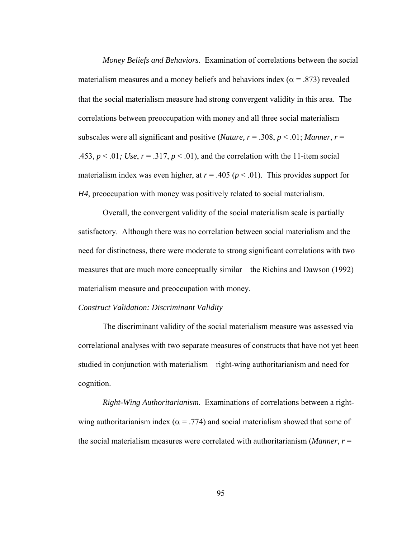*Money Beliefs and Behaviors*. Examination of correlations between the social materialism measures and a money beliefs and behaviors index ( $\alpha$  = .873) revealed that the social materialism measure had strong convergent validity in this area. The correlations between preoccupation with money and all three social materialism subscales were all significant and positive (*Nature, r* = .308, *p* < .01; *Manner*, *r* = .453,  $p < 0.01$ ; Use,  $r = 0.317$ ,  $p < 0.01$ ), and the correlation with the 11-item social materialism index was even higher, at  $r = .405$  ( $p < .01$ ). This provides support for *H4*, preoccupation with money was positively related to social materialism.

 Overall, the convergent validity of the social materialism scale is partially satisfactory. Although there was no correlation between social materialism and the need for distinctness, there were moderate to strong significant correlations with two measures that are much more conceptually similar—the Richins and Dawson (1992) materialism measure and preoccupation with money.

#### *Construct Validation: Discriminant Validity*

The discriminant validity of the social materialism measure was assessed via correlational analyses with two separate measures of constructs that have not yet been studied in conjunction with materialism—right-wing authoritarianism and need for cognition.

*Right-Wing Authoritarianism*. Examinations of correlations between a rightwing authoritarianism index ( $\alpha$  = .774) and social materialism showed that some of the social materialism measures were correlated with authoritarianism (*Manner*, *r* =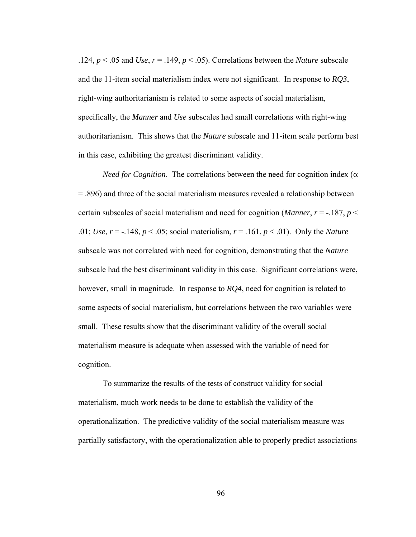.124,  $p < .05$  and *Use*,  $r = .149$ ,  $p < .05$ ). Correlations between the *Nature* subscale and the 11-item social materialism index were not significant. In response to *RQ3*, right-wing authoritarianism is related to some aspects of social materialism, specifically, the *Manner* and *Use* subscales had small correlations with right-wing authoritarianism. This shows that the *Nature* subscale and 11-item scale perform best in this case, exhibiting the greatest discriminant validity.

*Need for Cognition.* The correlations between the need for cognition index ( $\alpha$ ) = .896) and three of the social materialism measures revealed a relationship between certain subscales of social materialism and need for cognition (*Manner*,  $r = -187$ ,  $p <$ .01; *Use*, *r* = -.148, *p* < .05; social materialism, *r* = .161, *p* < .01). Only the *Nature* subscale was not correlated with need for cognition, demonstrating that the *Nature*  subscale had the best discriminant validity in this case. Significant correlations were, however, small in magnitude. In response to *RQ4*, need for cognition is related to some aspects of social materialism, but correlations between the two variables were small. These results show that the discriminant validity of the overall social materialism measure is adequate when assessed with the variable of need for cognition.

To summarize the results of the tests of construct validity for social materialism, much work needs to be done to establish the validity of the operationalization. The predictive validity of the social materialism measure was partially satisfactory, with the operationalization able to properly predict associations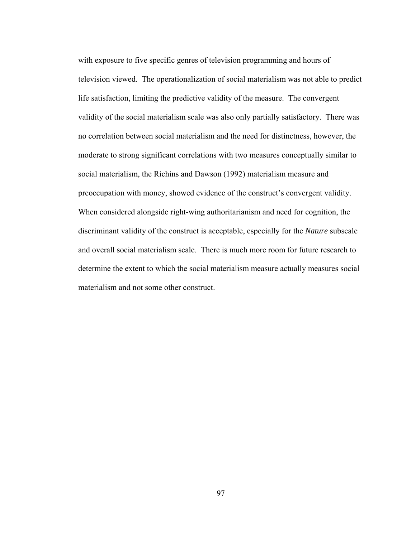with exposure to five specific genres of television programming and hours of television viewed. The operationalization of social materialism was not able to predict life satisfaction, limiting the predictive validity of the measure. The convergent validity of the social materialism scale was also only partially satisfactory. There was no correlation between social materialism and the need for distinctness, however, the moderate to strong significant correlations with two measures conceptually similar to social materialism, the Richins and Dawson (1992) materialism measure and preoccupation with money, showed evidence of the construct's convergent validity. When considered alongside right-wing authoritarianism and need for cognition, the discriminant validity of the construct is acceptable, especially for the *Nature* subscale and overall social materialism scale. There is much more room for future research to determine the extent to which the social materialism measure actually measures social materialism and not some other construct.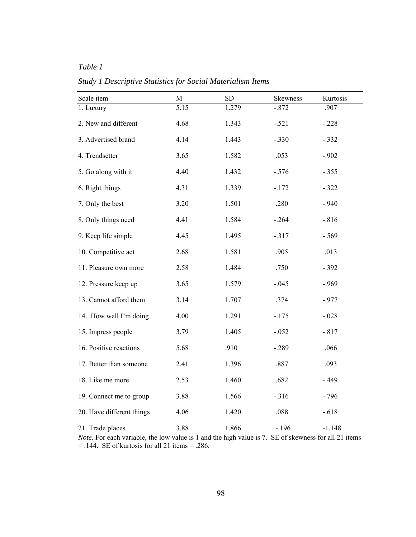# *Table 1*

*Study 1 Descriptive Statistics for Social Materialism Items* 

| Scale item                | $\mathbf M$ | ${\rm SD}$ | Skewness | Kurtosis |
|---------------------------|-------------|------------|----------|----------|
| 1. Luxury                 | 5.15        | 1.279      | $-.872$  | .907     |
| 2. New and different      | 4.68        | 1.343      | $-.521$  | $-.228$  |
| 3. Advertised brand       | 4.14        | 1.443      | $-.330$  | $-.332$  |
| 4. Trendsetter            | 3.65        | 1.582      | .053     | $-.902$  |
| 5. Go along with it       | 4.40        | 1.432      | $-.576$  | $-.355$  |
| 6. Right things           | 4.31        | 1.339      | $-.172$  | $-.322$  |
| 7. Only the best          | 3.20        | 1.501      | .280     | $-.940$  |
| 8. Only things need       | 4.41        | 1.584      | $-.264$  | $-.816$  |
| 9. Keep life simple       | 4.45        | 1.495      | $-.317$  | $-.569$  |
| 10. Competitive act       | 2.68        | 1.581      | .905     | .013     |
| 11. Pleasure own more     | 2.58        | 1.484      | .750     | $-.392$  |
| 12. Pressure keep up      | 3.65        | 1.579      | $-.045$  | $-.969$  |
| 13. Cannot afford them    | 3.14        | 1.707      | .374     | $-.977$  |
| 14. How well I'm doing    | 4.00        | 1.291      | $-.175$  | $-.028$  |
| 15. Impress people        | 3.79        | 1.405      | $-.052$  | $-.817$  |
| 16. Positive reactions    | 5.68        | .910       | $-.289$  | .066     |
| 17. Better than someone   | 2.41        | 1.396      | .887     | .093     |
| 18. Like me more          | 2.53        | 1.460      | .682     | $-.449$  |
| 19. Connect me to group   | 3.88        | 1.566      | $-316$   | $-.796$  |
| 20. Have different things | 4.06        | 1.420      | .088     | $-.618$  |
| 21. Trade places          | 3.88        | 1.866      | $-.196$  | $-1.148$ |

*Note*. For each variable, the low value is 1 and the high value is 7. SE of skewness for all 21 items  $=$  .144. SE of kurtosis for all 21 items  $=$  .286.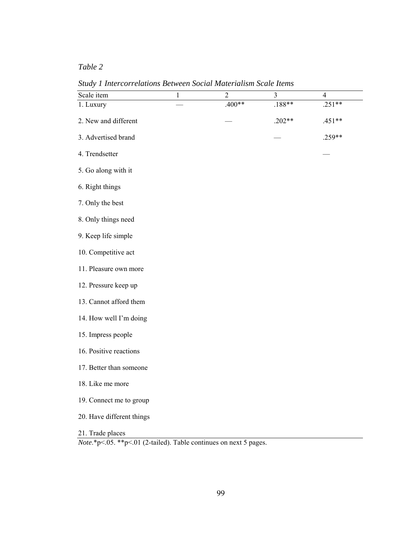*Study 1 Intercorrelations Between Social Materialism Scale Items* 

| Scale item                | $\mathbf{1}$ | $\overline{2}$ | $\mathfrak{Z}$ | 4        |
|---------------------------|--------------|----------------|----------------|----------|
| 1. Luxury                 |              | $.400**$       | $.188**$       | $.251**$ |
| 2. New and different      |              |                | $.202**$       | $.451**$ |
| 3. Advertised brand       |              |                |                | .259**   |
| 4. Trendsetter            |              |                |                |          |
| 5. Go along with it       |              |                |                |          |
| 6. Right things           |              |                |                |          |
| 7. Only the best          |              |                |                |          |
| 8. Only things need       |              |                |                |          |
| 9. Keep life simple       |              |                |                |          |
| 10. Competitive act       |              |                |                |          |
| 11. Pleasure own more     |              |                |                |          |
| 12. Pressure keep up      |              |                |                |          |
| 13. Cannot afford them    |              |                |                |          |
| 14. How well I'm doing    |              |                |                |          |
| 15. Impress people        |              |                |                |          |
| 16. Positive reactions    |              |                |                |          |
| 17. Better than someone   |              |                |                |          |
| 18. Like me more          |              |                |                |          |
| 19. Connect me to group   |              |                |                |          |
| 20. Have different things |              |                |                |          |
| 21. Trade places          |              |                |                |          |

*Note*.\*p<.05.\*\*p<.01 (2-tailed). Table continues on next 5 pages.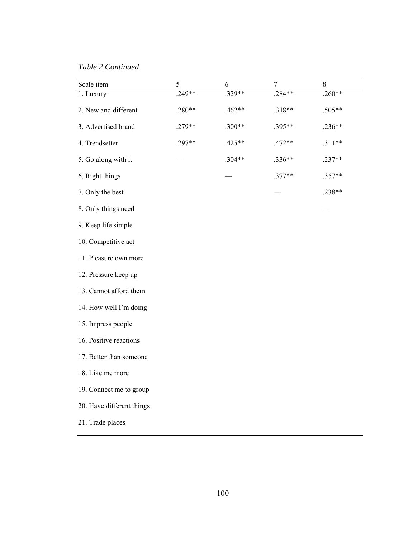*Table 2 Continued*

| Scale item                | 5      | 6        | $\tau$   | $8\,$    |
|---------------------------|--------|----------|----------|----------|
| 1. Luxury                 | .249** | $.329**$ | .284**   | $.260**$ |
| 2. New and different      | .280** | $.462**$ | $.318**$ | .505**   |
| 3. Advertised brand       | .279** | $.300**$ | .395**   | $.236**$ |
| 4. Trendsetter            | .297** | $.425**$ | $.472**$ | $.311**$ |
| 5. Go along with it       |        | $.304**$ | $.336**$ | $.237**$ |
| 6. Right things           |        |          | $.377**$ | .357**   |
| 7. Only the best          |        |          |          | .238**   |
| 8. Only things need       |        |          |          |          |
| 9. Keep life simple       |        |          |          |          |
| 10. Competitive act       |        |          |          |          |
| 11. Pleasure own more     |        |          |          |          |
| 12. Pressure keep up      |        |          |          |          |
| 13. Cannot afford them    |        |          |          |          |
| 14. How well I'm doing    |        |          |          |          |
| 15. Impress people        |        |          |          |          |
| 16. Positive reactions    |        |          |          |          |
| 17. Better than someone   |        |          |          |          |
| 18. Like me more          |        |          |          |          |
| 19. Connect me to group   |        |          |          |          |
| 20. Have different things |        |          |          |          |
| 21. Trade places          |        |          |          |          |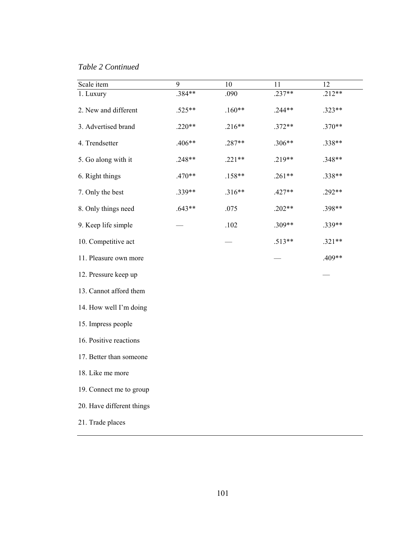*Table 2 Continued* 

| Scale item                | 9        | 10       | 11       | 12       |
|---------------------------|----------|----------|----------|----------|
| 1. Luxury                 | .384**   | .090     | $.237**$ | $.212**$ |
| 2. New and different      | .525**   | $.160**$ | $.244**$ | .323**   |
| 3. Advertised brand       | $.220**$ | $.216**$ | $.372**$ | $.370**$ |
| 4. Trendsetter            | .406**   | .287**   | $.306**$ | .338**   |
| 5. Go along with it       | .248**   | $.221**$ | $.219**$ | .348**   |
| 6. Right things           | .470**   | $.158**$ | $.261**$ | .338**   |
| 7. Only the best          | .339**   | $.316**$ | $.427**$ | .292**   |
| 8. Only things need       | $.643**$ | .075     | $.202**$ | .398**   |
| 9. Keep life simple       |          | .102     | .309**   | .339**   |
| 10. Competitive act       |          |          | $.513**$ | $.321**$ |
| 11. Pleasure own more     |          |          |          | .409**   |
| 12. Pressure keep up      |          |          |          |          |
| 13. Cannot afford them    |          |          |          |          |
| 14. How well I'm doing    |          |          |          |          |
| 15. Impress people        |          |          |          |          |
| 16. Positive reactions    |          |          |          |          |
| 17. Better than someone   |          |          |          |          |
| 18. Like me more          |          |          |          |          |
| 19. Connect me to group   |          |          |          |          |
| 20. Have different things |          |          |          |          |
| 21. Trade places          |          |          |          |          |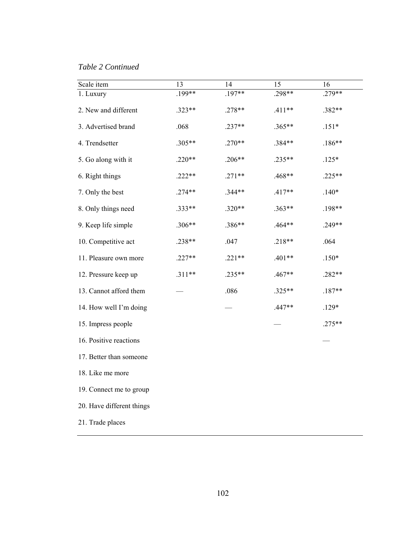*Table 2 Continued* 

| Scale item                | 13       | 14       | 15       | 16       |
|---------------------------|----------|----------|----------|----------|
| 1. Luxury                 | $.199**$ | .197**   | .298**   | .279**   |
| 2. New and different      | .323**   | $.278**$ | $.411**$ | .382**   |
| 3. Advertised brand       | .068     | $.237**$ | $.365**$ | $.151*$  |
| 4. Trendsetter            | .305**   | $.270**$ | .384**   | $.186**$ |
| 5. Go along with it       | $.220**$ | $.206**$ | .235**   | $.125*$  |
| 6. Right things           | $.222**$ | $.271**$ | .468**   | $.225**$ |
| 7. Only the best          | $.274**$ | .344**   | $.417**$ | $.140*$  |
| 8. Only things need       | .333**   | $.320**$ | $.363**$ | $.198**$ |
| 9. Keep life simple       | .306**   | .386**   | .464**   | $.249**$ |
| 10. Competitive act       | .238**   | .047     | $.218**$ | .064     |
| 11. Pleasure own more     | $.227**$ | $.221**$ | $.401**$ | $.150*$  |
| 12. Pressure keep up      | $.311**$ | $.235**$ | .467**   | .282**   |
| 13. Cannot afford them    |          | .086     | .325**   | $.187**$ |
| 14. How well I'm doing    |          |          | $.447**$ | $.129*$  |
| 15. Impress people        |          |          |          | $.275**$ |
| 16. Positive reactions    |          |          |          |          |
| 17. Better than someone   |          |          |          |          |
| 18. Like me more          |          |          |          |          |
| 19. Connect me to group   |          |          |          |          |
| 20. Have different things |          |          |          |          |
| 21. Trade places          |          |          |          |          |
|                           |          |          |          |          |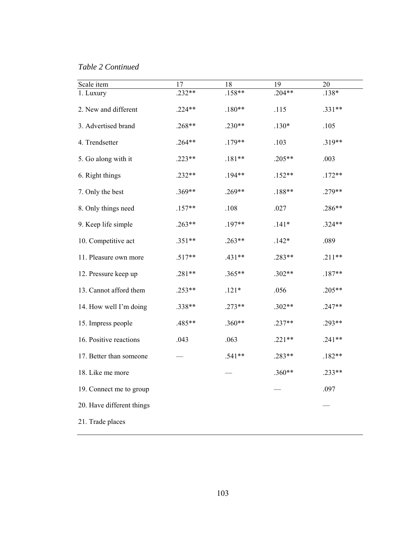*Table 2 Continued* 

| Scale item                | 17       | 18       | 19       | 20       |
|---------------------------|----------|----------|----------|----------|
| 1. Luxury                 | $.232**$ | $.158**$ | $.204**$ | .138*    |
| 2. New and different      | $.224**$ | $.180**$ | .115     | .331**   |
| 3. Advertised brand       | $.268**$ | $.230**$ | $.130*$  | .105     |
| 4. Trendsetter            | $.264**$ | $.179**$ | .103     | .319**   |
| 5. Go along with it       | $.223**$ | $.181**$ | .205**   | .003     |
| 6. Right things           | $.232**$ | .194**   | $.152**$ | $.172**$ |
| 7. Only the best          | $.369**$ | $.269**$ | $.188**$ | .279**   |
| 8. Only things need       | $.157**$ | .108     | .027     | .286**   |
| 9. Keep life simple       | $.263**$ | .197**   | $.141*$  | .324**   |
| 10. Competitive act       | $.351**$ | $.263**$ | $.142*$  | .089     |
| 11. Pleasure own more     | $.517**$ | .431**   | .283**   | $.211**$ |
| 12. Pressure keep up      | $.281**$ | $.365**$ | $.302**$ | $.187**$ |
| 13. Cannot afford them    | $.253**$ | $.121*$  | .056     | $.205**$ |
| 14. How well I'm doing    | .338**   | $.273**$ | .302**   | $.247**$ |
| 15. Impress people        | .485**   | $.360**$ | $.237**$ | .293**   |
| 16. Positive reactions    | .043     | .063     | $.221**$ | $.241**$ |
| 17. Better than someone   |          | $.541**$ | .283**   | $.182**$ |
| 18. Like me more          |          |          | $.360**$ | $.233**$ |
| 19. Connect me to group   |          |          |          | .097     |
| 20. Have different things |          |          |          |          |
| 21. Trade places          |          |          |          |          |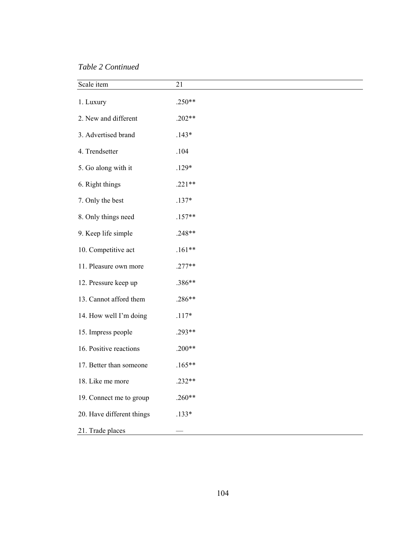*Table 2 Continued* 

| Scale item                | 21       |
|---------------------------|----------|
| 1. Luxury                 | $.250**$ |
| 2. New and different      | $.202**$ |
| 3. Advertised brand       | $.143*$  |
| 4. Trendsetter            | .104     |
| 5. Go along with it       | $.129*$  |
| 6. Right things           | $.221**$ |
| 7. Only the best          | $.137*$  |
| 8. Only things need       | $.157**$ |
| 9. Keep life simple       | .248**   |
| 10. Competitive act       | $.161**$ |
| 11. Pleasure own more     | $.277**$ |
| 12. Pressure keep up      | .386**   |
| 13. Cannot afford them    | .286**   |
| 14. How well I'm doing    | $.117*$  |
| 15. Impress people        | .293**   |
| 16. Positive reactions    | $.200**$ |
| 17. Better than someone   | $.165**$ |
| 18. Like me more          | $.232**$ |
| 19. Connect me to group   | $.260**$ |
| 20. Have different things | $.133*$  |
| 21. Trade places          |          |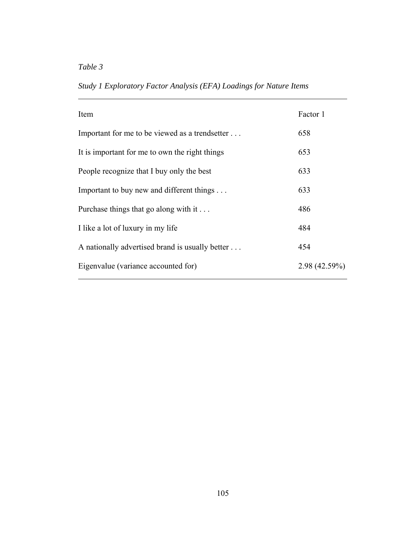$\overline{a}$ 

*Study 1 Exploratory Factor Analysis (EFA) Loadings for Nature Items* 

| Item                                            | Factor 1     |
|-------------------------------------------------|--------------|
| Important for me to be viewed as a trendsetter  | 658          |
| It is important for me to own the right things  | 653          |
| People recognize that I buy only the best       | 633          |
| Important to buy new and different things       | 633          |
| Purchase things that go along with it           | 486          |
| I like a lot of luxury in my life               | 484          |
| A nationally advertised brand is usually better | 454          |
| Eigenvalue (variance accounted for)             | 2.98(42.59%) |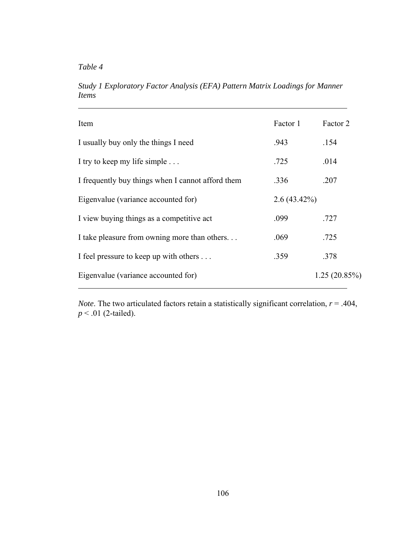*Table 4* 

 $\overline{a}$ 

*Study 1 Exploratory Factor Analysis (EFA) Pattern Matrix Loadings for Manner Items* 

| Item                                              | Factor 1       | Factor 2     |
|---------------------------------------------------|----------------|--------------|
| I usually buy only the things I need              | .943           | .154         |
| I try to keep my life simple                      | .725           | .014         |
| I frequently buy things when I cannot afford them | .336           | .207         |
| Eigenvalue (variance accounted for)               | $2.6(43.42\%)$ |              |
| I view buying things as a competitive act         | .099           | .727         |
| I take pleasure from owning more than others      | .069           | .725         |
| I feel pressure to keep up with others            | .359           | .378         |
| Eigenvalue (variance accounted for)               |                | 1.25(20.85%) |

*Note*. The two articulated factors retain a statistically significant correlation, *r* = .404, *p* < .01 (2-tailed).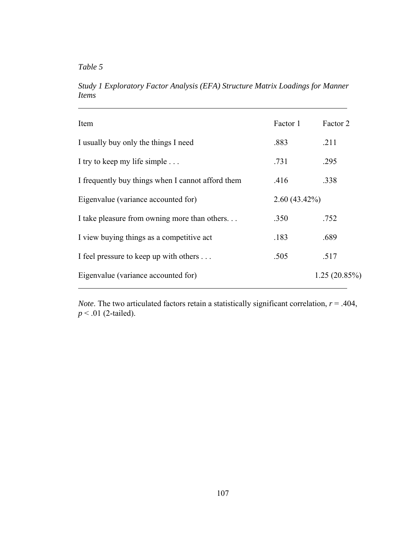*Table 5* 

 $\overline{a}$ 

*Study 1 Exploratory Factor Analysis (EFA) Structure Matrix Loadings for Manner Items* 

| Item                                              | Factor 1        | Factor 2     |
|---------------------------------------------------|-----------------|--------------|
| I usually buy only the things I need              | .883            | .211         |
| I try to keep my life simple                      | .731            | .295         |
| I frequently buy things when I cannot afford them | .416            | .338         |
| Eigenvalue (variance accounted for)               | $2.60(43.42\%)$ |              |
| I take pleasure from owning more than others      | .350            | .752         |
| I view buying things as a competitive act         | .183            | .689         |
| I feel pressure to keep up with others            | .505            | .517         |
| Eigenvalue (variance accounted for)               |                 | 1.25(20.85%) |

*Note*. The two articulated factors retain a statistically significant correlation, *r* = .404, *p* < .01 (2-tailed).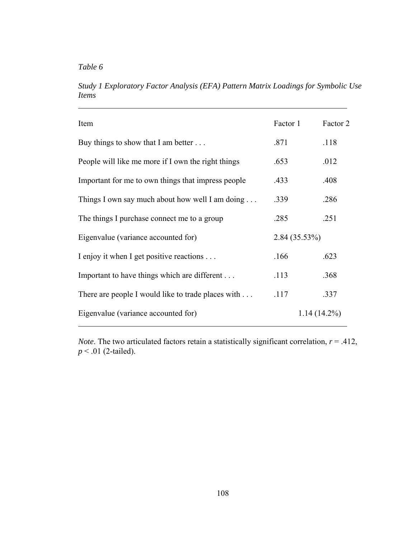$\overline{a}$ 

*Study 1 Exploratory Factor Analysis (EFA) Pattern Matrix Loadings for Symbolic Use Items* 

| Item                                               | Factor 1        | Factor 2       |
|----------------------------------------------------|-----------------|----------------|
| Buy things to show that I am better $\dots$        | .871            | .118           |
| People will like me more if I own the right things | .653            | .012           |
| Important for me to own things that impress people | .433            | .408           |
| Things I own say much about how well I am doing    | .339            | .286           |
| The things I purchase connect me to a group        | .285            | .251           |
| Eigenvalue (variance accounted for)                | $2.84(35.53\%)$ |                |
| I enjoy it when I get positive reactions           | .166            | .623           |
| Important to have things which are different       | .113            | .368           |
| There are people I would like to trade places with | .117            | .337           |
| Eigenvalue (variance accounted for)                |                 | $1.14(14.2\%)$ |

*Note*. The two articulated factors retain a statistically significant correlation,  $r = .412$ , *p* < .01 (2-tailed).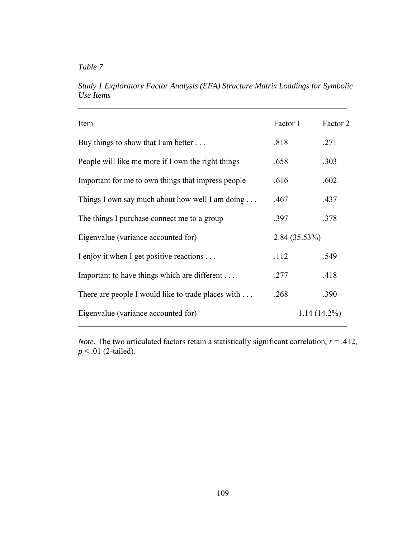*Table 7* 

 $\overline{a}$ 

*Study 1 Exploratory Factor Analysis (EFA) Structure Matrix Loadings for Symbolic Use Items* 

| Item                                                     | Factor 1        | Factor 2       |
|----------------------------------------------------------|-----------------|----------------|
| Buy things to show that I am better $\dots$              | .818            | .271           |
| People will like me more if I own the right things       | .658            | .303           |
| Important for me to own things that impress people       | .616            | .602           |
| Things I own say much about how well I am doing $\ldots$ | .467            | .437           |
| The things I purchase connect me to a group              | .397            | .378           |
| Eigenvalue (variance accounted for)                      | $2.84(35.53\%)$ |                |
| I enjoy it when I get positive reactions                 | .112            | .549           |
| Important to have things which are different             | .277            | .418           |
| There are people I would like to trade places with       | .268            | .390           |
| Eigenvalue (variance accounted for)                      |                 | $1.14(14.2\%)$ |

*Note*. The two articulated factors retain a statistically significant correlation,  $r = .412$ , *p* < .01 (2-tailed).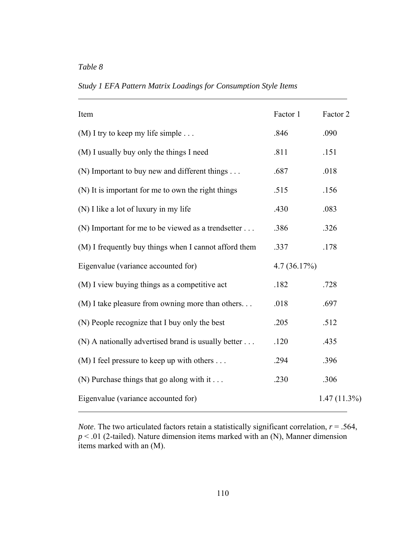$\overline{a}$ 

Item Factor 1 Factor 2 (M) I try to keep my life simple  $\dots$  .846 .090 (M) I usually buy only the things I need .811 .151 (N) Important to buy new and different things . . . . .687 .018 (N) It is important for me to own the right things .515 .156 (N) I like a lot of luxury in my life .430 .083 (N) Important for me to be viewed as a trendsetter  $\ldots$  .386 .326 (M) I frequently buy things when I cannot afford them .337 .178 Eigenvalue (variance accounted for) 4.7 (36.17%) (M) I view buying things as a competitive act .182 .728 (M) I take pleasure from owning more than others. . . . .018 .697 (N) People recognize that I buy only the best .205 .512 (N) A nationally advertised brand is usually better  $\dots$  .120 .435 (M) I feel pressure to keep up with others  $\dots$  .294 .396 (N) Purchase things that go along with it  $\ldots$  .230 .306 Eigenvalue (variance accounted for) 1.47 (11.3%)  $\overline{a}$ 

*Study 1 EFA Pattern Matrix Loadings for Consumption Style Items* 

*Note*. The two articulated factors retain a statistically significant correlation,  $r = .564$ ,  $p < .01$  (2-tailed). Nature dimension items marked with an  $(N)$ , Manner dimension items marked with an (M).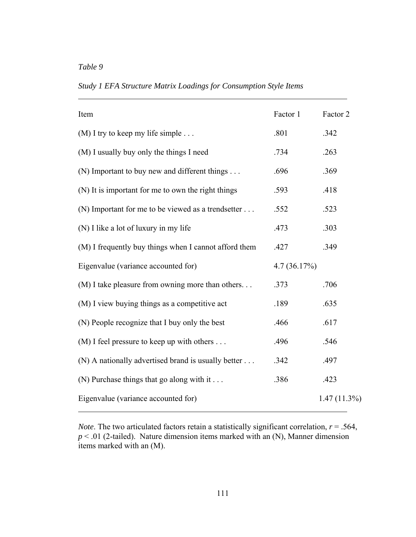$\overline{a}$ 

Item Factor 1 Factor 2 (M) I try to keep my life simple  $\dots$  .801 .342 (M) I usually buy only the things I need .734 .263 (N) Important to buy new and different things . . . . . .696 .369 (N) It is important for me to own the right things .593 .418 (N) Important for me to be viewed as a trendsetter  $\dots$  .552 .523 (N) I like a lot of luxury in my life  $.473$   $.303$ (M) I frequently buy things when I cannot afford them .427 .349 Eigenvalue (variance accounted for) 4.7 (36.17%) (M) I take pleasure from owning more than others. . . . .373 .706  $(M)$  I view buying things as a competitive act  $.189$  .635 (N) People recognize that I buy only the best .617 (M) I feel pressure to keep up with others  $\ldots$  .496 .546 (N) A nationally advertised brand is usually better  $\dots$  .342 .497 (N) Purchase things that go along with it  $\ldots$  .386 .423 Eigenvalue (variance accounted for) 1.47 (11.3%)  $\overline{a}$ 

*Study 1 EFA Structure Matrix Loadings for Consumption Style Items* 

*Note*. The two articulated factors retain a statistically significant correlation,  $r = .564$ ,  $p < .01$  (2-tailed). Nature dimension items marked with an  $(N)$ , Manner dimension items marked with an (M).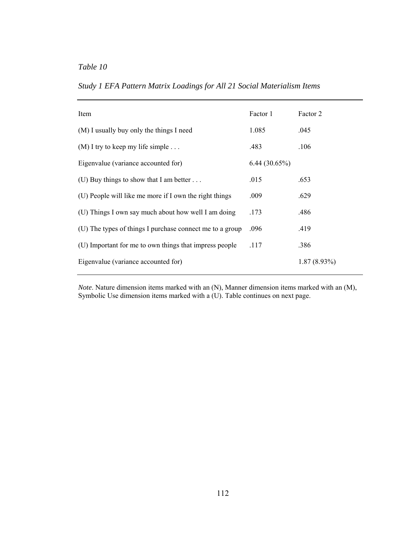| Item                                                     | Factor 1     | Factor 2       |
|----------------------------------------------------------|--------------|----------------|
| (M) I usually buy only the things I need                 | 1.085        | .045           |
| $(M)$ I try to keep my life simple                       | .483         | .106           |
| Eigenvalue (variance accounted for)                      | 6.44(30.65%) |                |
| (U) Buy things to show that I am better $\dots$          | .015         | .653           |
| (U) People will like me more if I own the right things   | .009         | .629           |
| (U) Things I own say much about how well I am doing      | .173         | .486           |
| (U) The types of things I purchase connect me to a group | .096         | .419           |
| (U) Important for me to own things that impress people   | .117         | .386           |
| Eigenvalue (variance accounted for)                      |              | $1.87(8.93\%)$ |

*Note*. Nature dimension items marked with an (N), Manner dimension items marked with an (M), Symbolic Use dimension items marked with a (U). Table continues on next page.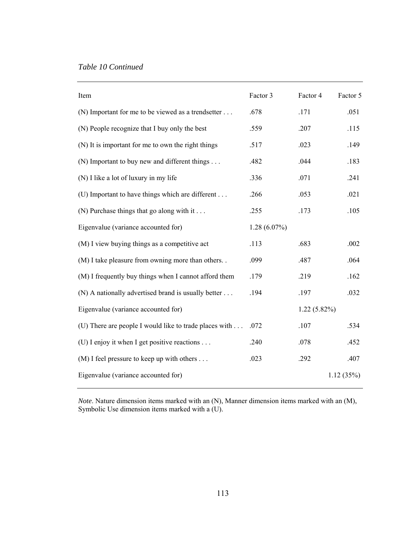| Item                                                   | Factor 3       | Factor 4       | Factor 5  |
|--------------------------------------------------------|----------------|----------------|-----------|
| (N) Important for me to be viewed as a trendsetter     | .678           | .171           | .051      |
| (N) People recognize that I buy only the best          | .559           | .207           | .115      |
| (N) It is important for me to own the right things     | .517           | .023           | .149      |
| (N) Important to buy new and different things          | .482           | .044           | .183      |
| (N) I like a lot of luxury in my life                  | .336           | .071           | .241      |
| (U) Important to have things which are different       | .266           | .053           | .021      |
| (N) Purchase things that go along with it              | .255           | .173           | .105      |
| Eigenvalue (variance accounted for)                    | $1.28(6.07\%)$ |                |           |
| (M) I view buying things as a competitive act          | .113           | .683           | .002      |
| (M) I take pleasure from owning more than others. .    | .099           | .487           | .064      |
| (M) I frequently buy things when I cannot afford them  | .179           | .219           | .162      |
| (N) A nationally advertised brand is usually better    | .194           | .197           | .032      |
| Eigenvalue (variance accounted for)                    |                | $1.22(5.82\%)$ |           |
| (U) There are people I would like to trade places with | .072           | .107           | .534      |
| (U) I enjoy it when I get positive reactions           | .240           | .078           | .452      |
| $(M)$ I feel pressure to keep up with others           | .023           | .292           | .407      |
| Eigenvalue (variance accounted for)                    |                |                | 1.12(35%) |

*Note*. Nature dimension items marked with an (N), Manner dimension items marked with an (M), Symbolic Use dimension items marked with a (U).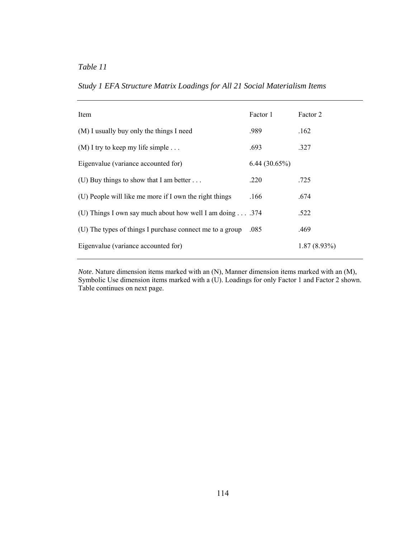| Study 1 EFA Structure Matrix Loadings for All 21 Social Materialism Items |
|---------------------------------------------------------------------------|
|---------------------------------------------------------------------------|

| Item                                                             | Factor 1     | Factor 2       |
|------------------------------------------------------------------|--------------|----------------|
| (M) I usually buy only the things I need                         | .989         | .162           |
| $(M)$ I try to keep my life simple                               | .693         | .327           |
| Eigenvalue (variance accounted for)                              | 6.44(30.65%) |                |
| (U) Buy things to show that I am better $\dots$                  | .220         | .725           |
| (U) People will like me more if I own the right things           | .166         | .674           |
| (U) Things I own say much about how well I am doing $\dots$ .374 |              | .522           |
| (U) The types of things I purchase connect me to a group         | .085         | .469           |
| Eigenvalue (variance accounted for)                              |              | $1.87(8.93\%)$ |

*Note*. Nature dimension items marked with an (N), Manner dimension items marked with an (M), Symbolic Use dimension items marked with a (U). Loadings for only Factor 1 and Factor 2 shown. Table continues on next page.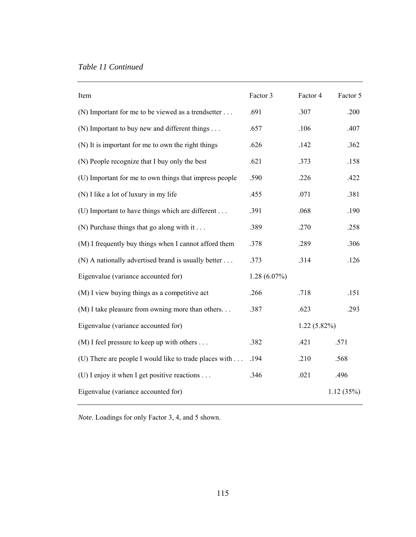## *Table 11 Continued*

| Item                                                   | Factor 3       | Factor 4       | Factor 5  |
|--------------------------------------------------------|----------------|----------------|-----------|
| (N) Important for me to be viewed as a trendsetter     | .691           | .307           | .200      |
| (N) Important to buy new and different things          | .657           | .106           | .407      |
| (N) It is important for me to own the right things     | .626           | .142           | .362      |
| (N) People recognize that I buy only the best          | .621           | .373           | .158      |
| (U) Important for me to own things that impress people | .590           | .226           | .422      |
| (N) I like a lot of luxury in my life                  | .455           | .071           | .381      |
| (U) Important to have things which are different       | .391           | .068           | .190      |
| (N) Purchase things that go along with it              | .389           | .270           | .258      |
| (M) I frequently buy things when I cannot afford them  | .378           | .289           | .306      |
| (N) A nationally advertised brand is usually better    | .373           | .314           | .126      |
| Eigenvalue (variance accounted for)                    | $1.28(6.07\%)$ |                |           |
| (M) I view buying things as a competitive act          | .266           | .718           | .151      |
| (M) I take pleasure from owning more than others       | .387           | .623           | .293      |
| Eigenvalue (variance accounted for)                    |                | $1.22(5.82\%)$ |           |
| $(M)$ I feel pressure to keep up with others           | .382           | .421           | .571      |
| (U) There are people I would like to trade places with | .194           | .210           | .568      |
| (U) I enjoy it when I get positive reactions           | .346           | .021           | .496      |
| Eigenvalue (variance accounted for)                    |                |                | 1.12(35%) |

*Note*. Loadings for only Factor 3, 4, and 5 shown.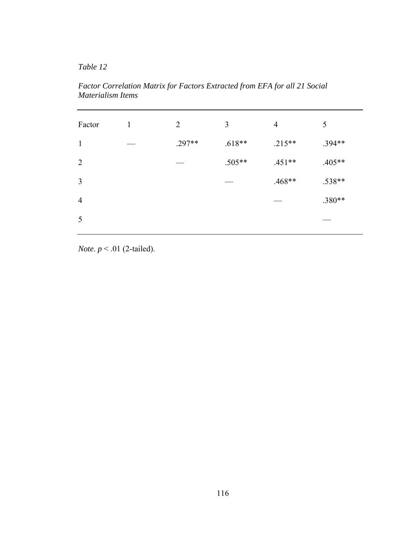*Table 12* 

*Factor Correlation Matrix for Factors Extracted from EFA for all 21 Social Materialism Items* 

| Factor         | 1 | $\overline{2}$ | 3        | $\overline{4}$ | 5        |
|----------------|---|----------------|----------|----------------|----------|
| $\mathbf{1}$   |   | $.297**$       | $.618**$ | $.215**$       | .394**   |
| 2              |   |                | $.505**$ | $.451**$       | $.405**$ |
| $\mathfrak{Z}$ |   |                |          | $.468**$       | .538**   |
| $\overline{4}$ |   |                |          |                | $.380**$ |
| 5              |   |                |          |                |          |
|                |   |                |          |                |          |

*Note*. *p* < .01 (2-tailed).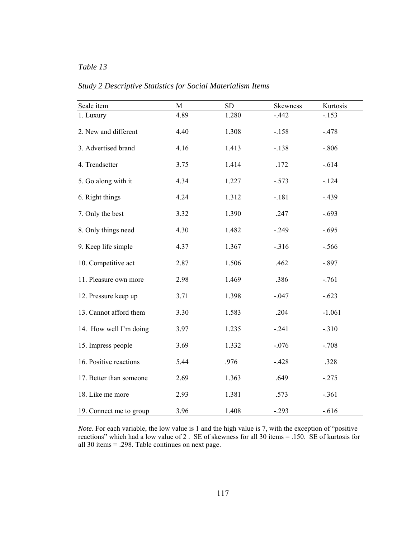| Scale item              | $\mathbf{M}$ | SD    | Skewness | Kurtosis |  |
|-------------------------|--------------|-------|----------|----------|--|
| 1. Luxury               | 4.89         | 1.280 | $-.442$  | $-.153$  |  |
| 2. New and different    | 4.40         | 1.308 | $-.158$  | $-.478$  |  |
| 3. Advertised brand     | 4.16         | 1.413 | $-.138$  | $-.806$  |  |
| 4. Trendsetter          | 3.75         | 1.414 | .172     | $-.614$  |  |
| 5. Go along with it     | 4.34         | 1.227 | $-.573$  | $-124$   |  |
| 6. Right things         | 4.24         | 1.312 | $-.181$  | $-.439$  |  |
| 7. Only the best        | 3.32         | 1.390 | .247     | $-.693$  |  |
| 8. Only things need     | 4.30         | 1.482 | $-.249$  | $-.695$  |  |
| 9. Keep life simple     | 4.37         | 1.367 | $-.316$  | $-.566$  |  |
| 10. Competitive act     | 2.87         | 1.506 | .462     | $-.897$  |  |
| 11. Pleasure own more   | 2.98         | 1.469 | .386     | $-.761$  |  |
| 12. Pressure keep up    | 3.71         | 1.398 | $-.047$  | $-.623$  |  |
| 13. Cannot afford them  | 3.30         | 1.583 | .204     | $-1.061$ |  |
| 14. How well I'm doing  | 3.97         | 1.235 | $-.241$  | $-.310$  |  |
| 15. Impress people      | 3.69         | 1.332 | $-.076$  | $-.708$  |  |
| 16. Positive reactions  | 5.44         | .976  | $-.428$  | .328     |  |
| 17. Better than someone | 2.69         | 1.363 | .649     | $-.275$  |  |
| 18. Like me more        | 2.93         | 1.381 | .573     | $-.361$  |  |
| 19. Connect me to group | 3.96         | 1.408 | $-.293$  | $-0.616$ |  |

*Study 2 Descriptive Statistics for Social Materialism Items* 

*Note*. For each variable, the low value is 1 and the high value is 7, with the exception of "positive" reactions" which had a low value of 2 . SE of skewness for all 30 items = .150. SE of kurtosis for all 30 items = .298. Table continues on next page.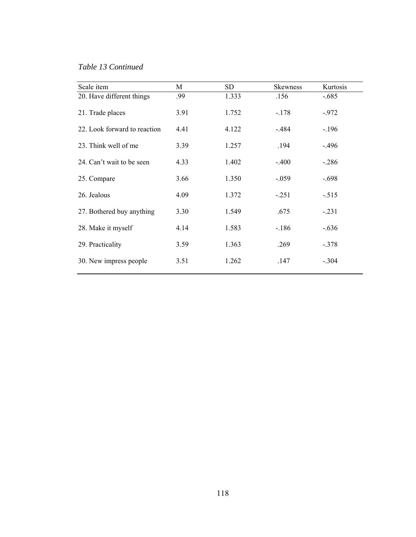*Table 13 Continued*

| Scale item                   | М    | <b>SD</b> | <b>Skewness</b> | Kurtosis |
|------------------------------|------|-----------|-----------------|----------|
| 20. Have different things    | .99  | 1.333     | .156            | $-.685$  |
| 21. Trade places             | 3.91 | 1.752     | $-.178$         | $-.972$  |
| 22. Look forward to reaction | 4.41 | 4.122     | $-.484$         | $-.196$  |
| 23. Think well of me         | 3.39 | 1.257     | .194            | $-.496$  |
| 24. Can't wait to be seen    | 4.33 | 1.402     | $-.400$         | $-.286$  |
| 25. Compare                  | 3.66 | 1.350     | $-.059$         | $-.698$  |
| 26. Jealous                  | 4.09 | 1.372     | $-.251$         | $-.515$  |
| 27. Bothered buy anything    | 3.30 | 1.549     | .675            | $-.231$  |
| 28. Make it myself           | 4.14 | 1.583     | $-186$          | $-.636$  |
| 29. Practicality             | 3.59 | 1.363     | .269            | $-.378$  |
| 30. New impress people       | 3.51 | 1.262     | .147            | $-.304$  |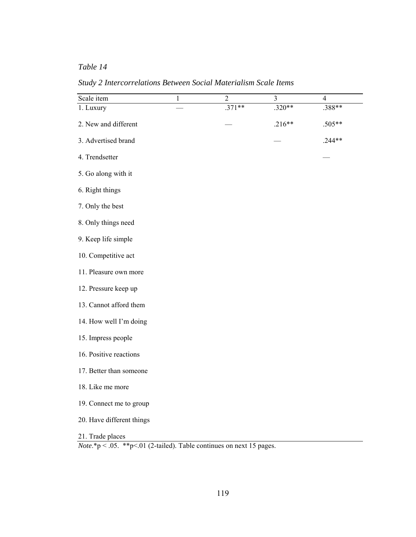*Table 14* 

*Study 2 Intercorrelations Between Social Materialism Scale Items* 

| Scale item                                                                                         | $\mathbf{1}$ | $\overline{2}$ | 3        | $\overline{4}$ |
|----------------------------------------------------------------------------------------------------|--------------|----------------|----------|----------------|
| 1. Luxury                                                                                          |              | $.371**$       | .320**   | $.388**$       |
| 2. New and different                                                                               |              |                | $.216**$ | .505**         |
| 3. Advertised brand                                                                                |              |                |          | .244**         |
| 4. Trendsetter                                                                                     |              |                |          |                |
| 5. Go along with it                                                                                |              |                |          |                |
| 6. Right things                                                                                    |              |                |          |                |
| 7. Only the best                                                                                   |              |                |          |                |
| 8. Only things need                                                                                |              |                |          |                |
| 9. Keep life simple                                                                                |              |                |          |                |
| 10. Competitive act                                                                                |              |                |          |                |
| 11. Pleasure own more                                                                              |              |                |          |                |
| 12. Pressure keep up                                                                               |              |                |          |                |
| 13. Cannot afford them                                                                             |              |                |          |                |
| 14. How well I'm doing                                                                             |              |                |          |                |
| 15. Impress people                                                                                 |              |                |          |                |
| 16. Positive reactions                                                                             |              |                |          |                |
| 17. Better than someone                                                                            |              |                |          |                |
| 18. Like me more                                                                                   |              |                |          |                |
| 19. Connect me to group                                                                            |              |                |          |                |
| 20. Have different things                                                                          |              |                |          |                |
| 21. Trade places<br><i>Note</i> .*p < .05. **p < .01 (2-tailed). Table continues on next 15 pages. |              |                |          |                |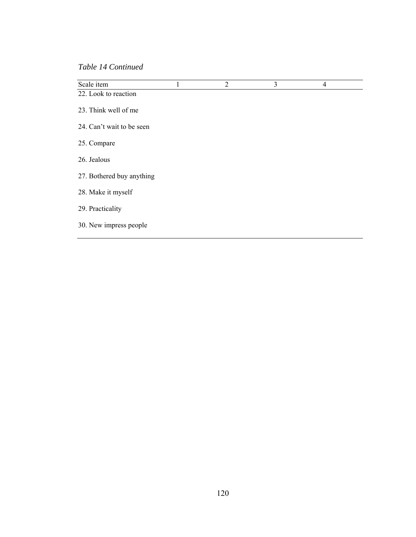*Table 14 Continued*

| Scale item                | 1 | $\overline{2}$ | 3 | $\overline{4}$ |  |
|---------------------------|---|----------------|---|----------------|--|
| 22. Look to reaction      |   |                |   |                |  |
| 23. Think well of me      |   |                |   |                |  |
| 24. Can't wait to be seen |   |                |   |                |  |
| 25. Compare               |   |                |   |                |  |
| 26. Jealous               |   |                |   |                |  |
| 27. Bothered buy anything |   |                |   |                |  |
| 28. Make it myself        |   |                |   |                |  |
| 29. Practicality          |   |                |   |                |  |
| 30. New impress people    |   |                |   |                |  |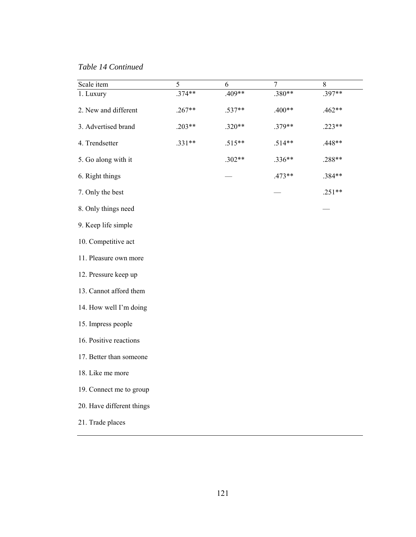*Table 14 Continued* 

| Scale item                | 5        | 6        | 7        | 8        |
|---------------------------|----------|----------|----------|----------|
| 1. Luxury                 | .374**   | $.409**$ | .380**   | $.397**$ |
| 2. New and different      | $.267**$ | .537**   | $.400**$ | $.462**$ |
| 3. Advertised brand       | $.203**$ | $.320**$ | .379**   | $.223**$ |
| 4. Trendsetter            | $.331**$ | $.515**$ | $.514**$ | .448**   |
| 5. Go along with it       |          | $.302**$ | $.336**$ | .288**   |
| 6. Right things           |          |          | $.473**$ | .384**   |
| 7. Only the best          |          |          |          | $.251**$ |
| 8. Only things need       |          |          |          |          |
| 9. Keep life simple       |          |          |          |          |
| 10. Competitive act       |          |          |          |          |
| 11. Pleasure own more     |          |          |          |          |
| 12. Pressure keep up      |          |          |          |          |
| 13. Cannot afford them    |          |          |          |          |
| 14. How well I'm doing    |          |          |          |          |
| 15. Impress people        |          |          |          |          |
| 16. Positive reactions    |          |          |          |          |
| 17. Better than someone   |          |          |          |          |
| 18. Like me more          |          |          |          |          |
| 19. Connect me to group   |          |          |          |          |
| 20. Have different things |          |          |          |          |
| 21. Trade places          |          |          |          |          |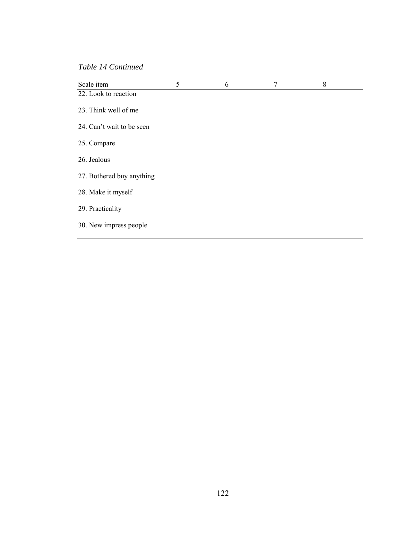*Table 14 Continued*

| Scale item                | 5 | 6 | $\overline{7}$ | 8 |  |
|---------------------------|---|---|----------------|---|--|
| 22. Look to reaction      |   |   |                |   |  |
| 23. Think well of me      |   |   |                |   |  |
| 24. Can't wait to be seen |   |   |                |   |  |
| 25. Compare               |   |   |                |   |  |
| 26. Jealous               |   |   |                |   |  |
| 27. Bothered buy anything |   |   |                |   |  |
| 28. Make it myself        |   |   |                |   |  |
| 29. Practicality          |   |   |                |   |  |
| 30. New impress people    |   |   |                |   |  |
|                           |   |   |                |   |  |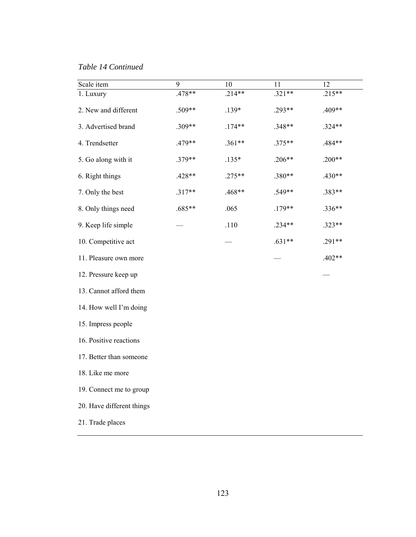*Table 14 Continued*

| Scale item                | 9        | 10       | 11       | 12       |
|---------------------------|----------|----------|----------|----------|
| 1. Luxury                 | .478**   | $.214**$ | $.321**$ | $.215**$ |
| 2. New and different      | .509**   | $.139*$  | .293**   | .409**   |
| 3. Advertised brand       | .309**   | $.174**$ | .348**   | .324**   |
| 4. Trendsetter            | .479**   | $.361**$ | $.375**$ | .484**   |
| 5. Go along with it       | $.379**$ | $.135*$  | $.206**$ | $.200**$ |
| 6. Right things           | .428**   | $.275**$ | .380**   | .430**   |
| 7. Only the best          | $.317**$ | .468**   | .549**   | .383**   |
| 8. Only things need       | .685**   | .065     | $.179**$ | .336**   |
| 9. Keep life simple       |          | .110     | $.234**$ | .323**   |
| 10. Competitive act       |          |          | $.631**$ | .291**   |
| 11. Pleasure own more     |          |          |          | $.402**$ |
| 12. Pressure keep up      |          |          |          |          |
| 13. Cannot afford them    |          |          |          |          |
| 14. How well I'm doing    |          |          |          |          |
| 15. Impress people        |          |          |          |          |
| 16. Positive reactions    |          |          |          |          |
| 17. Better than someone   |          |          |          |          |
| 18. Like me more          |          |          |          |          |
| 19. Connect me to group   |          |          |          |          |
| 20. Have different things |          |          |          |          |
| 21. Trade places          |          |          |          |          |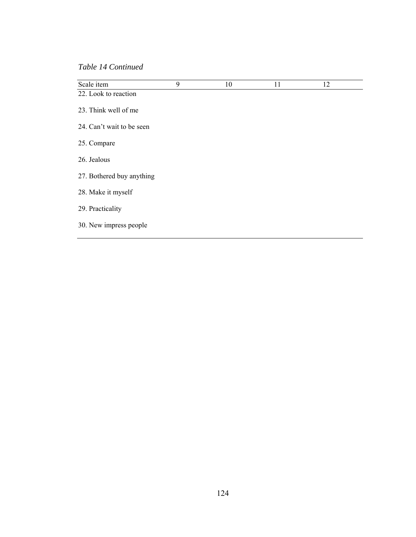*Table 14 Continued*

| Scale item                | 9 | 10 | 11 | 12 |  |
|---------------------------|---|----|----|----|--|
| 22. Look to reaction      |   |    |    |    |  |
| 23. Think well of me      |   |    |    |    |  |
| 24. Can't wait to be seen |   |    |    |    |  |
| 25. Compare               |   |    |    |    |  |
| 26. Jealous               |   |    |    |    |  |
| 27. Bothered buy anything |   |    |    |    |  |
| 28. Make it myself        |   |    |    |    |  |
| 29. Practicality          |   |    |    |    |  |
| 30. New impress people    |   |    |    |    |  |
|                           |   |    |    |    |  |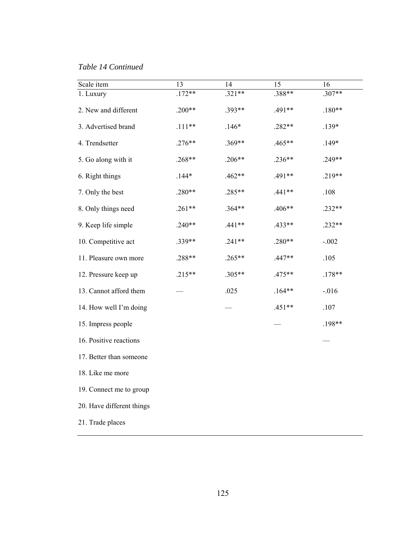*Table 14 Continued*

| Scale item                | 13       | 14       | 15       | 16       |
|---------------------------|----------|----------|----------|----------|
| 1. Luxury                 | $.172**$ | $.321**$ | .388**   | .307**   |
| 2. New and different      | $.200**$ | .393**   | .491**   | $.180**$ |
| 3. Advertised brand       | $.111**$ | $.146*$  | .282**   | $.139*$  |
| 4. Trendsetter            | $.276**$ | .369**   | .465**   | $.149*$  |
| 5. Go along with it       | $.268**$ | $.206**$ | $.236**$ | .249**   |
| 6. Right things           | $.144*$  | $.462**$ | .491**   | .219**   |
| 7. Only the best          | $.280**$ | .285**   | $.441**$ | .108     |
| 8. Only things need       | $.261**$ | $.364**$ | .406**   | .232**   |
| 9. Keep life simple       | $.240**$ | $.441**$ | .433**   | .232**   |
| 10. Competitive act       | .339**   | $.241**$ | $.280**$ | $-.002$  |
| 11. Pleasure own more     | .288**   | $.265**$ | $.447**$ | .105     |
| 12. Pressure keep up      | $.215**$ | .305**   | $.475**$ | $.178**$ |
| 13. Cannot afford them    |          | .025     | $.164**$ | $-0.016$ |
| 14. How well I'm doing    |          |          | $.451**$ | .107     |
| 15. Impress people        |          |          |          | .198**   |
| 16. Positive reactions    |          |          |          |          |
| 17. Better than someone   |          |          |          |          |
| 18. Like me more          |          |          |          |          |
| 19. Connect me to group   |          |          |          |          |
| 20. Have different things |          |          |          |          |
| 21. Trade places          |          |          |          |          |
|                           |          |          |          |          |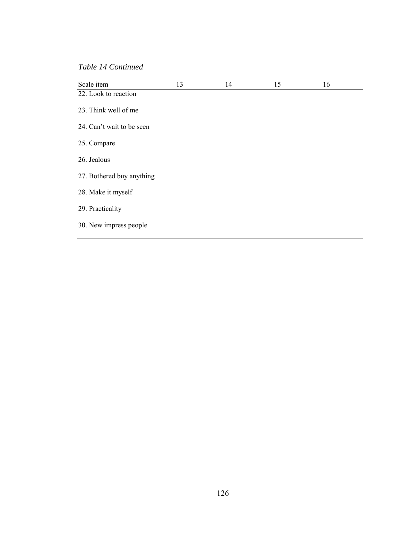*Table 14 Continued*

| Scale item                | 13 | 14 | 15 | 16 |  |
|---------------------------|----|----|----|----|--|
| 22. Look to reaction      |    |    |    |    |  |
| 23. Think well of me      |    |    |    |    |  |
| 24. Can't wait to be seen |    |    |    |    |  |
| 25. Compare               |    |    |    |    |  |
| 26. Jealous               |    |    |    |    |  |
| 27. Bothered buy anything |    |    |    |    |  |
| 28. Make it myself        |    |    |    |    |  |
| 29. Practicality          |    |    |    |    |  |
| 30. New impress people    |    |    |    |    |  |
|                           |    |    |    |    |  |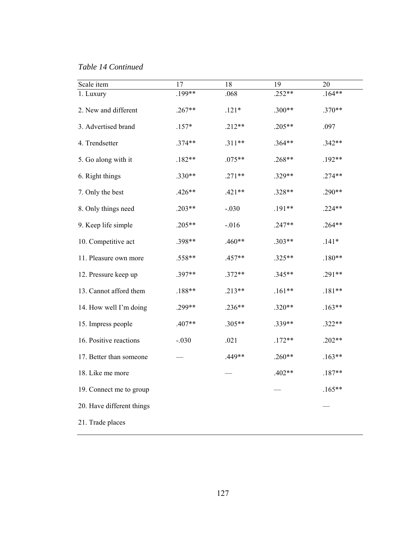*Table 14 Continued*

| Scale item                | 17       | 18       | 19       | 20       |
|---------------------------|----------|----------|----------|----------|
| 1. Luxury                 | .199**   | .068     | $.252**$ | $.164**$ |
| 2. New and different      | $.267**$ | $.121*$  | $.300**$ | $.370**$ |
| 3. Advertised brand       | $.157*$  | $.212**$ | $.205**$ | .097     |
| 4. Trendsetter            | $.374**$ | $.311**$ | $.364**$ | $.342**$ |
| 5. Go along with it       | $.182**$ | $.075**$ | $.268**$ | $.192**$ |
| 6. Right things           | $.330**$ | $.271**$ | .329**   | $.274**$ |
| 7. Only the best          | $.426**$ | $.421**$ | $.328**$ | $.290**$ |
| 8. Only things need       | $.203**$ | $-.030$  | $.191**$ | $.224**$ |
| 9. Keep life simple       | $.205**$ | $-0.016$ | $.247**$ | $.264**$ |
| 10. Competitive act       | .398**   | $.460**$ | $.303**$ | $.141*$  |
| 11. Pleasure own more     | .558**   | $.457**$ | $.325**$ | $.180**$ |
| 12. Pressure keep up      | .397**   | $.372**$ | $.345**$ | $.291**$ |
| 13. Cannot afford them    | $.188**$ | $.213**$ | $.161**$ | $.181**$ |
| 14. How well I'm doing    | .299**   | $.236**$ | .320**   | $.163**$ |
| 15. Impress people        | $.407**$ | $.305**$ | .339**   | $.322**$ |
| 16. Positive reactions    | $-.030$  | .021     | $.172**$ | $.202**$ |
| 17. Better than someone   |          | .449**   | $.260**$ | $.163**$ |
| 18. Like me more          |          |          | $.402**$ | $.187**$ |
| 19. Connect me to group   |          |          |          | $.165**$ |
| 20. Have different things |          |          |          |          |
| 21. Trade places          |          |          |          |          |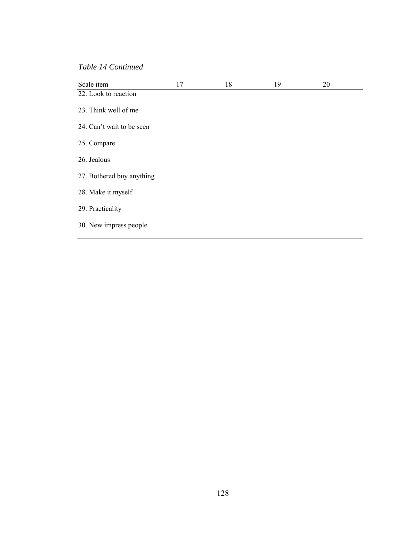*Table 14 Continued*

| Scale item                | 17 | 18 | 19 | 20 |
|---------------------------|----|----|----|----|
| 22. Look to reaction      |    |    |    |    |
| 23. Think well of me      |    |    |    |    |
| 24. Can't wait to be seen |    |    |    |    |
| 25. Compare               |    |    |    |    |
| 26. Jealous               |    |    |    |    |
| 27. Bothered buy anything |    |    |    |    |
| 28. Make it myself        |    |    |    |    |
| 29. Practicality          |    |    |    |    |
| 30. New impress people    |    |    |    |    |
|                           |    |    |    |    |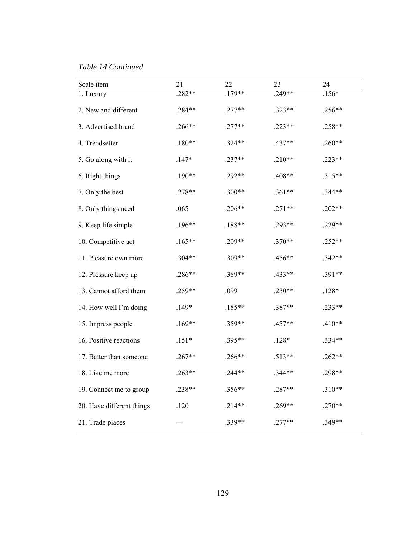*Table 14 Continued*

| Scale item                | 21       | 22       | 23       | 24       |
|---------------------------|----------|----------|----------|----------|
| 1. Luxury                 | .282**   | $.179**$ | .249**   | $.156*$  |
| 2. New and different      | $.284**$ | $.277**$ | $.323**$ | $.256**$ |
| 3. Advertised brand       | $.266**$ | $.277**$ | $.223**$ | .258**   |
| 4. Trendsetter            | $.180**$ | $.324**$ | $.437**$ | $.260**$ |
| 5. Go along with it       | $.147*$  | $.237**$ | $.210**$ | $.223**$ |
| 6. Right things           | $.190**$ | $.292**$ | .408**   | $.315**$ |
| 7. Only the best          | $.278**$ | $.300**$ | $.361**$ | .344**   |
| 8. Only things need       | .065     | $.206**$ | $.271**$ | $.202**$ |
| 9. Keep life simple       | $.196**$ | $.188**$ | .293**   | $.229**$ |
| 10. Competitive act       | $.165**$ | .209**   | .370**   | $.252**$ |
| 11. Pleasure own more     | .304**   | .309**   | .456**   | $.342**$ |
| 12. Pressure keep up      | .286**   | .389**   | .433**   | $.391**$ |
| 13. Cannot afford them    | .259**   | .099     | $.230**$ | $.128*$  |
| 14. How well I'm doing    | $.149*$  | $.185**$ | .387**   | .233**   |
| 15. Impress people        | $.169**$ | $.359**$ | $.457**$ | $.410**$ |
| 16. Positive reactions    | $.151*$  | .395**   | $.128*$  | .334**   |
| 17. Better than someone   | $.267**$ | $.266**$ | $.513**$ | $.262**$ |
| 18. Like me more          | $.263**$ | $.244**$ | $.344**$ | .298**   |
| 19. Connect me to group   | .238**   | .356**   | .287**   | $.310**$ |
| 20. Have different things | .120     | $.214**$ | .269**   | $.270**$ |
| 21. Trade places          |          | .339**   | $.277**$ | .349**   |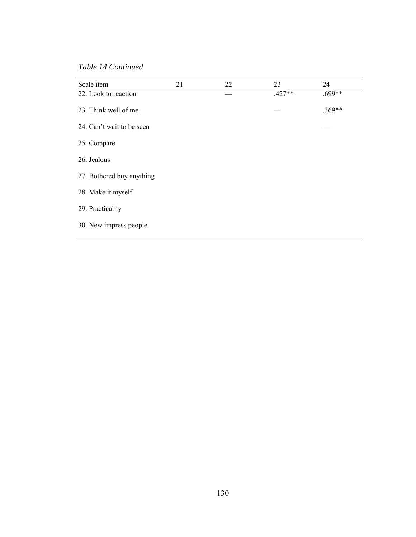*Table 14 Continued*

| Scale item                | 21 | 22 | 23       | 24       |
|---------------------------|----|----|----------|----------|
| 22. Look to reaction      |    |    | $.427**$ | $.699**$ |
| 23. Think well of me      |    |    |          | $.369**$ |
| 24. Can't wait to be seen |    |    |          |          |
| 25. Compare               |    |    |          |          |
| 26. Jealous               |    |    |          |          |
| 27. Bothered buy anything |    |    |          |          |
| 28. Make it myself        |    |    |          |          |
| 29. Practicality          |    |    |          |          |
| 30. New impress people    |    |    |          |          |
|                           |    |    |          |          |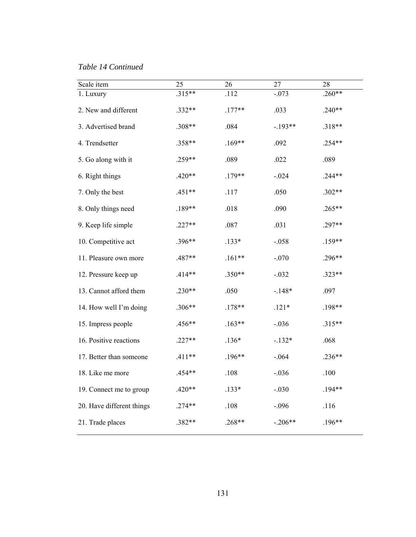## *Table 14 Continued*

| Scale item                | 25       | 26       | 27        | 28       |
|---------------------------|----------|----------|-----------|----------|
| 1. Luxury                 | .315**   | .112     | $-.073$   | $.260**$ |
| 2. New and different      | .332**   | $.177**$ | .033      | $.240**$ |
| 3. Advertised brand       | .308**   | .084     | $-.193**$ | $.318**$ |
| 4. Trendsetter            | .358**   | $.169**$ | .092      | $.254**$ |
| 5. Go along with it       | .259**   | .089     | .022      | .089     |
| 6. Right things           | $.420**$ | $.179**$ | $-.024$   | $.244**$ |
| 7. Only the best          | $.451**$ | .117     | .050      | $.302**$ |
| 8. Only things need       | .189**   | .018     | .090      | $.265**$ |
| 9. Keep life simple       | $.227**$ | .087     | .031      | $.297**$ |
| 10. Competitive act       | .396**   | $.133*$  | $-.058$   | $.159**$ |
| 11. Pleasure own more     | .487**   | $.161**$ | $-.070$   | .296**   |
| 12. Pressure keep up      | $.414**$ | $.350**$ | $-.032$   | $.323**$ |
| 13. Cannot afford them    | $.230**$ | .050     | $-.148*$  | .097     |
| 14. How well I'm doing    | .306**   | $.178**$ | $.121*$   | .198**   |
| 15. Impress people        | .456**   | $.163**$ | $-.036$   | $.315**$ |
| 16. Positive reactions    | $.227**$ | $.136*$  | $-.132*$  | .068     |
| 17. Better than someone   | $.411**$ | $.196**$ | $-.064$   | $.236**$ |
| 18. Like me more          | $.454**$ | .108     | $-.036$   | .100     |
| 19. Connect me to group   | $.420**$ | $.133*$  | $-.030$   | $.194**$ |
| 20. Have different things | $.274**$ | .108     | $-.096$   | .116     |
| 21. Trade places          | .382**   | $.268**$ | $-.206**$ | $.196**$ |
|                           |          |          |           |          |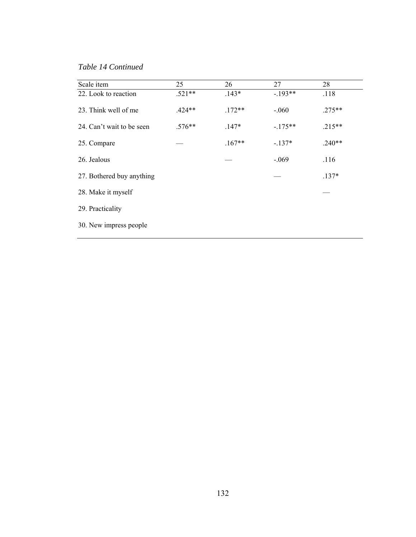*Table 14 Continued*

| Scale item                | 25       | 26       | 27        | 28       |
|---------------------------|----------|----------|-----------|----------|
| 22. Look to reaction      | $.521**$ | $.143*$  | $-.193**$ | .118     |
| 23. Think well of me      | $.424**$ | $.172**$ | $-.060$   | $.275**$ |
| 24. Can't wait to be seen | $.576**$ | $.147*$  | $-.175**$ | $.215**$ |
| 25. Compare               |          | $.167**$ | $-.137*$  | $.240**$ |
| 26. Jealous               |          |          | $-.069$   | .116     |
| 27. Bothered buy anything |          |          |           | $.137*$  |
| 28. Make it myself        |          |          |           |          |
| 29. Practicality          |          |          |           |          |
| 30. New impress people    |          |          |           |          |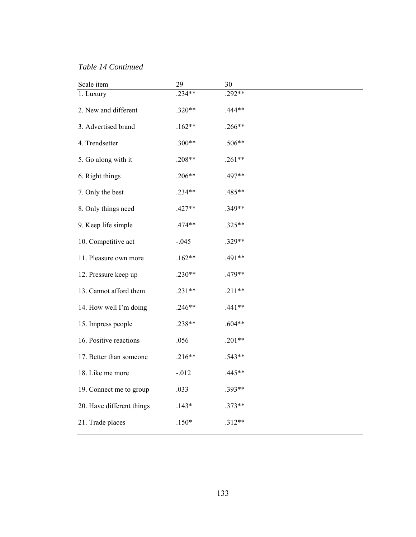*Table 14 Continued*

| Scale item                | 29       | 30       |
|---------------------------|----------|----------|
| 1. Luxury                 | $.234**$ | $.292**$ |
| 2. New and different      | $.320**$ | .444**   |
| 3. Advertised brand       | $.162**$ | $.266**$ |
| 4. Trendsetter            | $.300**$ | .506**   |
| 5. Go along with it       | $.208**$ | $.261**$ |
| 6. Right things           | $.206**$ | .497**   |
| 7. Only the best          | .234**   | .485**   |
| 8. Only things need       | $.427**$ | .349**   |
| 9. Keep life simple       | $.474**$ | .325**   |
| 10. Competitive act       | $-.045$  | .329**   |
| 11. Pleasure own more     | $.162**$ | .491**   |
| 12. Pressure keep up      | $.230**$ | .479**   |
| 13. Cannot afford them    | $.231**$ | $.211**$ |
| 14. How well I'm doing    | $.246**$ | $.441**$ |
| 15. Impress people        | .238**   | $.604**$ |
| 16. Positive reactions    | .056     | $.201**$ |
| 17. Better than someone   | $.216**$ | .543**   |
| 18. Like me more          | $-.012$  | .445**   |
| 19. Connect me to group   | .033     | .393**   |
| 20. Have different things | $.143*$  | $.373**$ |
| 21. Trade places          | $.150*$  | $.312**$ |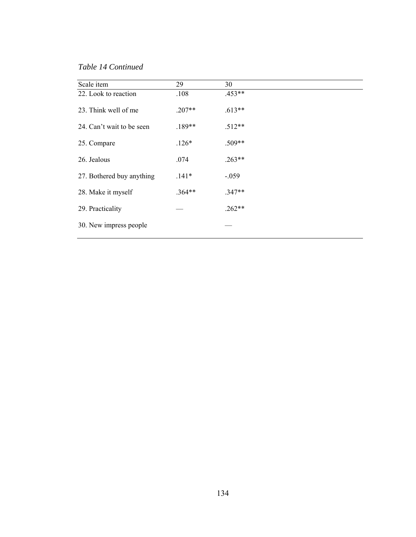*Table 14 Continued*

| Scale item                | 29       | 30       |
|---------------------------|----------|----------|
| 22. Look to reaction      | .108     | $.453**$ |
| 23. Think well of me      | $.207**$ | $.613**$ |
| 24. Can't wait to be seen | $.189**$ | $.512**$ |
| 25. Compare               | $.126*$  | .509**   |
| 26. Jealous               | .074     | $.263**$ |
| 27. Bothered buy anything | $.141*$  | $-.059$  |
| 28. Make it myself        | $.364**$ | $.347**$ |
| 29. Practicality          |          | $.262**$ |
| 30. New impress people    |          |          |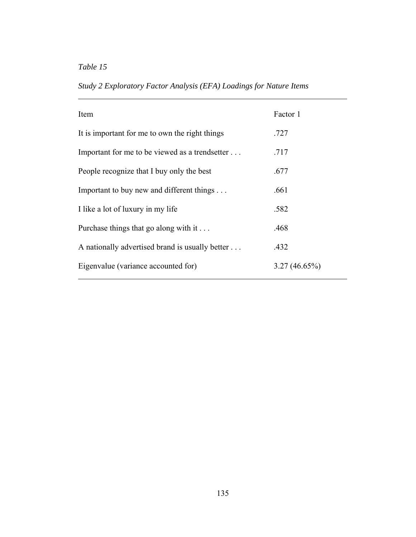*Table 15* 

 $\overline{a}$ 

| Item                                            | Factor 1        |
|-------------------------------------------------|-----------------|
| It is important for me to own the right things  | .727            |
| Important for me to be viewed as a trendsetter  | .717            |
| People recognize that I buy only the best       | .677            |
| Important to buy new and different things       | .661            |
| I like a lot of luxury in my life               | .582            |
| Purchase things that go along with it           | .468            |
| A nationally advertised brand is usually better | .432            |
| Eigenvalue (variance accounted for)             | $3.27(46.65\%)$ |

*Study 2 Exploratory Factor Analysis (EFA) Loadings for Nature Items*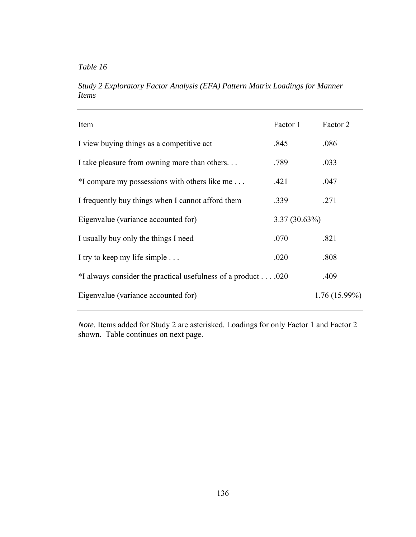*Study 2 Exploratory Factor Analysis (EFA) Pattern Matrix Loadings for Manner Items* 

| Item                                                        | Factor 1        | Factor 2        |
|-------------------------------------------------------------|-----------------|-----------------|
| I view buying things as a competitive act                   | .845            | .086            |
| I take pleasure from owning more than others                | .789            | .033            |
| *I compare my possessions with others like me               | .421            | .047            |
| I frequently buy things when I cannot afford them           | .339            | .271            |
| Eigenvalue (variance accounted for)                         | $3.37(30.63\%)$ |                 |
| I usually buy only the things I need                        | .070            | .821            |
| I try to keep my life simple                                | .020            | .808            |
| *I always consider the practical usefulness of a product020 |                 | .409            |
| Eigenvalue (variance accounted for)                         |                 | $1.76(15.99\%)$ |

*Note*. Items added for Study 2 are asterisked. Loadings for only Factor 1 and Factor 2 shown. Table continues on next page.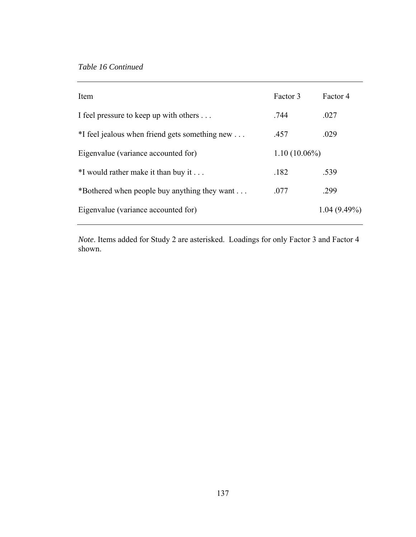| Item                                           | Factor 3        | Factor 4       |
|------------------------------------------------|-----------------|----------------|
| I feel pressure to keep up with others         | .744            | .027           |
| *I feel jealous when friend gets something new | .457            | .029           |
| Eigenvalue (variance accounted for)            | $1.10(10.06\%)$ |                |
| $*I$ would rather make it than buy it          | .182            | .539           |
| *Bothered when people buy anything they want   | .077            | .299           |
| Eigenvalue (variance accounted for)            |                 | $1.04(9.49\%)$ |

*Note*. Items added for Study 2 are asterisked. Loadings for only Factor 3 and Factor 4 shown.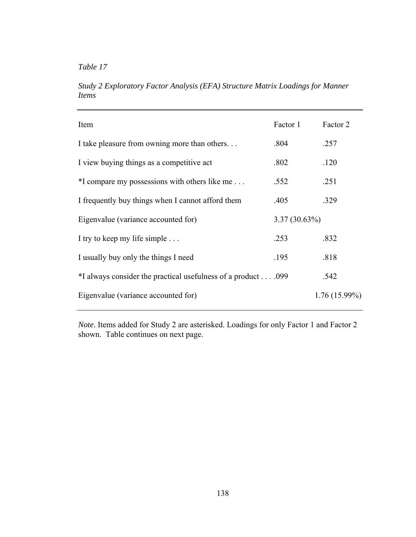*Table 17* 

*Study 2 Exploratory Factor Analysis (EFA) Structure Matrix Loadings for Manner Items* 

| Item                                                         | Factor 1        | Factor 2        |
|--------------------------------------------------------------|-----------------|-----------------|
| I take pleasure from owning more than others                 | .804            | .257            |
| I view buying things as a competitive act                    | .802            | .120            |
| *I compare my possessions with others like me                | .552            | .251            |
| I frequently buy things when I cannot afford them            | .405            | .329            |
| Eigenvalue (variance accounted for)                          | $3.37(30.63\%)$ |                 |
| I try to keep my life simple                                 | .253            | .832            |
| I usually buy only the things I need                         | .195            | .818            |
| *I always consider the practical usefulness of a product 099 |                 | .542            |
| Eigenvalue (variance accounted for)                          |                 | $1.76(15.99\%)$ |
|                                                              |                 |                 |

*Note*. Items added for Study 2 are asterisked. Loadings for only Factor 1 and Factor 2 shown. Table continues on next page.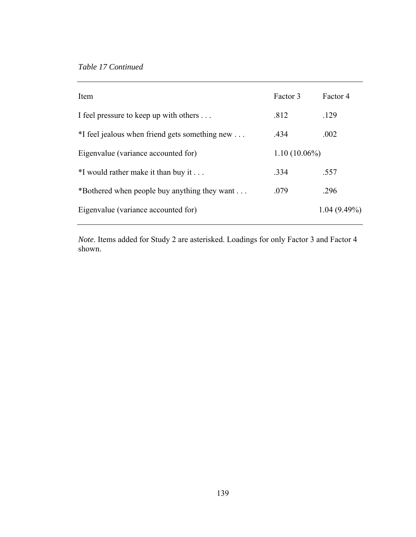| Item                                           | Factor 3        | Factor 4       |
|------------------------------------------------|-----------------|----------------|
| I feel pressure to keep up with others         | .812            | .129           |
| *I feel jealous when friend gets something new | .434            | .002           |
| Eigenvalue (variance accounted for)            | $1.10(10.06\%)$ |                |
| $*I$ would rather make it than buy it          | .334            | .557           |
| *Bothered when people buy anything they want   | .079            | .296           |
| Eigenvalue (variance accounted for)            |                 | $1.04(9.49\%)$ |

*Note*. Items added for Study 2 are asterisked. Loadings for only Factor 3 and Factor 4 shown.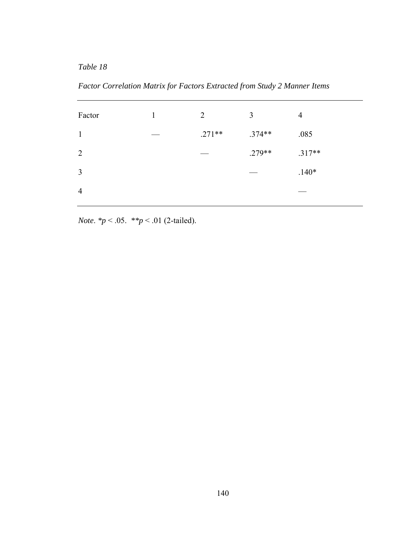*Table 18* 

*Factor Correlation Matrix for Factors Extracted from Study 2 Manner Items* 

| Factor         | 2        | 3        | $\overline{4}$ |
|----------------|----------|----------|----------------|
| $\mathbf{1}$   | $.271**$ | $.374**$ | .085           |
| 2              |          | $.279**$ | $.317**$       |
| $\overline{3}$ |          |          | $.140*$        |
| $\overline{4}$ |          |          |                |

*Note*. *\*p* < .05. *\*\*p* < .01 (2-tailed).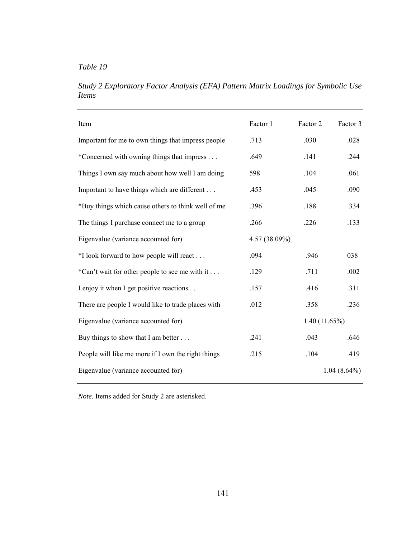*Study 2 Exploratory Factor Analysis (EFA) Pattern Matrix Loadings for Symbolic Use Items* 

| Item                                               | Factor 1      | Factor 2     | Factor 3       |
|----------------------------------------------------|---------------|--------------|----------------|
| Important for me to own things that impress people | .713          | .030         | .028           |
| *Concerned with owning things that impress         | .649          | .141         | .244           |
| Things I own say much about how well I am doing    | 598           | .104         | .061           |
| Important to have things which are different       | .453          | .045         | .090           |
| *Buy things which cause others to think well of me | .396          | .188         | .334           |
| The things I purchase connect me to a group        | .266          | .226         | .133           |
| Eigenvalue (variance accounted for)                | 4.57 (38.09%) |              |                |
| *I look forward to how people will react           | .094          | .946         | 038            |
| *Can't wait for other people to see me with it     | .129          | .711         | .002           |
| I enjoy it when I get positive reactions           | .157          | .416         | .311           |
| There are people I would like to trade places with | .012          | .358         | .236           |
| Eigenvalue (variance accounted for)                |               | 1.40(11.65%) |                |
| Buy things to show that I am better                | .241          | .043         | .646           |
| People will like me more if I own the right things | .215          | .104         | .419           |
| Eigenvalue (variance accounted for)                |               |              | $1.04(8.64\%)$ |

*Note*. Items added for Study 2 are asterisked.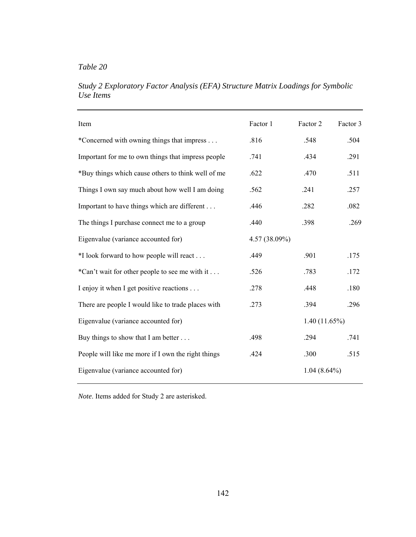| Item                                               | Factor 1        | Factor 2       | Factor 3 |
|----------------------------------------------------|-----------------|----------------|----------|
| *Concerned with owning things that impress         | .816            | .548           | .504     |
| Important for me to own things that impress people | .741            | .434           | .291     |
| *Buy things which cause others to think well of me | .622            | .470           | .511     |
| Things I own say much about how well I am doing    | .562            | .241           | .257     |
| Important to have things which are different       | .446            | .282           | .082     |
| The things I purchase connect me to a group        | .440            | .398           | .269     |
| Eigenvalue (variance accounted for)                | $4.57(38.09\%)$ |                |          |
| *I look forward to how people will react           | .449            | .901           | .175     |
| *Can't wait for other people to see me with it     | .526            | .783           | .172     |
| I enjoy it when I get positive reactions           | .278            | .448           | .180     |
| There are people I would like to trade places with | .273            | .394           | .296     |
| Eigenvalue (variance accounted for)                |                 | 1.40(11.65%)   |          |
| Buy things to show that I am better                | .498            | .294           | .741     |
| People will like me more if I own the right things | .424            | .300           | .515     |
| Eigenvalue (variance accounted for)                |                 | $1.04(8.64\%)$ |          |

*Study 2 Exploratory Factor Analysis (EFA) Structure Matrix Loadings for Symbolic Use Items* 

*Note*. Items added for Study 2 are asterisked.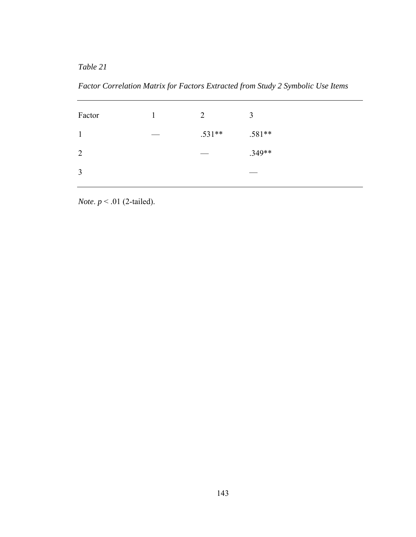*Table 21* 

*Factor Correlation Matrix for Factors Extracted from Study 2 Symbolic Use Items* 

| Factor       | 2        | 3        |
|--------------|----------|----------|
| $\mathbf{1}$ | $.531**$ | $.581**$ |
| 2            |          | $.349**$ |
| 3            |          |          |

*Note*. *p* < .01 (2-tailed).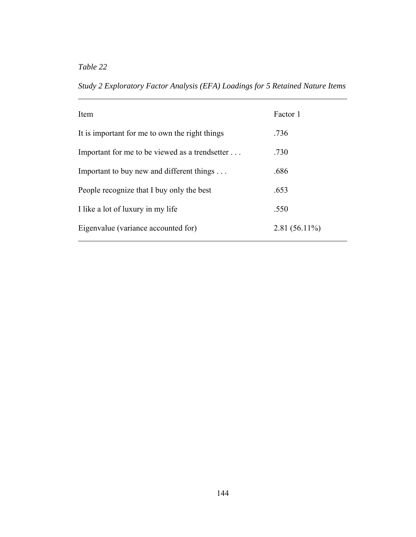*Table 22* 

*Study 2 Exploratory Factor Analysis (EFA) Loadings for 5 Retained Nature Items* 

| Item                                           | Factor 1        |
|------------------------------------------------|-----------------|
| It is important for me to own the right things | .736            |
| Important for me to be viewed as a trendsetter | .730            |
| Important to buy new and different things      | .686            |
| People recognize that I buy only the best      | .653            |
| I like a lot of luxury in my life              | .550            |
| Eigenvalue (variance accounted for)            | $2.81(56.11\%)$ |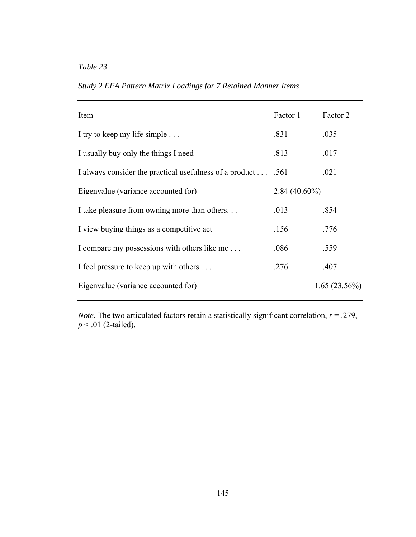*Study 2 EFA Pattern Matrix Loadings for 7 Retained Manner Items* 

| Item                                                        | Factor 1        | Factor 2     |
|-------------------------------------------------------------|-----------------|--------------|
| I try to keep my life simple                                | .831            | .035         |
| I usually buy only the things I need                        | .813            | .017         |
| I always consider the practical usefulness of a product 561 |                 | .021         |
| Eigenvalue (variance accounted for)                         | $2.84(40.60\%)$ |              |
| I take pleasure from owning more than others                | .013            | .854         |
| I view buying things as a competitive act                   | .156            | .776         |
| I compare my possessions with others like me                | .086            | .559         |
| I feel pressure to keep up with others                      | .276            | .407         |
| Eigenvalue (variance accounted for)                         |                 | 1.65(23.56%) |

*Note*. The two articulated factors retain a statistically significant correlation, *r* = .279, *p* < .01 (2-tailed).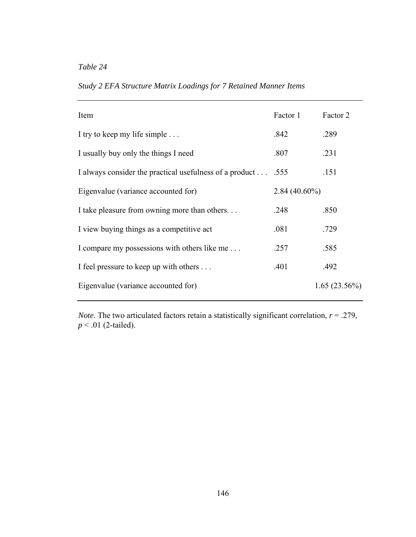| Study 2 EFA Structure Matrix Loadings for 7 Retained Manner Items |  |  |  |  |  |  |  |  |
|-------------------------------------------------------------------|--|--|--|--|--|--|--|--|
|-------------------------------------------------------------------|--|--|--|--|--|--|--|--|

| Item                                                        | Factor 1        | Factor 2     |  |
|-------------------------------------------------------------|-----------------|--------------|--|
| I try to keep my life simple                                | .842            | .289         |  |
| I usually buy only the things I need                        | .807            | .231         |  |
| I always consider the practical usefulness of a product 555 |                 | .151         |  |
| Eigenvalue (variance accounted for)                         | $2.84(40.60\%)$ |              |  |
| I take pleasure from owning more than others                | .248            | .850         |  |
| I view buying things as a competitive act                   | .081            | .729         |  |
| I compare my possessions with others like me                | .257            | .585         |  |
| I feel pressure to keep up with others                      | .401            | .492         |  |
| Eigenvalue (variance accounted for)                         |                 | 1.65(23.56%) |  |

*Note*. The two articulated factors retain a statistically significant correlation, *r* = .279, *p* < .01 (2-tailed).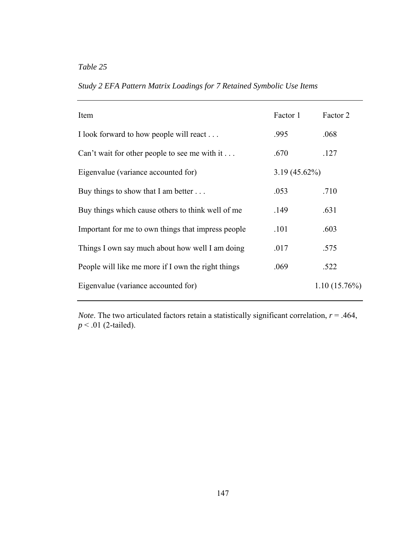*Study 2 EFA Pattern Matrix Loadings for 7 Retained Symbolic Use Items* 

| Item                                               | Factor 1        | Factor 2     |
|----------------------------------------------------|-----------------|--------------|
| I look forward to how people will react            | .995            | .068         |
| Can't wait for other people to see me with it      | .670            | .127         |
| Eigenvalue (variance accounted for)                | $3.19(45.62\%)$ |              |
| Buy things to show that I am better $\dots$        | .053            | .710         |
| Buy things which cause others to think well of me  | .149            | .631         |
| Important for me to own things that impress people | .101            | .603         |
| Things I own say much about how well I am doing    | .017            | .575         |
| People will like me more if I own the right things | .069            | .522         |
| Eigenvalue (variance accounted for)                |                 | 1.10(15.76%) |

*Note*. The two articulated factors retain a statistically significant correlation,  $r = .464$ , *p* < .01 (2-tailed).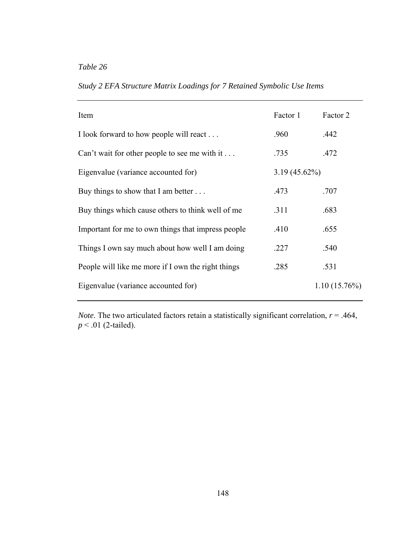*Study 2 EFA Structure Matrix Loadings for 7 Retained Symbolic Use Items* 

| Item                                               | Factor 1        | Factor 2        |
|----------------------------------------------------|-----------------|-----------------|
| I look forward to how people will react            | .960            | .442            |
| Can't wait for other people to see me with it      | .735            | .472            |
| Eigenvalue (variance accounted for)                | $3.19(45.62\%)$ |                 |
| Buy things to show that I am better $\dots$        | .473            | .707            |
| Buy things which cause others to think well of me  | .311            | .683            |
| Important for me to own things that impress people | .410            | .655            |
| Things I own say much about how well I am doing    | .227            | .540            |
| People will like me more if I own the right things | .285            | .531            |
| Eigenvalue (variance accounted for)                |                 | $1.10(15.76\%)$ |

*Note*. The two articulated factors retain a statistically significant correlation,  $r = .464$ , *p* < .01 (2-tailed).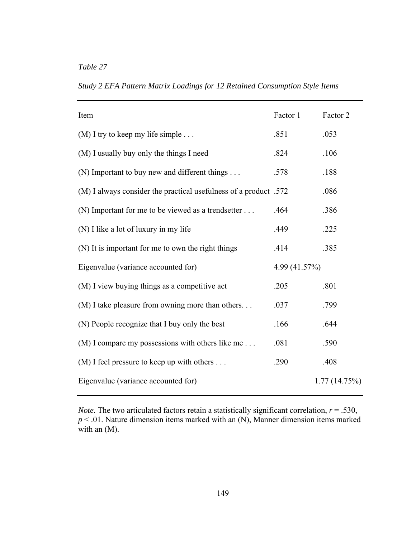*Study 2 EFA Pattern Matrix Loadings for 12 Retained Consumption Style Items* 

| Item                                                             | Factor 1      | Factor 2     |
|------------------------------------------------------------------|---------------|--------------|
| $(M)$ I try to keep my life simple                               | .851          | .053         |
| (M) I usually buy only the things I need                         | .824          | .106         |
| (N) Important to buy new and different things                    | .578          | .188         |
| (M) I always consider the practical usefulness of a product .572 |               | .086         |
| (N) Important for me to be viewed as a trendsetter               | .464          | .386         |
| (N) I like a lot of luxury in my life                            | .449          | .225         |
| (N) It is important for me to own the right things               | .414          | .385         |
| Eigenvalue (variance accounted for)                              | 4.99 (41.57%) |              |
| (M) I view buying things as a competitive act                    | .205          | .801         |
| (M) I take pleasure from owning more than others                 | .037          | .799         |
| (N) People recognize that I buy only the best                    | .166          | .644         |
| (M) I compare my possessions with others like me                 | .081          | .590         |
| $(M)$ I feel pressure to keep up with others                     | .290          | .408         |
| Eigenvalue (variance accounted for)                              |               | 1.77(14.75%) |

*Note*. The two articulated factors retain a statistically significant correlation,  $r = .530$ , *p* < .01. Nature dimension items marked with an (N), Manner dimension items marked with an (M).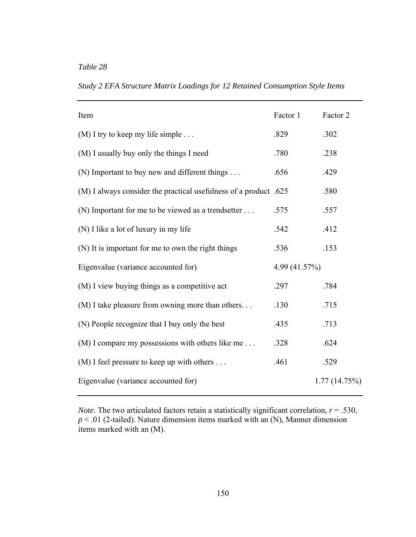*Table 28* 

*Study 2 EFA Structure Matrix Loadings for 12 Retained Consumption Style Items* 

| Item                                                             | Factor 1      | Factor 2     |
|------------------------------------------------------------------|---------------|--------------|
| $(M)$ I try to keep my life simple                               | .829          | .302         |
| (M) I usually buy only the things I need                         | .780          | .238         |
| (N) Important to buy new and different things                    | .656          | .429         |
| (M) I always consider the practical usefulness of a product .625 |               | .580         |
| (N) Important for me to be viewed as a trendsetter               | .575          | .557         |
| (N) I like a lot of luxury in my life                            | .542          | .412         |
| (N) It is important for me to own the right things               | .536          | .153         |
| Eigenvalue (variance accounted for)                              | 4.99 (41.57%) |              |
| (M) I view buying things as a competitive act                    | .297          | .784         |
| (M) I take pleasure from owning more than others                 | .130          | .715         |
| (N) People recognize that I buy only the best                    | .435          | .713         |
| (M) I compare my possessions with others like me                 | .328          | .624         |
| $(M)$ I feel pressure to keep up with others                     | .461          | .529         |
| Eigenvalue (variance accounted for)                              |               | 1.77(14.75%) |

*Note*. The two articulated factors retain a statistically significant correlation,  $r = .530$ , *p* < .01 (2-tailed). Nature dimension items marked with an (N), Manner dimension items marked with an (M).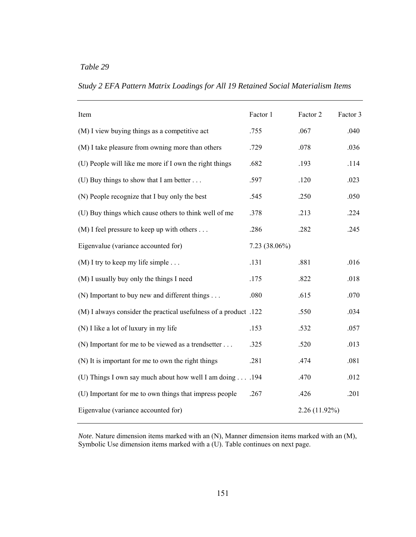| Item                                                             | Factor 1      | Factor 2        | Factor 3 |
|------------------------------------------------------------------|---------------|-----------------|----------|
| (M) I view buying things as a competitive act                    | .755          | .067            | .040     |
| (M) I take pleasure from owning more than others                 | .729          | .078            | .036     |
| (U) People will like me more if I own the right things           | .682          | .193            | .114     |
| (U) Buy things to show that I am better                          | .597          | .120            | .023     |
| (N) People recognize that I buy only the best                    | .545          | .250            | .050     |
| (U) Buy things which cause others to think well of me            | .378          | .213            | .224     |
| $(M)$ I feel pressure to keep up with others                     | .286          | .282            | .245     |
| Eigenvalue (variance accounted for)                              | 7.23 (38.06%) |                 |          |
| $(M)$ I try to keep my life simple                               | .131          | .881            | .016     |
| (M) I usually buy only the things I need                         | .175          | .822            | .018     |
| (N) Important to buy new and different things                    | .080          | .615            | .070     |
| (M) I always consider the practical usefulness of a product .122 |               | .550            | .034     |
| (N) I like a lot of luxury in my life                            | .153          | .532            | .057     |
| (N) Important for me to be viewed as a trendsetter               | .325          | .520            | .013     |
| (N) It is important for me to own the right things               | .281          | .474            | .081     |
| (U) Things I own say much about how well I am doing 194          |               | .470            | .012     |
| (U) Important for me to own things that impress people           | .267          | .426            | .201     |
| Eigenvalue (variance accounted for)                              |               | $2.26(11.92\%)$ |          |

*Study 2 EFA Pattern Matrix Loadings for All 19 Retained Social Materialism Items* 

*Note*. Nature dimension items marked with an (N), Manner dimension items marked with an (M), Symbolic Use dimension items marked with a (U). Table continues on next page.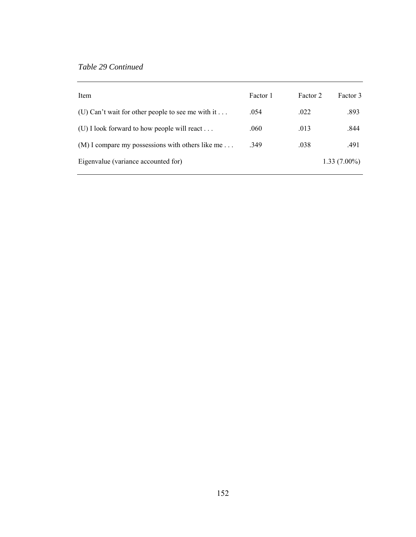| Item                                               | Factor 1 | Factor 2 | Factor 3       |
|----------------------------------------------------|----------|----------|----------------|
| (U) Can't wait for other people to see me with it  | .054     | .022     | .893           |
| (U) I look forward to how people will react        | .060     | .013     | .844           |
| $(M)$ I compare my possessions with others like me | .349     | .038     | .491           |
| Eigenvalue (variance accounted for)                |          |          | $1.33(7.00\%)$ |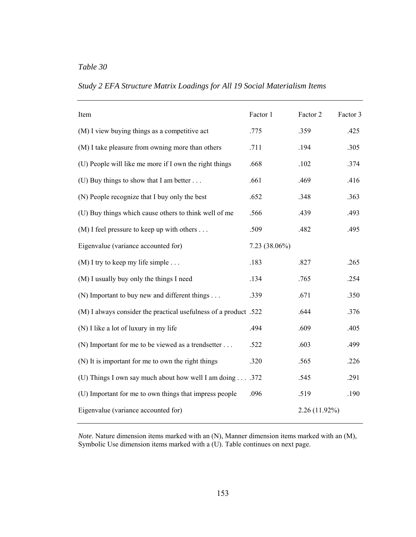| Item                                                             | Factor 1      | Factor 2        | Factor 3 |
|------------------------------------------------------------------|---------------|-----------------|----------|
| (M) I view buying things as a competitive act                    | .775          | .359            | .425     |
| (M) I take pleasure from owning more than others                 | .711          | .194            | .305     |
| (U) People will like me more if I own the right things           | .668          | .102            | .374     |
| (U) Buy things to show that I am better $\dots$                  | .661          | .469            | .416     |
| (N) People recognize that I buy only the best                    | .652          | .348            | .363     |
| (U) Buy things which cause others to think well of me            | .566          | .439            | .493     |
| $(M)$ I feel pressure to keep up with others                     | .509          | .482            | .495     |
| Eigenvalue (variance accounted for)                              | 7.23 (38.06%) |                 |          |
| $(M)$ I try to keep my life simple                               | .183          | .827            | .265     |
| (M) I usually buy only the things I need                         | .134          | .765            | .254     |
| (N) Important to buy new and different things                    | .339          | .671            | .350     |
| (M) I always consider the practical usefulness of a product .522 |               | .644            | .376     |
| (N) I like a lot of luxury in my life                            | .494          | .609            | .405     |
| (N) Important for me to be viewed as a trendsetter               | .522          | .603            | .499     |
| (N) It is important for me to own the right things               | .320          | .565            | .226     |
| (U) Things I own say much about how well I am doing372           |               | .545            | .291     |
| (U) Important for me to own things that impress people           | .096          | .519            | .190     |
| Eigenvalue (variance accounted for)                              |               | $2.26(11.92\%)$ |          |

*Study 2 EFA Structure Matrix Loadings for All 19 Social Materialism Items* 

*Note*. Nature dimension items marked with an (N), Manner dimension items marked with an (M), Symbolic Use dimension items marked with a (U). Table continues on next page.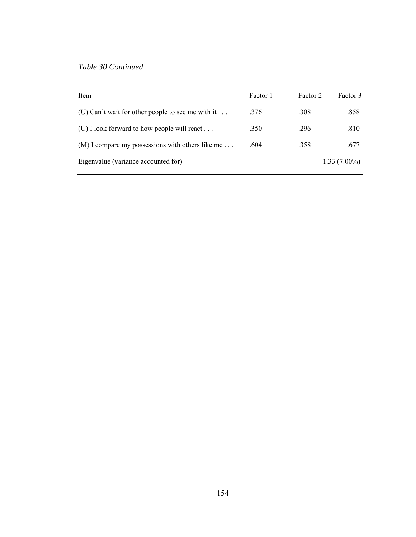| Item                                                      | Factor 1 | Factor 2 | Factor 3       |
|-----------------------------------------------------------|----------|----------|----------------|
| (U) Can't wait for other people to see me with it $\dots$ | .376     | .308     | .858           |
| (U) I look forward to how people will react               | .350     | .296     | .810           |
| $(M)$ I compare my possessions with others like me        | .604     | .358     | .677           |
| Eigenvalue (variance accounted for)                       |          |          | $1.33(7.00\%)$ |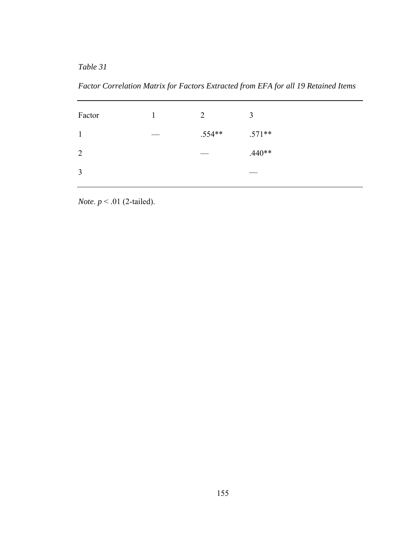*Table 31* 

*Factor Correlation Matrix for Factors Extracted from EFA for all 19 Retained Items* 

| Factor         | $\overline{2}$ | 3        |
|----------------|----------------|----------|
| $\mathbf{1}$   | $.554**$       | $.571**$ |
| 2              |                | $.440**$ |
| $\overline{3}$ |                |          |

*Note*. *p* < .01 (2-tailed).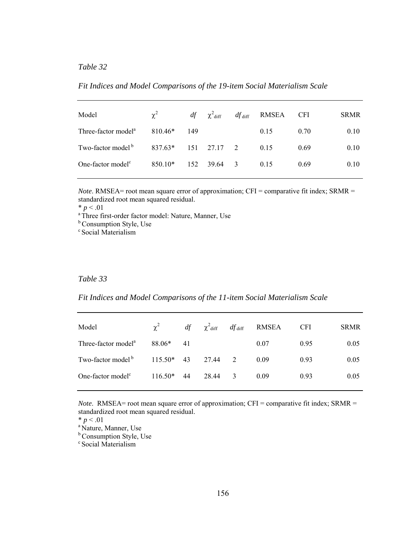| Model                           | $\chi^2$              |     | $df = \chi^2$ diff | $df_{\text{diff}}$ RMSEA CFI |      | <b>SRMR</b> |
|---------------------------------|-----------------------|-----|--------------------|------------------------------|------|-------------|
| Three-factor model <sup>a</sup> | 810.46*               | 149 |                    | 0.15                         | 0.70 | 0.10        |
| Two-factor model <sup>b</sup>   | $837.63*$ 151 27.17 2 |     |                    | 0.15                         | 0.69 | 0.10        |
| One-factor model <sup>c</sup>   | 850.10*               | 152 | 39.64 3            | 0.15                         | 0.69 | 0.10        |
|                                 |                       |     |                    |                              |      |             |

*Fit Indices and Model Comparisons of the 19-item Social Materialism Scale* 

*Note*. RMSEA= root mean square error of approximation; CFI = comparative fit index; SRMR = standardized root mean squared residual.

 $* p < .01$ <br><sup>a</sup> Three first-order factor model: Nature, Manner, Use

**b** Consumption Style, Use

<sup>c</sup> Social Materialism

#### *Table 33*

*Fit Indices and Model Comparisons of the 11-item Social Materialism Scale* 

| Model                           | $\chi^2$             | df | $\chi^2$ diff | $df_{\text{diff}}$ | RMSEA | <b>CFI</b> | <b>SRMR</b> |
|---------------------------------|----------------------|----|---------------|--------------------|-------|------------|-------------|
| Three-factor model <sup>a</sup> | 88.06*               | 41 |               |                    | 0.07  | 0.95       | 0.05        |
| Two-factor model <sup>b</sup>   | $115.50*$ 43 27.44 2 |    |               |                    | 0.09  | 0.93       | 0.05        |
| One-factor model <sup>c</sup>   | $116.50*$            | 44 | 28.44         | 3                  | 0.09  | 0.93       | 0.05        |
|                                 |                      |    |               |                    |       |            |             |

*Note*. RMSEA= root mean square error of approximation; CFI = comparative fit index; SRMR = standardized root mean squared residual.

 $* p < .01$ <br><sup>a</sup> Nature, Manner, Use

**b** Consumption Style, Use

c Social Materialism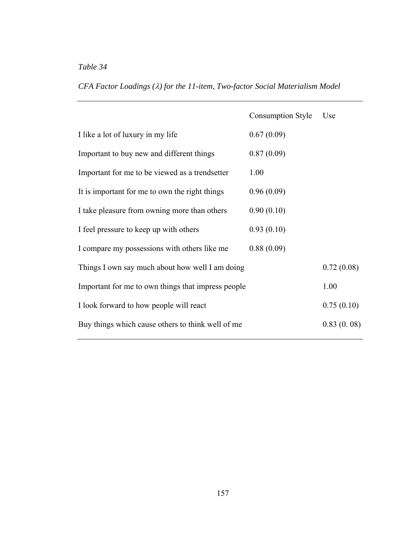|  |  |  |  | CFA Factor Loadings ( $\lambda$ ) for the 11-item, Two-factor Social Materialism Model |  |
|--|--|--|--|----------------------------------------------------------------------------------------|--|
|  |  |  |  |                                                                                        |  |

|                                                    | <b>Consumption Style</b> | Use        |
|----------------------------------------------------|--------------------------|------------|
| I like a lot of luxury in my life                  | 0.67(0.09)               |            |
| Important to buy new and different things          | 0.87(0.09)               |            |
| Important for me to be viewed as a trendsetter     | 1.00                     |            |
| It is important for me to own the right things     | 0.96(0.09)               |            |
| I take pleasure from owning more than others       | 0.90(0.10)               |            |
| I feel pressure to keep up with others             | 0.93(0.10)               |            |
| I compare my possessions with others like me       | 0.88(0.09)               |            |
| Things I own say much about how well I am doing    |                          | 0.72(0.08) |
| Important for me to own things that impress people |                          | 1.00       |
| I look forward to how people will react            |                          | 0.75(0.10) |
| Buy things which cause others to think well of me  |                          | 0.83(0.08) |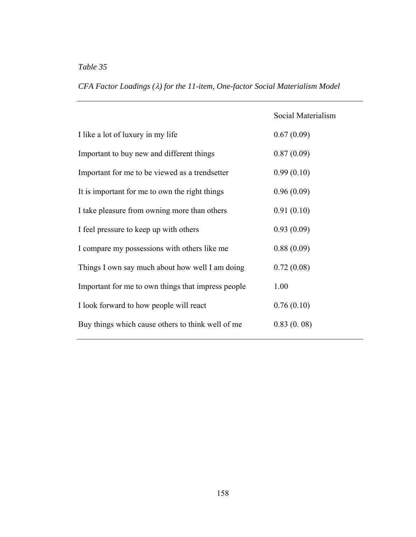|  |  |  |  | CFA Factor Loadings ( $\lambda$ ) for the 11-item, One-factor Social Materialism Model |  |
|--|--|--|--|----------------------------------------------------------------------------------------|--|
|  |  |  |  |                                                                                        |  |

|                                                    | Social Materialism |
|----------------------------------------------------|--------------------|
| I like a lot of luxury in my life                  | 0.67(0.09)         |
| Important to buy new and different things          | 0.87(0.09)         |
| Important for me to be viewed as a trendsetter     | 0.99(0.10)         |
| It is important for me to own the right things     | 0.96(0.09)         |
| I take pleasure from owning more than others       | 0.91(0.10)         |
| I feel pressure to keep up with others             | 0.93(0.09)         |
| I compare my possessions with others like me       | 0.88(0.09)         |
| Things I own say much about how well I am doing    | 0.72(0.08)         |
| Important for me to own things that impress people | 1.00               |
| I look forward to how people will react            | 0.76(0.10)         |
| Buy things which cause others to think well of me  | 0.83(0.08)         |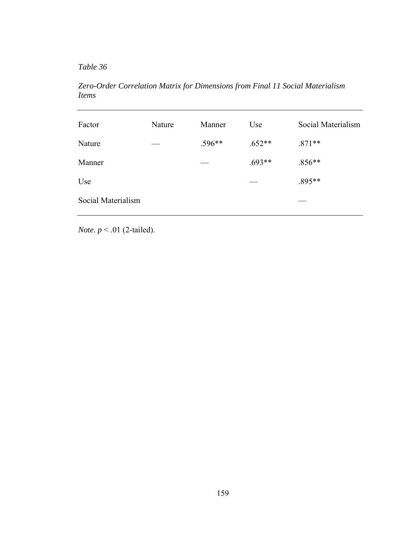*Table 36* 

*Zero-Order Correlation Matrix for Dimensions from Final 11 Social Materialism Items* 

| Nature | Manner   | Use      | Social Materialism |
|--------|----------|----------|--------------------|
|        | $.596**$ | $.652**$ | $.871**$           |
|        |          | $.693**$ | $.856**$           |
|        |          |          | .895**             |
|        |          |          |                    |
|        |          |          |                    |

*Note*. *p* < .01 (2-tailed).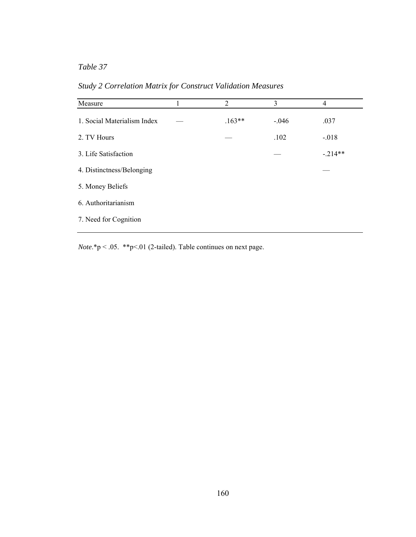| Measure                     | 1 | 2        | 3       | $\overline{4}$ |
|-----------------------------|---|----------|---------|----------------|
| 1. Social Materialism Index |   | $.163**$ | $-.046$ | .037           |
| 2. TV Hours                 |   |          | .102    | $-.018$        |
| 3. Life Satisfaction        |   |          |         | $-.214**$      |
| 4. Distinctness/Belonging   |   |          |         |                |
| 5. Money Beliefs            |   |          |         |                |
| 6. Authoritarianism         |   |          |         |                |
| 7. Need for Cognition       |   |          |         |                |
|                             |   |          |         |                |

*Study 2 Correlation Matrix for Construct Validation Measures* 

*Note*.\*p < .05. \*\*p<.01 (2-tailed). Table continues on next page.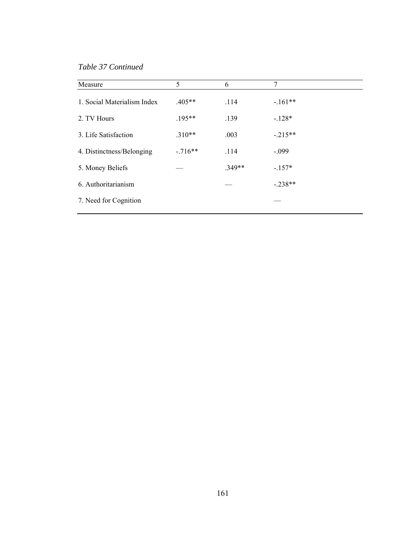*Table 37 Continued* 

| 5         | 6        | 7         |
|-----------|----------|-----------|
| $.405**$  | .114     | $-.161**$ |
| $.195***$ | .139     | $-128*$   |
| $.310**$  | .003     | $-.215**$ |
| $-716**$  | .114     | $-.099$   |
|           | $.349**$ | $-157*$   |
|           |          | $-.238**$ |
|           |          |           |
|           |          |           |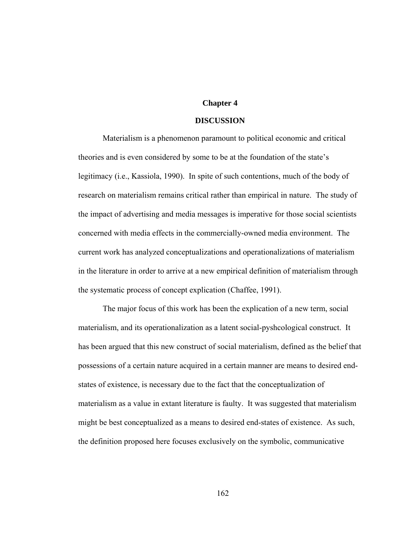# **Chapter 4**

#### **DISCUSSION**

Materialism is a phenomenon paramount to political economic and critical theories and is even considered by some to be at the foundation of the state's legitimacy (i.e., Kassiola, 1990). In spite of such contentions, much of the body of research on materialism remains critical rather than empirical in nature. The study of the impact of advertising and media messages is imperative for those social scientists concerned with media effects in the commercially-owned media environment. The current work has analyzed conceptualizations and operationalizations of materialism in the literature in order to arrive at a new empirical definition of materialism through the systematic process of concept explication (Chaffee, 1991).

The major focus of this work has been the explication of a new term, social materialism, and its operationalization as a latent social-pyshcological construct. It has been argued that this new construct of social materialism, defined as the belief that possessions of a certain nature acquired in a certain manner are means to desired endstates of existence, is necessary due to the fact that the conceptualization of materialism as a value in extant literature is faulty. It was suggested that materialism might be best conceptualized as a means to desired end-states of existence. As such, the definition proposed here focuses exclusively on the symbolic, communicative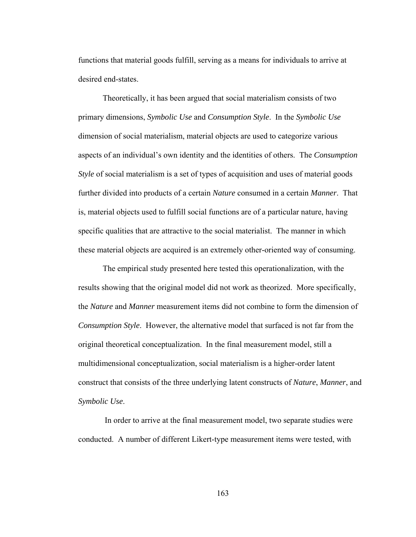functions that material goods fulfill, serving as a means for individuals to arrive at desired end-states.

Theoretically, it has been argued that social materialism consists of two primary dimensions, *Symbolic Use* and *Consumption Style*. In the *Symbolic Use* dimension of social materialism, material objects are used to categorize various aspects of an individual's own identity and the identities of others. The *Consumption Style* of social materialism is a set of types of acquisition and uses of material goods further divided into products of a certain *Nature* consumed in a certain *Manner*.That is, material objects used to fulfill social functions are of a particular nature, having specific qualities that are attractive to the social materialist. The manner in which these material objects are acquired is an extremely other-oriented way of consuming.

 The empirical study presented here tested this operationalization, with the results showing that the original model did not work as theorized. More specifically, the *Nature* and *Manner* measurement items did not combine to form the dimension of *Consumption Style*. However, the alternative model that surfaced is not far from the original theoretical conceptualization. In the final measurement model, still a multidimensional conceptualization, social materialism is a higher-order latent construct that consists of the three underlying latent constructs of *Nature*, *Manner*, and *Symbolic Use*.

 In order to arrive at the final measurement model, two separate studies were conducted. A number of different Likert-type measurement items were tested, with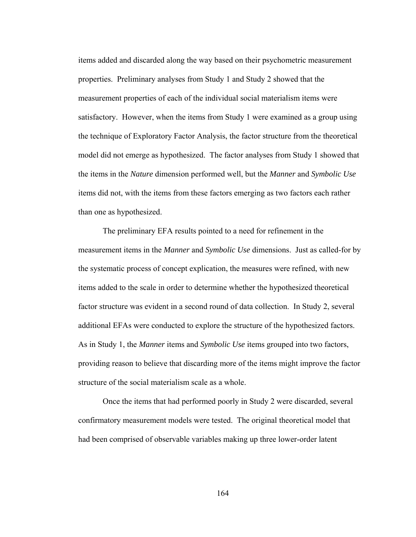items added and discarded along the way based on their psychometric measurement properties. Preliminary analyses from Study 1 and Study 2 showed that the measurement properties of each of the individual social materialism items were satisfactory. However, when the items from Study 1 were examined as a group using the technique of Exploratory Factor Analysis, the factor structure from the theoretical model did not emerge as hypothesized. The factor analyses from Study 1 showed that the items in the *Nature* dimension performed well, but the *Manner* and *Symbolic Use* items did not, with the items from these factors emerging as two factors each rather than one as hypothesized.

The preliminary EFA results pointed to a need for refinement in the measurement items in the *Manner* and *Symbolic Use* dimensions. Just as called-for by the systematic process of concept explication, the measures were refined, with new items added to the scale in order to determine whether the hypothesized theoretical factor structure was evident in a second round of data collection. In Study 2, several additional EFAs were conducted to explore the structure of the hypothesized factors. As in Study 1, the *Manner* items and *Symbolic Use* items grouped into two factors, providing reason to believe that discarding more of the items might improve the factor structure of the social materialism scale as a whole.

Once the items that had performed poorly in Study 2 were discarded, several confirmatory measurement models were tested. The original theoretical model that had been comprised of observable variables making up three lower-order latent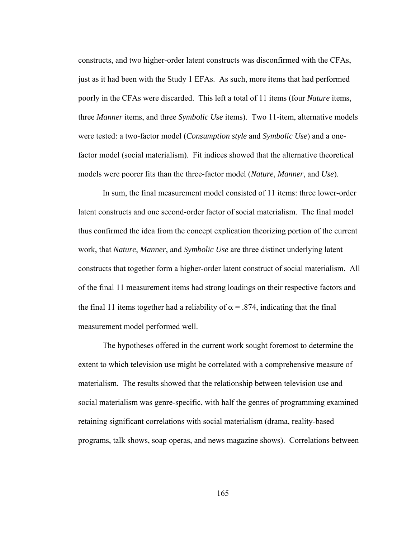constructs, and two higher-order latent constructs was disconfirmed with the CFAs, just as it had been with the Study 1 EFAs. As such, more items that had performed poorly in the CFAs were discarded. This left a total of 11 items (four *Nature* items, three *Manner* items, and three *Symbolic Use* items). Two 11-item, alternative models were tested: a two-factor model (*Consumption style* and *Symbolic Use*) and a onefactor model (social materialism). Fit indices showed that the alternative theoretical models were poorer fits than the three-factor model (*Nature*, *Manner*, and *Use*).

In sum, the final measurement model consisted of 11 items: three lower-order latent constructs and one second-order factor of social materialism. The final model thus confirmed the idea from the concept explication theorizing portion of the current work, that *Nature*, *Manner*, and *Symbolic Use* are three distinct underlying latent constructs that together form a higher-order latent construct of social materialism. All of the final 11 measurement items had strong loadings on their respective factors and the final 11 items together had a reliability of  $\alpha$  = .874, indicating that the final measurement model performed well.

The hypotheses offered in the current work sought foremost to determine the extent to which television use might be correlated with a comprehensive measure of materialism. The results showed that the relationship between television use and social materialism was genre-specific, with half the genres of programming examined retaining significant correlations with social materialism (drama, reality-based programs, talk shows, soap operas, and news magazine shows). Correlations between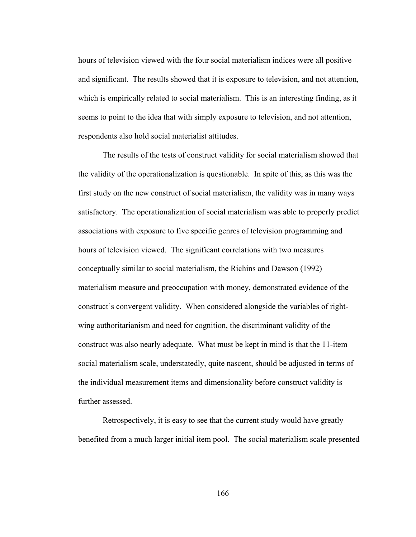hours of television viewed with the four social materialism indices were all positive and significant. The results showed that it is exposure to television, and not attention, which is empirically related to social materialism. This is an interesting finding, as it seems to point to the idea that with simply exposure to television, and not attention, respondents also hold social materialist attitudes.

The results of the tests of construct validity for social materialism showed that the validity of the operationalization is questionable. In spite of this, as this was the first study on the new construct of social materialism, the validity was in many ways satisfactory. The operationalization of social materialism was able to properly predict associations with exposure to five specific genres of television programming and hours of television viewed. The significant correlations with two measures conceptually similar to social materialism, the Richins and Dawson (1992) materialism measure and preoccupation with money, demonstrated evidence of the construct's convergent validity. When considered alongside the variables of rightwing authoritarianism and need for cognition, the discriminant validity of the construct was also nearly adequate. What must be kept in mind is that the 11-item social materialism scale, understatedly, quite nascent, should be adjusted in terms of the individual measurement items and dimensionality before construct validity is further assessed.

Retrospectively, it is easy to see that the current study would have greatly benefited from a much larger initial item pool. The social materialism scale presented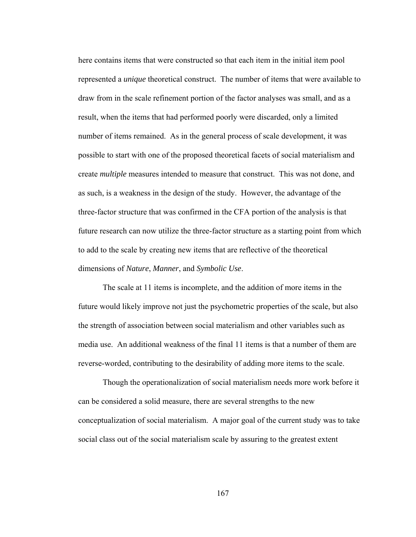here contains items that were constructed so that each item in the initial item pool represented a *unique* theoretical construct. The number of items that were available to draw from in the scale refinement portion of the factor analyses was small, and as a result, when the items that had performed poorly were discarded, only a limited number of items remained. As in the general process of scale development, it was possible to start with one of the proposed theoretical facets of social materialism and create *multiple* measures intended to measure that construct. This was not done, and as such, is a weakness in the design of the study. However, the advantage of the three-factor structure that was confirmed in the CFA portion of the analysis is that future research can now utilize the three-factor structure as a starting point from which to add to the scale by creating new items that are reflective of the theoretical dimensions of *Nature*, *Manner*, and *Symbolic Use*.

The scale at 11 items is incomplete, and the addition of more items in the future would likely improve not just the psychometric properties of the scale, but also the strength of association between social materialism and other variables such as media use. An additional weakness of the final 11 items is that a number of them are reverse-worded, contributing to the desirability of adding more items to the scale.

Though the operationalization of social materialism needs more work before it can be considered a solid measure, there are several strengths to the new conceptualization of social materialism. A major goal of the current study was to take social class out of the social materialism scale by assuring to the greatest extent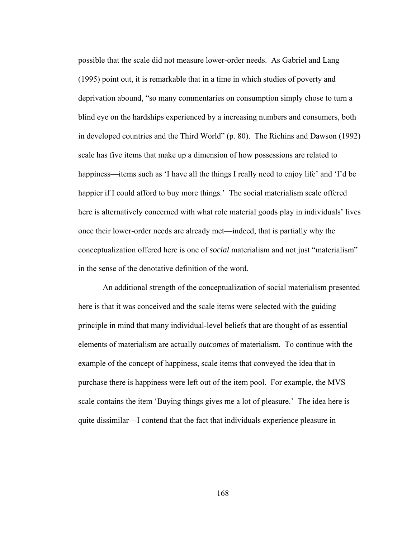possible that the scale did not measure lower-order needs. As Gabriel and Lang (1995) point out, it is remarkable that in a time in which studies of poverty and deprivation abound, "so many commentaries on consumption simply chose to turn a blind eye on the hardships experienced by a increasing numbers and consumers, both in developed countries and the Third World" (p. 80). The Richins and Dawson (1992) scale has five items that make up a dimension of how possessions are related to happiness—items such as 'I have all the things I really need to enjoy life' and 'I'd be happier if I could afford to buy more things.' The social materialism scale offered here is alternatively concerned with what role material goods play in individuals' lives once their lower-order needs are already met—indeed, that is partially why the conceptualization offered here is one of *social* materialism and not just "materialism" in the sense of the denotative definition of the word.

An additional strength of the conceptualization of social materialism presented here is that it was conceived and the scale items were selected with the guiding principle in mind that many individual-level beliefs that are thought of as essential elements of materialism are actually *outcomes* of materialism. To continue with the example of the concept of happiness, scale items that conveyed the idea that in purchase there is happiness were left out of the item pool. For example, the MVS scale contains the item 'Buying things gives me a lot of pleasure.' The idea here is quite dissimilar—I contend that the fact that individuals experience pleasure in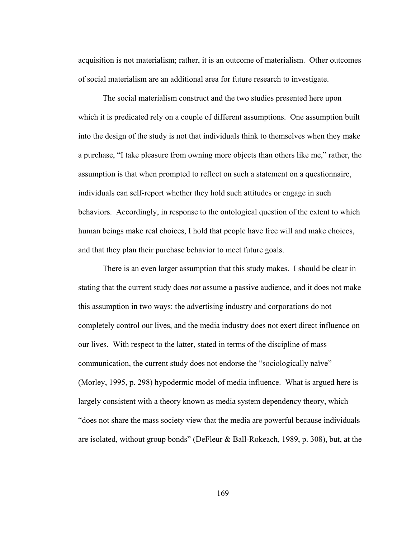acquisition is not materialism; rather, it is an outcome of materialism. Other outcomes of social materialism are an additional area for future research to investigate.

The social materialism construct and the two studies presented here upon which it is predicated rely on a couple of different assumptions. One assumption built into the design of the study is not that individuals think to themselves when they make a purchase, "I take pleasure from owning more objects than others like me," rather, the assumption is that when prompted to reflect on such a statement on a questionnaire, individuals can self-report whether they hold such attitudes or engage in such behaviors. Accordingly, in response to the ontological question of the extent to which human beings make real choices, I hold that people have free will and make choices, and that they plan their purchase behavior to meet future goals.

There is an even larger assumption that this study makes. I should be clear in stating that the current study does *not* assume a passive audience, and it does not make this assumption in two ways: the advertising industry and corporations do not completely control our lives, and the media industry does not exert direct influence on our lives. With respect to the latter, stated in terms of the discipline of mass communication, the current study does not endorse the "sociologically naïve" (Morley, 1995, p. 298) hypodermic model of media influence. What is argued here is largely consistent with a theory known as media system dependency theory, which "does not share the mass society view that the media are powerful because individuals are isolated, without group bonds" (DeFleur & Ball-Rokeach, 1989, p. 308), but, at the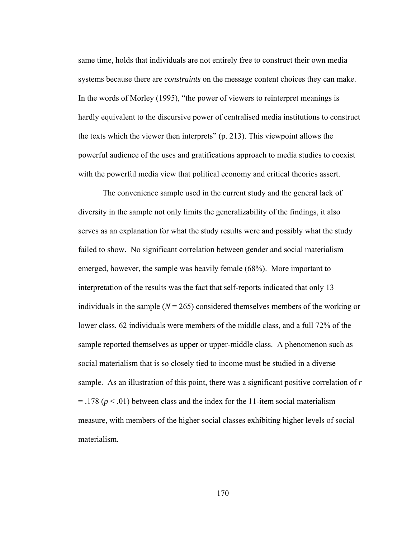same time, holds that individuals are not entirely free to construct their own media systems because there are *constraints* on the message content choices they can make. In the words of Morley (1995), "the power of viewers to reinterpret meanings is hardly equivalent to the discursive power of centralised media institutions to construct the texts which the viewer then interprets" (p. 213). This viewpoint allows the powerful audience of the uses and gratifications approach to media studies to coexist with the powerful media view that political economy and critical theories assert.

The convenience sample used in the current study and the general lack of diversity in the sample not only limits the generalizability of the findings, it also serves as an explanation for what the study results were and possibly what the study failed to show. No significant correlation between gender and social materialism emerged, however, the sample was heavily female (68%). More important to interpretation of the results was the fact that self-reports indicated that only 13 individuals in the sample ( $N = 265$ ) considered themselves members of the working or lower class, 62 individuals were members of the middle class, and a full 72% of the sample reported themselves as upper or upper-middle class. A phenomenon such as social materialism that is so closely tied to income must be studied in a diverse sample. As an illustration of this point, there was a significant positive correlation of *r*   $=$  .178 ( $p < .01$ ) between class and the index for the 11-item social materialism measure, with members of the higher social classes exhibiting higher levels of social materialism.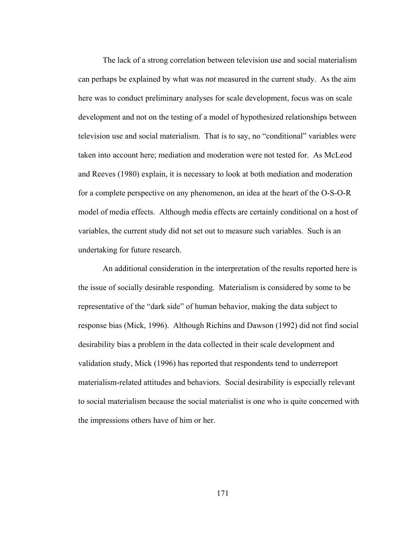The lack of a strong correlation between television use and social materialism can perhaps be explained by what was *not* measured in the current study. As the aim here was to conduct preliminary analyses for scale development, focus was on scale development and not on the testing of a model of hypothesized relationships between television use and social materialism. That is to say, no "conditional" variables were taken into account here; mediation and moderation were not tested for. As McLeod and Reeves (1980) explain, it is necessary to look at both mediation and moderation for a complete perspective on any phenomenon, an idea at the heart of the O-S-O-R model of media effects. Although media effects are certainly conditional on a host of variables, the current study did not set out to measure such variables. Such is an undertaking for future research.

An additional consideration in the interpretation of the results reported here is the issue of socially desirable responding. Materialism is considered by some to be representative of the "dark side" of human behavior, making the data subject to response bias (Mick, 1996). Although Richins and Dawson (1992) did not find social desirability bias a problem in the data collected in their scale development and validation study, Mick (1996) has reported that respondents tend to underreport materialism-related attitudes and behaviors. Social desirability is especially relevant to social materialism because the social materialist is one who is quite concerned with the impressions others have of him or her.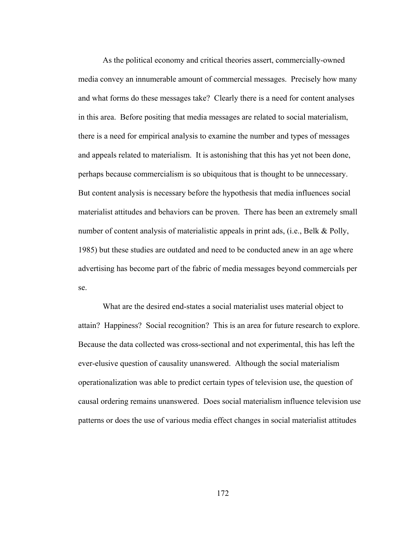As the political economy and critical theories assert, commercially-owned media convey an innumerable amount of commercial messages. Precisely how many and what forms do these messages take? Clearly there is a need for content analyses in this area. Before positing that media messages are related to social materialism, there is a need for empirical analysis to examine the number and types of messages and appeals related to materialism. It is astonishing that this has yet not been done, perhaps because commercialism is so ubiquitous that is thought to be unnecessary. But content analysis is necessary before the hypothesis that media influences social materialist attitudes and behaviors can be proven. There has been an extremely small number of content analysis of materialistic appeals in print ads, (i.e., Belk & Polly, 1985) but these studies are outdated and need to be conducted anew in an age where advertising has become part of the fabric of media messages beyond commercials per se.

What are the desired end-states a social materialist uses material object to attain? Happiness? Social recognition? This is an area for future research to explore. Because the data collected was cross-sectional and not experimental, this has left the ever-elusive question of causality unanswered. Although the social materialism operationalization was able to predict certain types of television use, the question of causal ordering remains unanswered. Does social materialism influence television use patterns or does the use of various media effect changes in social materialist attitudes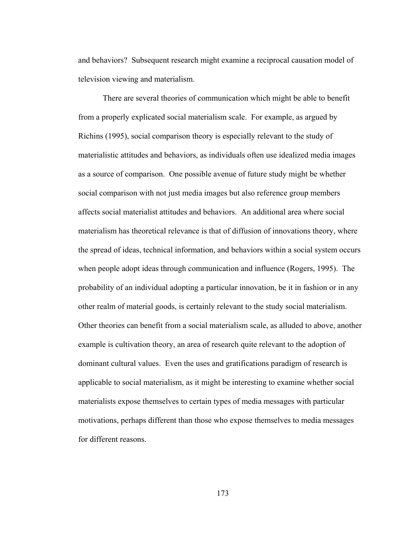and behaviors? Subsequent research might examine a reciprocal causation model of television viewing and materialism.

There are several theories of communication which might be able to benefit from a properly explicated social materialism scale. For example, as argued by Richins (1995), social comparison theory is especially relevant to the study of materialistic attitudes and behaviors, as individuals often use idealized media images as a source of comparison. One possible avenue of future study might be whether social comparison with not just media images but also reference group members affects social materialist attitudes and behaviors. An additional area where social materialism has theoretical relevance is that of diffusion of innovations theory, where the spread of ideas, technical information, and behaviors within a social system occurs when people adopt ideas through communication and influence (Rogers, 1995). The probability of an individual adopting a particular innovation, be it in fashion or in any other realm of material goods, is certainly relevant to the study social materialism. Other theories can benefit from a social materialism scale, as alluded to above, another example is cultivation theory, an area of research quite relevant to the adoption of dominant cultural values. Even the uses and gratifications paradigm of research is applicable to social materialism, as it might be interesting to examine whether social materialists expose themselves to certain types of media messages with particular motivations, perhaps different than those who expose themselves to media messages for different reasons.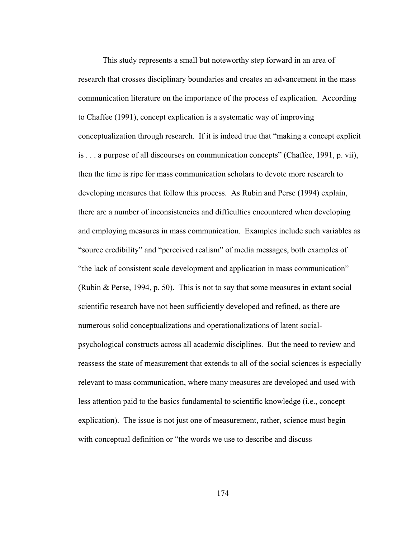This study represents a small but noteworthy step forward in an area of research that crosses disciplinary boundaries and creates an advancement in the mass communication literature on the importance of the process of explication. According to Chaffee (1991), concept explication is a systematic way of improving conceptualization through research. If it is indeed true that "making a concept explicit is . . . a purpose of all discourses on communication concepts" (Chaffee, 1991, p. vii), then the time is ripe for mass communication scholars to devote more research to developing measures that follow this process. As Rubin and Perse (1994) explain, there are a number of inconsistencies and difficulties encountered when developing and employing measures in mass communication. Examples include such variables as "source credibility" and "perceived realism" of media messages, both examples of "the lack of consistent scale development and application in mass communication" (Rubin & Perse, 1994, p. 50). This is not to say that some measures in extant social scientific research have not been sufficiently developed and refined, as there are numerous solid conceptualizations and operationalizations of latent socialpsychological constructs across all academic disciplines. But the need to review and reassess the state of measurement that extends to all of the social sciences is especially relevant to mass communication, where many measures are developed and used with less attention paid to the basics fundamental to scientific knowledge (i.e., concept explication). The issue is not just one of measurement, rather, science must begin with conceptual definition or "the words we use to describe and discuss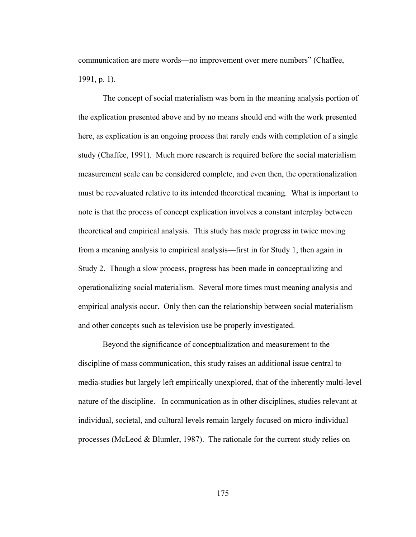communication are mere words—no improvement over mere numbers" (Chaffee, 1991, p. 1).

The concept of social materialism was born in the meaning analysis portion of the explication presented above and by no means should end with the work presented here, as explication is an ongoing process that rarely ends with completion of a single study (Chaffee, 1991). Much more research is required before the social materialism measurement scale can be considered complete, and even then, the operationalization must be reevaluated relative to its intended theoretical meaning. What is important to note is that the process of concept explication involves a constant interplay between theoretical and empirical analysis. This study has made progress in twice moving from a meaning analysis to empirical analysis—first in for Study 1, then again in Study 2. Though a slow process, progress has been made in conceptualizing and operationalizing social materialism. Several more times must meaning analysis and empirical analysis occur. Only then can the relationship between social materialism and other concepts such as television use be properly investigated.

Beyond the significance of conceptualization and measurement to the discipline of mass communication, this study raises an additional issue central to media-studies but largely left empirically unexplored, that of the inherently multi-level nature of the discipline. In communication as in other disciplines, studies relevant at individual, societal, and cultural levels remain largely focused on micro-individual processes (McLeod & Blumler, 1987). The rationale for the current study relies on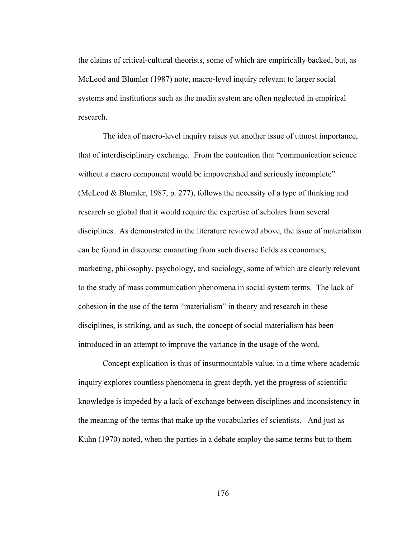the claims of critical-cultural theorists, some of which are empirically backed, but, as McLeod and Blumler (1987) note, macro-level inquiry relevant to larger social systems and institutions such as the media system are often neglected in empirical research.

The idea of macro-level inquiry raises yet another issue of utmost importance, that of interdisciplinary exchange. From the contention that "communication science without a macro component would be impoverished and seriously incomplete" (McLeod & Blumler, 1987, p. 277), follows the necessity of a type of thinking and research so global that it would require the expertise of scholars from several disciplines. As demonstrated in the literature reviewed above, the issue of materialism can be found in discourse emanating from such diverse fields as economics, marketing, philosophy, psychology, and sociology, some of which are clearly relevant to the study of mass communication phenomena in social system terms. The lack of cohesion in the use of the term "materialism" in theory and research in these disciplines, is striking, and as such, the concept of social materialism has been introduced in an attempt to improve the variance in the usage of the word.

Concept explication is thus of insurmountable value, in a time where academic inquiry explores countless phenomena in great depth, yet the progress of scientific knowledge is impeded by a lack of exchange between disciplines and inconsistency in the meaning of the terms that make up the vocabularies of scientists. And just as Kuhn (1970) noted, when the parties in a debate employ the same terms but to them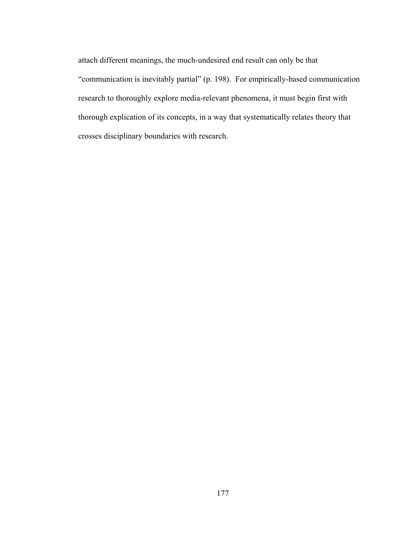attach different meanings, the much-undesired end result can only be that "communication is inevitably partial" (p. 198). For empirically-based communication research to thoroughly explore media-relevant phenomena, it must begin first with thorough explication of its concepts, in a way that systematically relates theory that crosses disciplinary boundaries with research.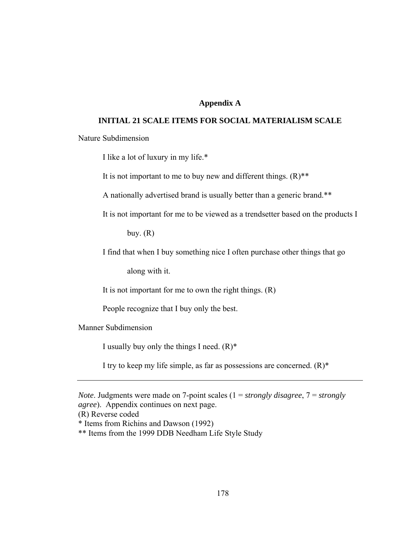# **Appendix A**

## **INITIAL 21 SCALE ITEMS FOR SOCIAL MATERIALISM SCALE**

Nature Subdimension

I like a lot of luxury in my life.\*

It is not important to me to buy new and different things.  $(R)$ <sup>\*\*</sup>

A nationally advertised brand is usually better than a generic brand.\*\*

It is not important for me to be viewed as a trendsetter based on the products I

buy.  $(R)$ 

I find that when I buy something nice I often purchase other things that go

along with it.

It is not important for me to own the right things.  $(R)$ 

People recognize that I buy only the best.

Manner Subdimension

I usually buy only the things I need.  $(R)^*$ 

I try to keep my life simple, as far as possessions are concerned.  $(R)^*$ 

(R) Reverse coded

\* Items from Richins and Dawson (1992)

\*\* Items from the 1999 DDB Needham Life Style Study

*Note*. Judgments were made on 7-point scales (1 = *strongly disagree*, 7 = *strongly agree*). Appendix continues on next page.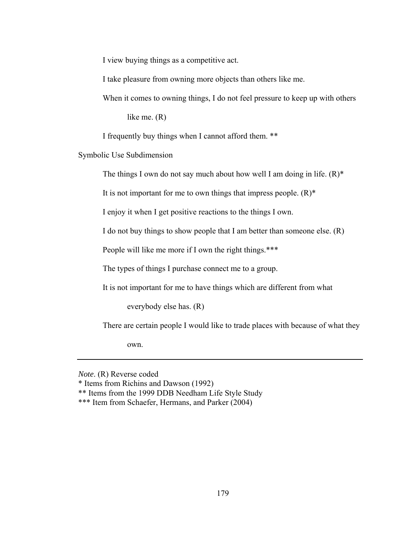I view buying things as a competitive act.

I take pleasure from owning more objects than others like me.

When it comes to owning things, I do not feel pressure to keep up with others

like me. (R)

I frequently buy things when I cannot afford them. \*\*

Symbolic Use Subdimension

The things I own do not say much about how well I am doing in life.  $(R)^*$ 

It is not important for me to own things that impress people.  $(R)^*$ 

I enjoy it when I get positive reactions to the things I own.

I do not buy things to show people that I am better than someone else. (R)

People will like me more if I own the right things.\*\*\*

The types of things I purchase connect me to a group.

It is not important for me to have things which are different from what

everybody else has. (R)

There are certain people I would like to trade places with because of what they

own.

*Note*. (R) Reverse coded

<sup>\*</sup> Items from Richins and Dawson (1992)

<sup>\*\*</sup> Items from the 1999 DDB Needham Life Style Study

<sup>\*\*\*</sup> Item from Schaefer, Hermans, and Parker (2004)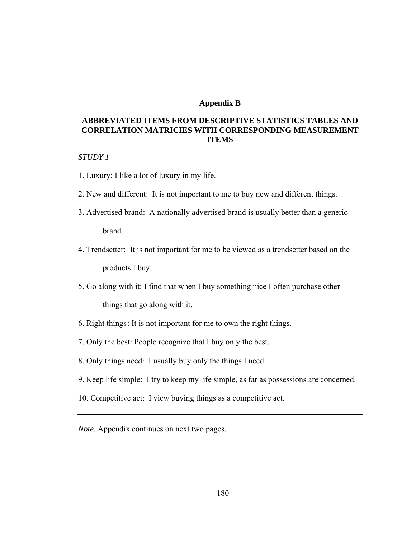### **Appendix B**

# **ABBREVIATED ITEMS FROM DESCRIPTIVE STATISTICS TABLES AND CORRELATION MATRICIES WITH CORRESPONDING MEASUREMENT ITEMS**

### *STUDY 1*

- 1. Luxury: I like a lot of luxury in my life.
- 2. New and different: It is not important to me to buy new and different things.
- 3. Advertised brand: A nationally advertised brand is usually better than a generic brand.
- 4. Trendsetter: It is not important for me to be viewed as a trendsetter based on the products I buy.
- 5. Go along with it: I find that when I buy something nice I often purchase other things that go along with it.
- 6. Right things : It is not important for me to own the right things.
- 7. Only the best: People recognize that I buy only the best.
- 8. Only things need: I usually buy only the things I need.
- 9. Keep life simple: I try to keep my life simple, as far as possessions are concerned.
- 10. Competitive act: I view buying things as a competitive act.
- *Note*. Appendix continues on next two pages.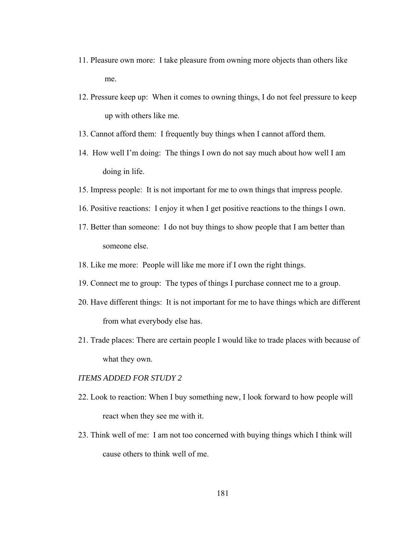- 11. Pleasure own more: I take pleasure from owning more objects than others like me.
- 12. Pressure keep up: When it comes to owning things, I do not feel pressure to keep up with others like me.
- 13. Cannot afford them: I frequently buy things when I cannot afford them.
- 14. How well I'm doing: The things I own do not say much about how well I am doing in life.
- 15. Impress people: It is not important for me to own things that impress people.
- 16. Positive reactions: I enjoy it when I get positive reactions to the things I own.
- 17. Better than someone: I do not buy things to show people that I am better than someone else.
- 18. Like me more: People will like me more if I own the right things.
- 19. Connect me to group: The types of things I purchase connect me to a group.
- 20. Have different things: It is not important for me to have things which are different from what everybody else has.
- 21. Trade places: There are certain people I would like to trade places with because of what they own.

### *ITEMS ADDED FOR STUDY 2*

- 22. Look to reaction: When I buy something new, I look forward to how people will react when they see me with it.
- 23. Think well of me: I am not too concerned with buying things which I think will cause others to think well of me.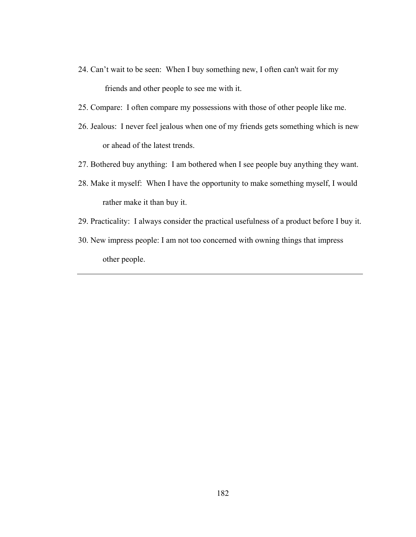- 24. Can't wait to be seen: When I buy something new, I often can't wait for my friends and other people to see me with it.
- 25. Compare: I often compare my possessions with those of other people like me.
- 26. Jealous: I never feel jealous when one of my friends gets something which is new or ahead of the latest trends.
- 27. Bothered buy anything: I am bothered when I see people buy anything they want.
- 28. Make it myself: When I have the opportunity to make something myself, I would rather make it than buy it.
- 29. Practicality: I always consider the practical usefulness of a product before I buy it.
- 30. New impress people: I am not too concerned with owning things that impress other people.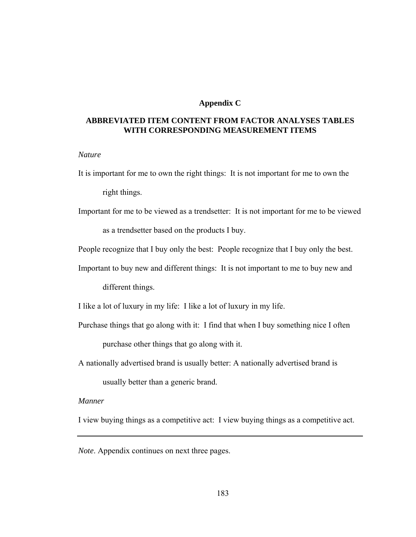## **Appendix C**

# **ABBREVIATED ITEM CONTENT FROM FACTOR ANALYSES TABLES WITH CORRESPONDING MEASUREMENT ITEMS**

#### *Nature*

It is important for me to own the right things: It is not important for me to own the

right things.

- Important for me to be viewed as a trendsetter: It is not important for me to be viewed as a trendsetter based on the products I buy.
- People recognize that I buy only the best: People recognize that I buy only the best.
- Important to buy new and different things: It is not important to me to buy new and different things.
- I like a lot of luxury in my life: I like a lot of luxury in my life.
- Purchase things that go along with it: I find that when I buy something nice I often purchase other things that go along with it.
- A nationally advertised brand is usually better: A nationally advertised brand is

usually better than a generic brand.

### *Manner*

I view buying things as a competitive act: I view buying things as a competitive act.

*Note*. Appendix continues on next three pages.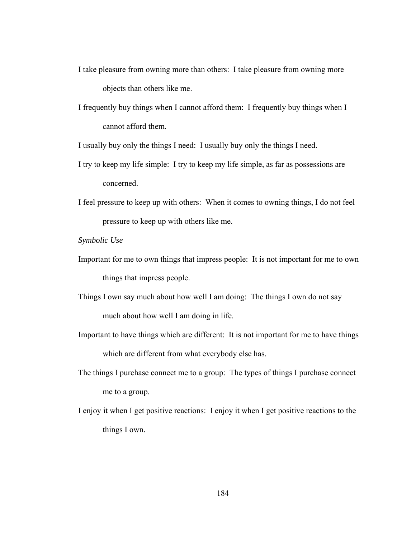- I take pleasure from owning more than others: I take pleasure from owning more objects than others like me.
- I frequently buy things when I cannot afford them: I frequently buy things when I cannot afford them.

I usually buy only the things I need: I usually buy only the things I need.

- I try to keep my life simple: I try to keep my life simple, as far as possessions are concerned.
- I feel pressure to keep up with others: When it comes to owning things, I do not feel pressure to keep up with others like me.

*Symbolic Use* 

- Important for me to own things that impress people: It is not important for me to own things that impress people.
- Things I own say much about how well I am doing: The things I own do not say much about how well I am doing in life.
- Important to have things which are different: It is not important for me to have things which are different from what everybody else has.
- The things I purchase connect me to a group: The types of things I purchase connect me to a group.
- I enjoy it when I get positive reactions: I enjoy it when I get positive reactions to the things I own.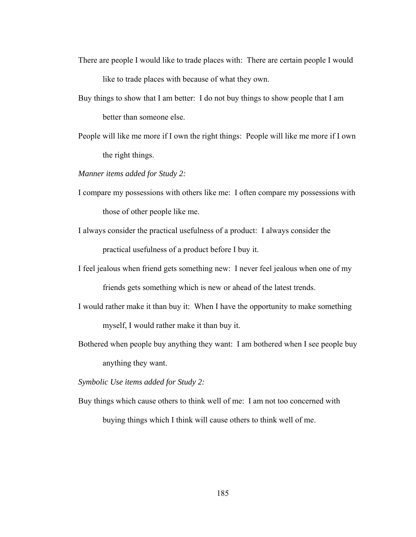- There are people I would like to trade places with: There are certain people I would like to trade places with because of what they own.
- Buy things to show that I am better: I do not buy things to show people that I am better than someone else.
- People will like me more if I own the right things: People will like me more if I own the right things.

*Manner items added for Study 2:* 

- I compare my possessions with others like me: I often compare my possessions with those of other people like me.
- I always consider the practical usefulness of a product: I always consider the practical usefulness of a product before I buy it.
- I feel jealous when friend gets something new: I never feel jealous when one of my friends gets something which is new or ahead of the latest trends.
- I would rather make it than buy it: When I have the opportunity to make something myself, I would rather make it than buy it.
- Bothered when people buy anything they want: I am bothered when I see people buy anything they want.

*Symbolic Use items added for Study 2:* 

Buy things which cause others to think well of me: I am not too concerned with buying things which I think will cause others to think well of me.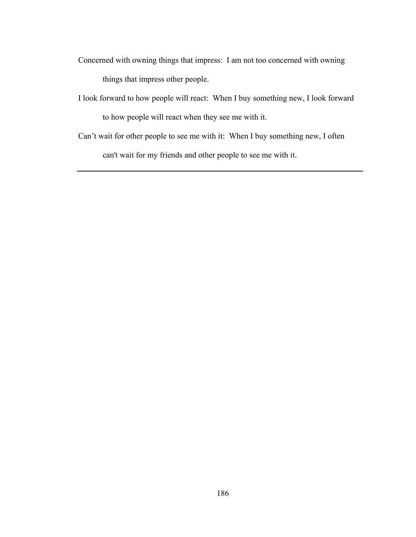- Concerned with owning things that impress: I am not too concerned with owning things that impress other people.
- I look forward to how people will react: When I buy something new, I look forward to how people will react when they see me with it.
- Can't wait for other people to see me with it: When I buy something new, I often

can't wait for my friends and other people to see me with it.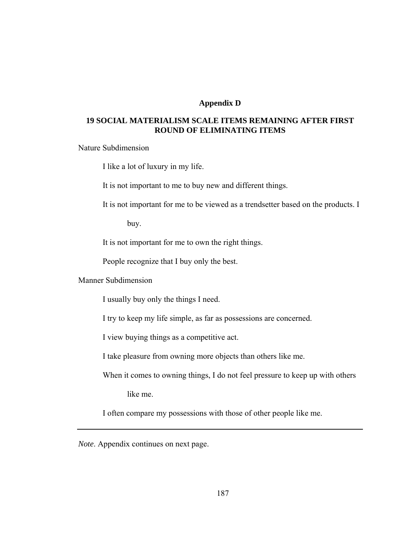## **Appendix D**

# **19 SOCIAL MATERIALISM SCALE ITEMS REMAINING AFTER FIRST ROUND OF ELIMINATING ITEMS**

Nature Subdimension

I like a lot of luxury in my life.

It is not important to me to buy new and different things.

It is not important for me to be viewed as a trendsetter based on the products. I

buy.

It is not important for me to own the right things.

People recognize that I buy only the best.

Manner Subdimension

I usually buy only the things I need.

I try to keep my life simple, as far as possessions are concerned.

I view buying things as a competitive act.

I take pleasure from owning more objects than others like me.

When it comes to owning things, I do not feel pressure to keep up with others

like me.

I often compare my possessions with those of other people like me.

*Note*. Appendix continues on next page.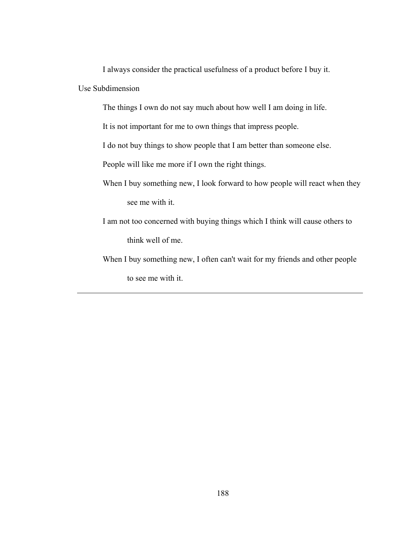I always consider the practical usefulness of a product before I buy it. Use Subdimension

The things I own do not say much about how well I am doing in life.

It is not important for me to own things that impress people.

I do not buy things to show people that I am better than someone else.

People will like me more if I own the right things.

- When I buy something new, I look forward to how people will react when they see me with it.
- I am not too concerned with buying things which I think will cause others to think well of me.
- When I buy something new, I often can't wait for my friends and other people to see me with it.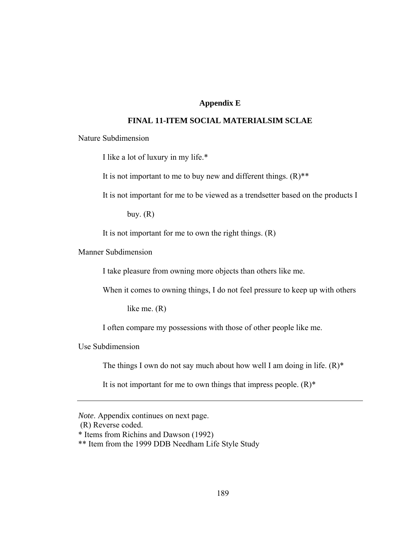# **Appendix E**

## **FINAL 11-ITEM SOCIAL MATERIALSIM SCLAE**

Nature Subdimension

I like a lot of luxury in my life.\*

It is not important to me to buy new and different things.  $(R)$ <sup>\*\*</sup>

It is not important for me to be viewed as a trendsetter based on the products I

buy.  $(R)$ 

It is not important for me to own the right things.  $(R)$ 

Manner Subdimension

I take pleasure from owning more objects than others like me.

When it comes to owning things, I do not feel pressure to keep up with others

like me. (R)

I often compare my possessions with those of other people like me.

Use Subdimension

The things I own do not say much about how well I am doing in life.  $(R)^*$ 

It is not important for me to own things that impress people.  $(R)^*$ 

(R) Reverse coded.

*Note*. Appendix continues on next page.

<sup>\*</sup> Items from Richins and Dawson (1992)

<sup>\*\*</sup> Item from the 1999 DDB Needham Life Style Study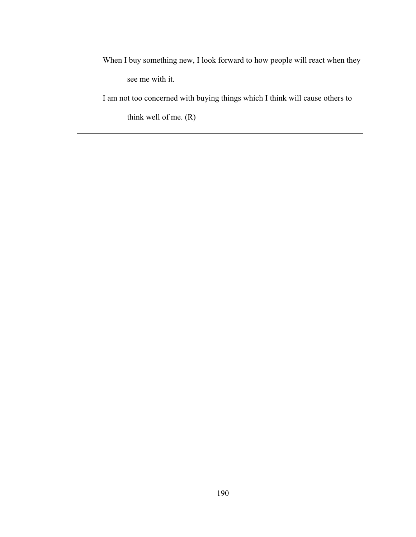When I buy something new, I look forward to how people will react when they see me with it.

I am not too concerned with buying things which I think will cause others to

think well of me. (R)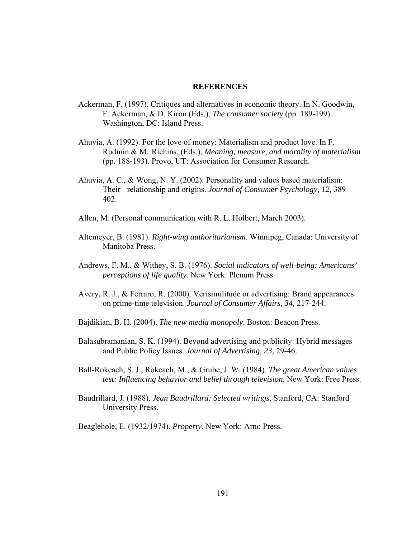#### **REFERENCES**

- Ackerman, F. (1997). Critiques and alternatives in economic theory. In N. Goodwin, F. Ackerman, & D. Kiron (Eds.), *The consumer society* (pp. 189-199). Washington, DC: Island Press.
- Ahuvia, A. (1992). For the love of money: Materialism and product love. In F. Rudmin & M. Richins, (Eds.), *Meaning, measure, and morality of materialism*  (pp. 188-193). Provo, UT: Association for Consumer Research.
- Ahuvia, A. C., & Wong, N. Y. (2002). Personality and values based materialism: Their relationship and origins. *Journal of Consumer Psychology, 12,* 389 402.
- Allen, M. (Personal communication with R. L. Holbert, March 2003).
- Altemeyer, B. (1981). *Right-wing authoritarianism*. Winnipeg, Canada: University of Manitoba Press.
- Andrews, F. M., & Withey, S. B. (1976). *Social indicators of well-being: Americans' perceptions of life quality*. New York: Plenum Press.
- Avery, R. J., & Ferraro, R. (2000). Verisimilitude or advertising: Brand appearances on prime-time television. *Journal of Consumer Affairs, 34,* 217-244.
- Bajdikian, B. H. (2004). *The new media monopoly*. Boston: Beacon Press.
- Balasubramanian, S. K. (1994). Beyond advertising and publicity: Hybrid messages and Public Policy Issues. *Journal of Advertising, 23,* 29-46.
- Ball-Rokeach, S. J., Rokeach, M., & Grube, J. W. (1984). *The great American values test: Influencing behavior and belief through television*. New York: Free Press.
- Baudrillard, J. (1988). *Jean Baudrillard: Selected writings*. Stanford, CA: Stanford University Press.

Beaglehole, E. (1932/1974). *Property*. New York: Arno Press.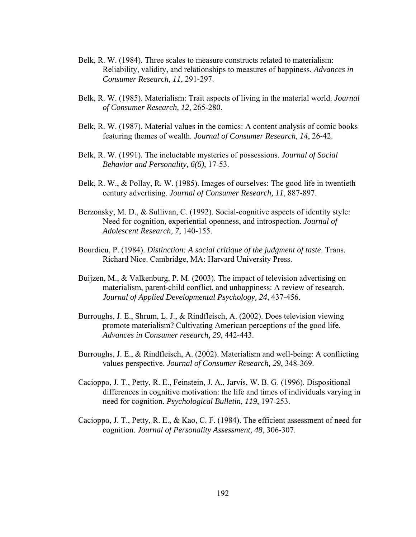- Belk, R. W. (1984). Three scales to measure constructs related to materialism: Reliability, validity, and relationships to measures of happiness. *Advances in Consumer Research*, *11*, 291-297.
- Belk, R. W. (1985). Materialism: Trait aspects of living in the material world. *Journal of Consumer Research, 12,* 265-280.
- Belk, R. W. (1987). Material values in the comics: A content analysis of comic books featuring themes of wealth. *Journal of Consumer Research*, *14*, 26-42.
- Belk, R. W. (1991). The ineluctable mysteries of possessions. *Journal of Social Behavior and Personality, 6(6)*, 17-53.
- Belk, R. W., & Pollay, R. W. (1985). Images of ourselves: The good life in twentieth century advertising. *Journal of Consumer Research, 11*, 887-897.
- Berzonsky, M. D., & Sullivan, C. (1992). Social-cognitive aspects of identity style: Need for cognition, experiential openness, and introspection. *Journal of Adolescent Research, 7*, 140-155.
- Bourdieu, P. (1984). *Distinction: A social critique of the judgment of taste*. Trans. Richard Nice. Cambridge, MA: Harvard University Press.
- Buijzen, M., & Valkenburg, P. M. (2003). The impact of television advertising on materialism, parent-child conflict, and unhappiness: A review of research. *Journal of Applied Developmental Psychology, 24*, 437-456.
- Burroughs, J. E., Shrum, L. J., & Rindfleisch, A. (2002). Does television viewing promote materialism? Cultivating American perceptions of the good life. *Advances in Consumer research, 29*, 442-443.
- Burroughs, J. E., & Rindfleisch, A. (2002). Materialism and well-being: A conflicting values perspective. *Journal of Consumer Research, 29*, 348-369.
- Cacioppo, J. T., Petty, R. E., Feinstein, J. A., Jarvis, W. B. G. (1996). Dispositional differences in cognitive motivation: the life and times of individuals varying in need for cognition. *Psychological Bulletin, 119*, 197-253.
- Cacioppo, J. T., Petty, R. E., & Kao, C. F. (1984). The efficient assessment of need for cognition. *Journal of Personality Assessment, 48*, 306-307.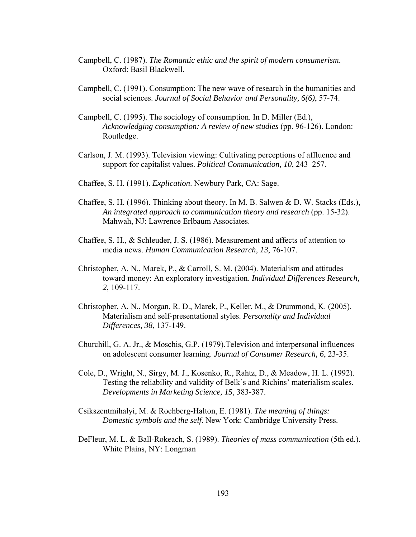- Campbell, C. (1987). *The Romantic ethic and the spirit of modern consumerism*. Oxford: Basil Blackwell.
- Campbell, C. (1991). Consumption: The new wave of research in the humanities and social sciences. *Journal of Social Behavior and Personality, 6(6)*, 57-74.
- Campbell, C. (1995). The sociology of consumption. In D. Miller (Ed.), *Acknowledging consumption: A review of new studies* (pp. 96-126). London: Routledge.
- Carlson, J. M. (1993). Television viewing: Cultivating perceptions of affluence and support for capitalist values. *Political Communication, 10*, 243–257.
- Chaffee, S. H. (1991). *Explication*. Newbury Park, CA: Sage.
- Chaffee, S. H. (1996). Thinking about theory. In M. B. Salwen & D. W. Stacks (Eds.), *An integrated approach to communication theory and research* (pp. 15-32). Mahwah, NJ: Lawrence Erlbaum Associates.
- Chaffee, S. H., & Schleuder, J. S. (1986). Measurement and affects of attention to media news. *Human Communication Research, 13*, 76-107.
- Christopher, A. N., Marek, P., & Carroll, S. M. (2004). Materialism and attitudes toward money: An exploratory investigation. *Individual Differences Research, 2*, 109-117.
- Christopher, A. N., Morgan, R. D., Marek, P., Keller, M., & Drummond, K. (2005). Materialism and self-presentational styles. *Personality and Individual Differences, 38*, 137-149.
- Churchill, G. A. Jr., & Moschis, G.P. (1979).Television and interpersonal influences on adolescent consumer learning. *Journal of Consumer Research, 6*, 23-35.
- Cole, D., Wright, N., Sirgy, M. J., Kosenko, R., Rahtz, D., & Meadow, H. L. (1992). Testing the reliability and validity of Belk's and Richins' materialism scales. *Developments in Marketing Science, 15*, 383-387.
- Csikszentmihalyi, M. & Rochberg-Halton, E. (1981). *The meaning of things: Domestic symbols and the self*. New York: Cambridge University Press.
- DeFleur, M. L. & Ball-Rokeach, S. (1989). *Theories of mass communication* (5th ed.). White Plains, NY: Longman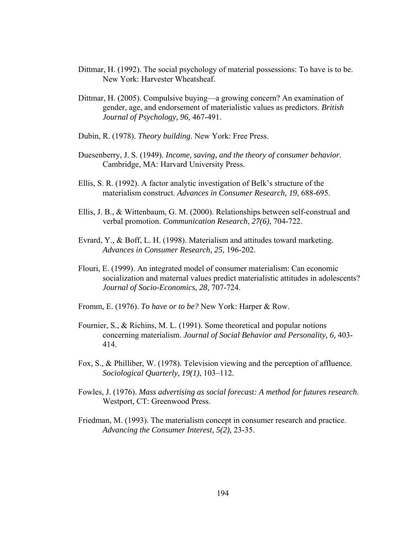- Dittmar, H. (1992). The social psychology of material possessions: To have is to be. New York: Harvester Wheatsheaf.
- Dittmar, H. (2005). Compulsive buying—a growing concern? An examination of gender, age, and endorsement of materialistic values as predictors. *British Journal of Psychology, 96,* 467-491.
- Dubin, R. (1978). *Theory building*. New York: Free Press.
- Duesenberry, J. S. (1949). *Income, saving, and the theory of consumer behavior*. Cambridge, MA: Harvard University Press.
- Ellis, S. R. (1992). A factor analytic investigation of Belk's structure of the materialism construct. *Advances in Consumer Research, 19*, 688-695.
- Ellis, J. B., & Wittenbaum, G. M. (2000). Relationships between self-construal and verbal promotion. *Communication Research*, *27(6)*, 704-722.
- Evrard, Y., & Boff, L. H. (1998). Materialism and attitudes toward marketing. *Advances in Consumer Research, 25*, 196-202.
- Flouri, E. (1999). An integrated model of consumer materialism: Can economic socialization and maternal values predict materialistic attitudes in adolescents? *Journal of Socio-Economics, 28*, 707-724.
- Fromm, E. (1976). *To have or to be?* New York: Harper & Row.
- Fournier, S., & Richins, M. L. (1991). Some theoretical and popular notions concerning materialism. *Journal of Social Behavior and Personality, 6,* 403- 414.
- Fox, S., & Philliber, W. (1978). Television viewing and the perception of affluence. *Sociological Quarterly, 19(1)*, 103–112.
- Fowles, J. (1976). *Mass advertising as social forecast: A method for futures research*. Westport, CT: Greenwood Press.
- Friedman, M. (1993). The materialism concept in consumer research and practice. *Advancing the Consumer Interest, 5(2),* 23-35.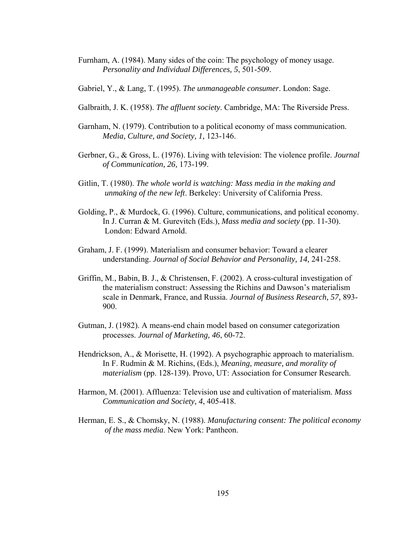- Furnham, A. (1984). Many sides of the coin: The psychology of money usage. *Personality and Individual Differences, 5*, 501-509.
- Gabriel, Y., & Lang, T. (1995). *The unmanageable consumer*. London: Sage.
- Galbraith, J. K. (1958). *The affluent society*. Cambridge, MA: The Riverside Press.
- Garnham, N. (1979). Contribution to a political economy of mass communication. *Media, Culture, and Society, 1,* 123-146.
- Gerbner, G., & Gross, L. (1976). Living with television: The violence profile. *Journal of Communication, 26,* 173-199.
- Gitlin, T. (1980). *The whole world is watching: Mass media in the making and unmaking of the new left*. Berkeley: University of California Press.
- Golding, P., & Murdock, G. (1996). Culture, communications, and political economy. In J. Curran & M. Gurevitch (Eds.), *Mass media and society* (pp. 11-30). London: Edward Arnold.
- Graham, J. F. (1999). Materialism and consumer behavior: Toward a clearer understanding. *Journal of Social Behavior and Personality, 14,* 241-258.
- Griffin, M., Babin, B. J., & Christensen, F. (2002). A cross-cultural investigation of the materialism construct: Assessing the Richins and Dawson's materialism scale in Denmark, France, and Russia. *Journal of Business Research, 57,* 893- 900.
- Gutman, J. (1982). A means-end chain model based on consumer categorization processes. *Journal of Marketing, 46*, 60-72.
- Hendrickson, A., & Morisette, H. (1992). A psychographic approach to materialism. In F. Rudmin & M. Richins, (Eds.), *Meaning, measure, and morality of materialism* (pp. 128-139). Provo, UT: Association for Consumer Research.
- Harmon, M. (2001). Affluenza: Television use and cultivation of materialism. *Mass Communication and Society, 4*, 405-418.
- Herman, E. S., & Chomsky, N. (1988). *Manufacturing consent: The political economy of the mass media*. New York: Pantheon.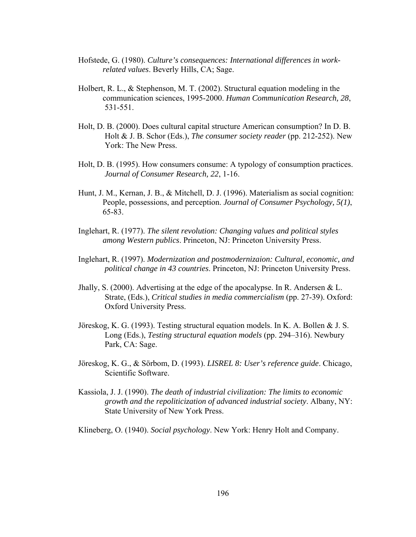- Hofstede, G. (1980). *Culture's consequences: International differences in work related values*. Beverly Hills, CA; Sage.
- Holbert, R. L., & Stephenson, M. T. (2002). Structural equation modeling in the communication sciences, 1995-2000. *Human Communication Research, 28*, 531-551.
- Holt, D. B. (2000). Does cultural capital structure American consumption? In D. B. Holt & J. B. Schor (Eds.), *The consumer society reader* (pp. 212-252). New York: The New Press.
- Holt, D. B. (1995). How consumers consume: A typology of consumption practices. *Journal of Consumer Research, 22*, 1-16.
- Hunt, J. M., Kernan, J. B., & Mitchell, D. J. (1996). Materialism as social cognition: People, possessions, and perception. *Journal of Consumer Psychology, 5(1)*, 65-83.
- Inglehart, R. (1977). *The silent revolution: Changing values and political styles among Western publics*. Princeton, NJ: Princeton University Press.
- Inglehart, R. (1997). *Modernization and postmodernizaion: Cultural, economic, and political change in 43 countries*. Princeton, NJ: Princeton University Press.
- Jhally, S. (2000). Advertising at the edge of the apocalypse. In R. Andersen  $&L$ . Strate, (Eds.), *Critical studies in media commercialism* (pp. 27-39). Oxford: Oxford University Press.
- Jöreskog, K. G. (1993). Testing structural equation models. In K. A. Bollen & J. S. Long (Eds.), *Testing structural equation models* (pp. 294–316). Newbury Park, CA: Sage.
- Jöreskog, K. G., & Sörbom, D. (1993). *LISREL 8: User's reference guide*. Chicago, Scientific Software.
- Kassiola, J. J. (1990). *The death of industrial civilization: The limits to economic growth and the repoliticization of advanced industrial society*. Albany, NY: State University of New York Press.

Klineberg, O. (1940). *Social psychology*. New York: Henry Holt and Company.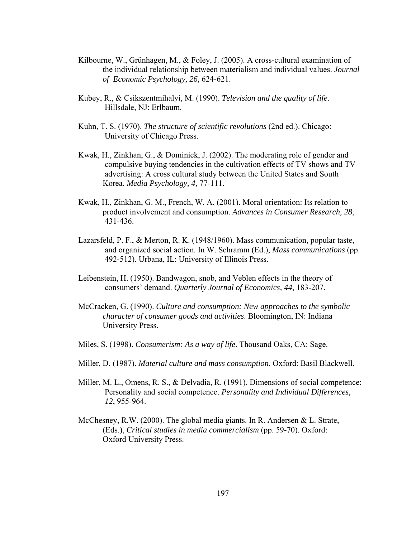- Kilbourne, W., Grünhagen, M., & Foley, J. (2005). A cross-cultural examination of the individual relationship between materialism and individual values. *Journal of Economic Psychology, 26,* 624-621.
- Kubey, R., & Csikszentmihalyi, M. (1990). *Television and the quality of life*. Hillsdale, NJ: Erlbaum.
- Kuhn, T. S. (1970). *The structure of scientific revolutions* (2nd ed.). Chicago: University of Chicago Press.
- Kwak, H., Zinkhan, G., & Dominick, J. (2002). The moderating role of gender and compulsive buying tendencies in the cultivation effects of TV shows and TV advertising: A cross cultural study between the United States and South Korea. *Media Psychology, 4*, 77-111.
- Kwak, H., Zinkhan, G. M., French, W. A. (2001). Moral orientation: Its relation to product involvement and consumption. *Advances in Consumer Research, 28*, 431-436.
- Lazarsfeld, P. F., & Merton, R. K. (1948/1960). Mass communication, popular taste, and organized social action. In W. Schramm (Ed.), *Mass communications* (pp. 492-512). Urbana, IL: University of Illinois Press.
- Leibenstein, H. (1950). Bandwagon, snob, and Veblen effects in the theory of consumers' demand. *Quarterly Journal of Economics, 44*, 183-207.
- McCracken, G. (1990). *Culture and consumption: New approaches to the symbolic character of consumer goods and activities*. Bloomington, IN: Indiana University Press.
- Miles, S. (1998). *Consumerism: As a way of life*. Thousand Oaks, CA: Sage.
- Miller, D. (1987). *Material culture and mass consumption*. Oxford: Basil Blackwell.
- Miller, M. L., Omens, R. S., & Delvadia, R. (1991). Dimensions of social competence: Personality and social competence. *Personality and Individual Differences, 12*, 955-964.
- McChesney, R.W. (2000). The global media giants. In R. Andersen & L. Strate, (Eds.), *Critical studies in media commercialism* (pp. 59-70). Oxford: Oxford University Press.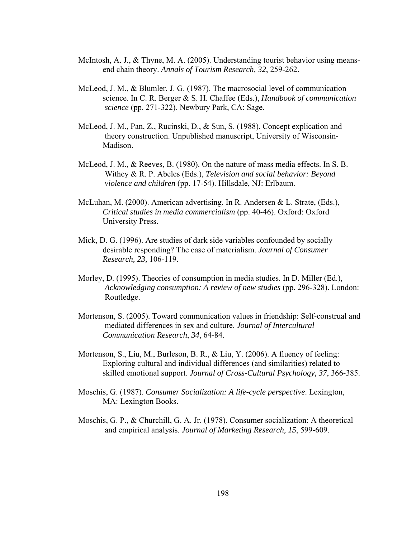- McIntosh, A. J., & Thyne, M. A. (2005). Understanding tourist behavior using means end chain theory. *Annals of Tourism Research, 32*, 259-262.
- McLeod, J. M., & Blumler, J. G. (1987). The macrosocial level of communication science. In C. R. Berger & S. H. Chaffee (Eds.), *Handbook of communication science* (pp. 271-322). Newbury Park, CA: Sage.
- McLeod, J. M., Pan, Z., Rucinski, D., & Sun, S. (1988). Concept explication and theory construction. Unpublished manuscript, University of Wisconsin- Madison.
- McLeod, J. M., & Reeves, B. (1980). On the nature of mass media effects. In S. B. Withey & R. P. Abeles (Eds.), *Television and social behavior: Beyond violence and children* (pp. 17-54). Hillsdale, NJ: Erlbaum.
- McLuhan, M. (2000). American advertising. In R. Andersen & L. Strate, (Eds.), *Critical studies in media commercialism* (pp. 40-46). Oxford: Oxford University Press.
- Mick, D. G. (1996). Are studies of dark side variables confounded by socially desirable responding? The case of materialism. *Journal of Consumer Research, 23,* 106-119.
- Morley, D. (1995). Theories of consumption in media studies. In D. Miller (Ed.), *Acknowledging consumption: A review of new studies* (pp. 296-328). London: Routledge.
- Mortenson, S. (2005). Toward communication values in friendship: Self-construal and mediated differences in sex and culture. *Journal of Intercultural Communication Research*, *34*, 64-84.
- Mortenson, S., Liu, M., Burleson, B. R., & Liu, Y. (2006). A fluency of feeling: Exploring cultural and individual differences (and similarities) related to skilled emotional support. *Journal of Cross-Cultural Psychology, 37*, 366-385.
- Moschis, G. (1987). *Consumer Socialization: A life-cycle perspective*. Lexington, MA: Lexington Books.
- Moschis, G. P., & Churchill, G. A. Jr. (1978). Consumer socialization: A theoretical and empirical analysis. *Journal of Marketing Research, 15*, 599-609.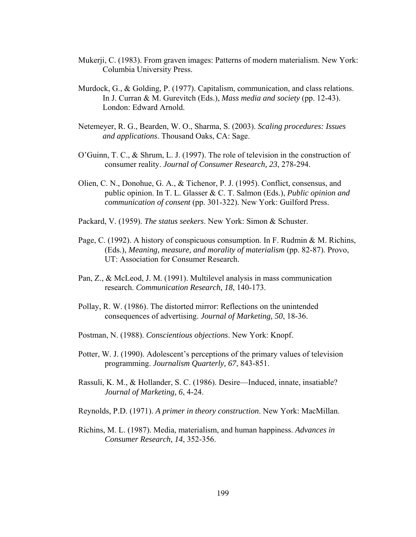- Mukerji, C. (1983). From graven images: Patterns of modern materialism. New York: Columbia University Press.
- Murdock, G., & Golding, P. (1977). Capitalism, communication, and class relations. In J. Curran & M. Gurevitch (Eds.), *Mass media and society* (pp. 12-43). London: Edward Arnold.
- Netemeyer, R. G., Bearden, W. O., Sharma, S. (2003). *Scaling procedures: Issues and applications*. Thousand Oaks, CA: Sage.
- O'Guinn, T. C., & Shrum, L. J. (1997). The role of television in the construction of consumer reality. *Journal of Consumer Research, 23*, 278-294.
- Olien, C. N., Donohue, G. A., & Tichenor, P. J. (1995). Conflict, consensus, and public opinion. In T. L. Glasser & C. T. Salmon (Eds.), *Public opinion and communication of consent* (pp. 301-322). New York: Guilford Press.
- Packard, V. (1959). *The status seekers*. New York: Simon & Schuster.
- Page, C. (1992). A history of conspicuous consumption. In F. Rudmin & M. Richins, (Eds.), *Meaning, measure, and morality of materialism* (pp. 82-87). Provo, UT: Association for Consumer Research.
- Pan, Z., & McLeod, J. M. (1991). Multilevel analysis in mass communication research. *Communication Research, 18*, 140-173.
- Pollay, R. W. (1986). The distorted mirror: Reflections on the unintended consequences of advertising. *Journal of Marketing, 50*, 18-36.
- Postman, N. (1988). *Conscientious objections*. New York: Knopf.
- Potter, W. J. (1990). Adolescent's perceptions of the primary values of television programming. *Journalism Quarterly, 67*, 843-851.
- Rassuli, K. M., & Hollander, S. C. (1986). Desire—Induced, innate, insatiable? *Journal of Marketing, 6*, 4-24.
- Reynolds, P.D. (1971). *A primer in theory construction*. New York: MacMillan.
- Richins, M. L. (1987). Media, materialism, and human happiness. *Advances in Consumer Research, 14*, 352-356.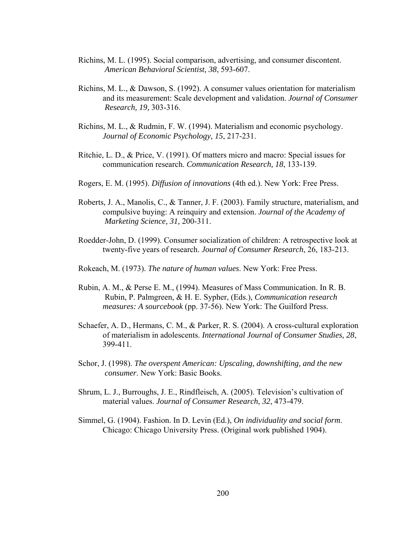- Richins, M. L. (1995). Social comparison, advertising, and consumer discontent. *American Behavioral Scientist, 38*, 593-607.
- Richins, M. L., & Dawson, S. (1992). A consumer values orientation for materialism and its measurement: Scale development and validation. *Journal of Consumer Research, 19,* 303-316.
- Richins, M. L., & Rudmin, F. W. (1994). Materialism and economic psychology. *Journal of Economic Psychology, 15*, 217-231.
- Ritchie, L. D., & Price, V. (1991). Of matters micro and macro: Special issues for communication research. *Communication Research, 18*, 133-139.
- Rogers, E. M. (1995). *Diffusion of innovations* (4th ed.). New York: Free Press.
- Roberts, J. A., Manolis, C., & Tanner, J. F. (2003). Family structure, materialism, and compulsive buying: A reinquiry and extension. *Journal of the Academy of Marketing Science, 31,* 200-311.
- Roedder-John, D. (1999). Consumer socialization of children: A retrospective look at twenty-five years of research. *Journal of Consumer Research*, 26, 183-213.
- Rokeach, M. (1973). *The nature of human values*. New York: Free Press.
- Rubin, A. M., & Perse E. M., (1994). Measures of Mass Communication. In R. B. Rubin, P. Palmgreen, & H. E. Sypher, (Eds.), *Communication research measures: A sourcebook* (pp. 37-56). New York: The Guilford Press.
- Schaefer, A. D., Hermans, C. M., & Parker, R. S. (2004). A cross-cultural exploration of materialism in adolescents. *International Journal of Consumer Studies, 28*, 399-411.
- Schor, J. (1998). *The overspent American: Upscaling, downshifting, and the new consumer*. New York: Basic Books.
- Shrum, L. J., Burroughs, J. E., Rindfleisch, A. (2005). Television's cultivation of material values. *Journal of Consumer Research, 32*, 473-479.
- Simmel, G. (1904). Fashion. In D. Levin (Ed.), *On individuality and social form*. Chicago: Chicago University Press. (Original work published 1904).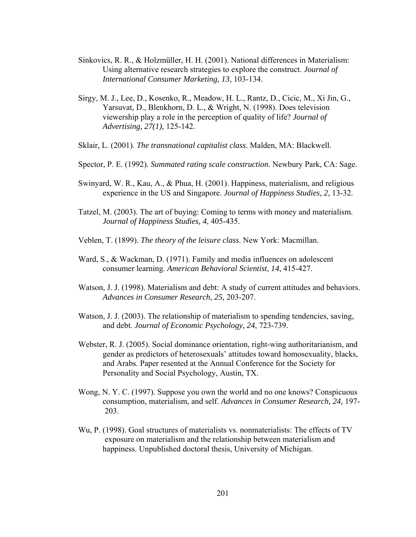- Sinkovics, R. R., & Holzmüller, H. H. (2001). National differences in Materialism: Using alternative research strategies to explore the construct. *Journal of International Consumer Marketing, 13*, 103-134.
- Sirgy, M. J., Lee, D., Kosenko, R., Meadow, H. L., Rantz, D., Cicic, M., Xi Jin, G., Yarsuvat, D., Blenkhorn, D. L., & Wright, N. (1998). Does television viewership play a role in the perception of quality of life? *Journal of Advertising, 27(1)*, 125-142.
- Sklair, L. (2001). *The transnational capitalist class*. Malden, MA: Blackwell.
- Spector, P. E. (1992). *Summated rating scale construction*. Newbury Park, CA: Sage.
- Swinyard, W. R., Kau, A., & Phua, H. (2001). Happiness, materialism, and religious experience in the US and Singapore. *Journal of Happiness Studies, 2*, 13-32.
- Tatzel, M. (2003). The art of buying: Coming to terms with money and materialism. *Journal of Happiness Studies, 4*, 405-435.
- Veblen, T. (1899). *The theory of the leisure class*. New York: Macmillan.
- Ward, S., & Wackman, D. (1971). Family and media influences on adolescent consumer learning. *American Behavioral Scientist, 14*, 415-427.
- Watson, J. J. (1998). Materialism and debt: A study of current attitudes and behaviors. *Advances in Consumer Research, 25,* 203-207.
- Watson, J. J. (2003). The relationship of materialism to spending tendencies, saving, and debt. *Journal of Economic Psychology, 24*, 723-739.
- Webster, R. J. (2005). Social dominance orientation, right-wing authoritarianism, and gender as predictors of heterosexuals' attitudes toward homosexuality, blacks, and Arabs. Paper resented at the Annual Conference for the Society for Personality and Social Psychology, Austin, TX.
- Wong, N. Y. C. (1997). Suppose you own the world and no one knows? Conspicuous consumption, materialism, and self. *Advances in Consumer Research, 24,* 197- 203.
- Wu, P. (1998). Goal structures of materialists vs. nonmaterialists: The effects of TV exposure on materialism and the relationship between materialism and happiness. Unpublished doctoral thesis, University of Michigan.